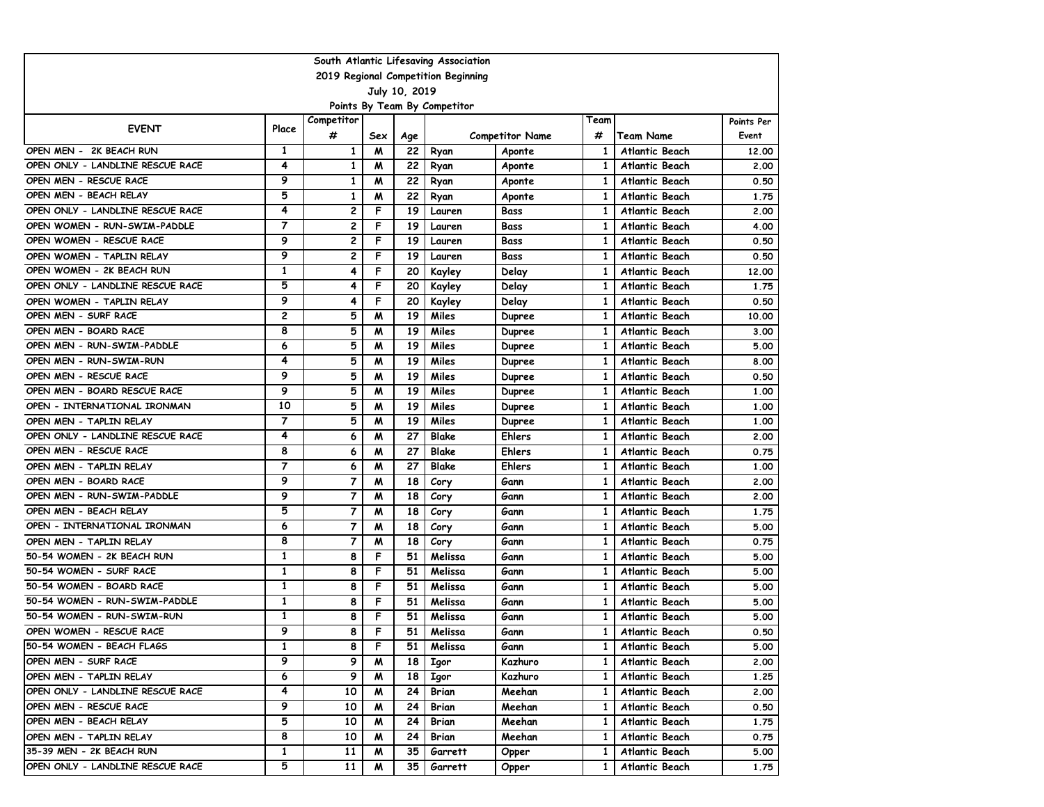| South Atlantic Lifesaving Association                            |                |                |        |          |                              |                                |              |                                                |               |  |  |  |
|------------------------------------------------------------------|----------------|----------------|--------|----------|------------------------------|--------------------------------|--------------|------------------------------------------------|---------------|--|--|--|
| 2019 Regional Competition Beginning                              |                |                |        |          |                              |                                |              |                                                |               |  |  |  |
| July 10, 2019                                                    |                |                |        |          |                              |                                |              |                                                |               |  |  |  |
|                                                                  |                |                |        |          | Points By Team By Competitor |                                |              |                                                |               |  |  |  |
| <b>EVENT</b>                                                     | Place          | Competitor     |        |          |                              |                                | Team         |                                                | Points Per    |  |  |  |
|                                                                  |                | #              | Sex    | Age      |                              | <b>Competitor Name</b>         | #            | <b>Team Name</b>                               | Event         |  |  |  |
| OPEN MEN -<br>2K BEACH RUN                                       | 1              | 1              | M      | 22       | Ryan                         | Aponte                         | 1            | Atlantic Beach                                 | 12,00         |  |  |  |
| OPEN ONLY - LANDLINE RESCUE RACE                                 | 4              | 1              | M      | 22       | Ryan                         | Aponte                         | 1            | <b>Atlantic Beach</b>                          | 2.00          |  |  |  |
| OPEN MEN - RESCUE RACE                                           | 9              | $\mathbf{1}$   | M      | 22       | Ryan                         | Aponte                         | 1            | <b>Atlantic Beach</b>                          | 0.50          |  |  |  |
| OPEN MEN - BEACH RELAY                                           | 5<br>4         | $\mathbf{1}$   | M      | 22       | Ryan                         | Aponte                         | 1            | Atlantic Beach                                 | 1.75          |  |  |  |
| OPEN ONLY - LANDLINE RESCUE RACE<br>OPEN WOMEN - RUN-SWIM-PADDLE | 7              | $\overline{c}$ | F<br>F | 19       | Lauren                       | Bass                           | 1            | <b>Atlantic Beach</b>                          | 2.00          |  |  |  |
| OPEN WOMEN - RESCUE RACE                                         | 9              | 2<br>2         | F      | 19<br>19 | Lauren                       | Bass<br>Bass                   | 1<br>1       | <b>Atlantic Beach</b>                          | 4.00          |  |  |  |
|                                                                  | 9              | 2              | F      | 19       | Lauren                       |                                |              | <b>Atlantic Beach</b>                          | 0.50          |  |  |  |
| OPEN WOMEN - TAPLIN RELAY<br>OPEN WOMEN - 2K BEACH RUN           | 1              | 4              | F      | 20       | Lauren                       | Bass                           | 1<br>1       | Atlantic Beach                                 | 0.50          |  |  |  |
| OPEN ONLY - LANDLINE RESCUE RACE                                 | 5              | 4              | F      | 20       | Kayley                       | Delay                          | 1            | <b>Atlantic Beach</b><br><b>Atlantic Beach</b> | 12,00<br>1.75 |  |  |  |
| OPEN WOMEN - TAPLIN RELAY                                        | 9              | 4              | F      | 20       | Kayley                       | Delay                          | 1            | <b>Atlantic Beach</b>                          | 0.50          |  |  |  |
| OPEN MEN - SURF RACE                                             | $\mathbf{2}$   | 5              | M      | 19       | Kayley<br>Miles              | Delay                          | 1            | <b>Atlantic Beach</b>                          | 10.00         |  |  |  |
| OPEN MEN - BOARD RACE                                            | 8              | 5              | M      | 19       | Miles                        | <b>Dupree</b><br><b>Dupree</b> | 1            | Atlantic Beach                                 | 3.00          |  |  |  |
| OPEN MEN - RUN-SWIM-PADDLE                                       | 6              | 5              | м      | 19       | Miles                        | <b>Dupree</b>                  | 1            | Atlantic Beach                                 | 5.00          |  |  |  |
| OPEN MEN - RUN-SWIM-RUN                                          | 4              | 5              | M      | 19       | Miles                        | <b>Dupree</b>                  | 1            | <b>Atlantic Beach</b>                          | 8.00          |  |  |  |
| OPEN MEN - RESCUE RACE                                           | 9              | 5              | м      | 19       | Miles                        | <b>Dupree</b>                  | 1            | <b>Atlantic Beach</b>                          | 0.50          |  |  |  |
| OPEN MEN - BOARD RESCUE RACE                                     | 9              | 5              | м      | 19       | Miles                        | Dupree                         | 1            | <b>Atlantic Beach</b>                          | 1.00          |  |  |  |
| OPEN - INTERNATIONAL IRONMAN                                     | 10             | 5              | M      | 19       | Miles                        | <b>Dupree</b>                  | 1            | Atlantic Beach                                 | 1.00          |  |  |  |
| OPEN MEN - TAPLIN RELAY                                          | $\overline{7}$ | 5              | M      | 19       | Miles                        | <b>Dupree</b>                  | $\mathbf{1}$ | <b>Atlantic Beach</b>                          | 1.00          |  |  |  |
| OPEN ONLY - LANDLINE RESCUE RACE                                 | 4              | 6              | M      | 27       | <b>Blake</b>                 | <b>Ehlers</b>                  | 1            | <b>Atlantic Beach</b>                          | 2.00          |  |  |  |
| OPEN MEN - RESCUE RACE                                           | 8              | 6              | м      | 27       | <b>Blake</b>                 | Ehlers                         | 1            | <b>Atlantic Beach</b>                          | 0.75          |  |  |  |
| OPEN MEN - TAPLIN RELAY                                          | $\overline{7}$ | 6              | M      | 27       | Blake                        | Ehlers                         | 1            | <b>Atlantic Beach</b>                          | 1.00          |  |  |  |
| OPEN MEN - BOARD RACE                                            | 9              | $\overline{7}$ | M      | 18       | Cory                         | Gann                           | 1            | <b>Atlantic Beach</b>                          | 2.00          |  |  |  |
| OPEN MEN - RUN-SWIM-PADDLE                                       | 9              | 7              | M      | 18       | Cory                         | Gann                           | 1            | Atlantic Beach                                 | 2.00          |  |  |  |
| OPEN MEN - BEACH RELAY                                           | 5              | 7              | M      | 18       | Cory                         | Gann                           | 1            | <b>Atlantic Beach</b>                          | 1.75          |  |  |  |
| OPEN - INTERNATIONAL IRONMAN                                     | 6              | 7              | м      | 18       | Cory                         | Gann                           | 1            | <b>Atlantic Beach</b>                          | 5.00          |  |  |  |
| OPEN MEN - TAPLIN RELAY                                          | 8              | $\overline{7}$ | M      | 18       | Cory                         | Gann                           | 1            | Atlantic Beach                                 | 0.75          |  |  |  |
| 50-54 WOMEN - 2K BEACH RUN                                       | 1              | 8              | F      | 51       | Melissa                      | Gann                           | 1            | Atlantic Beach                                 | 5.00          |  |  |  |
| 50-54 WOMEN - SURF RACE                                          | 1              | 8              | F      | 51       | Melissa                      | Gann                           | $\mathbf{1}$ | <b>Atlantic Beach</b>                          | 5.00          |  |  |  |
| 50-54 WOMEN - BOARD RACE                                         | 1              | 8              | F      | 51       | Melissa                      | Gann                           | $\mathbf{1}$ | Atlantic Beach                                 | 5.00          |  |  |  |
| 50-54 WOMEN - RUN-SWIM-PADDLE                                    | 1              | 8              | F      | 51       | Melissa                      | Gann                           | 1            | <b>Atlantic Beach</b>                          | 5.00          |  |  |  |
| 50-54 WOMEN - RUN-SWIM-RUN                                       | 1              | 8              | F      | 51       | Melissa                      | Gann                           | 1            | Atlantic Beach                                 | 5.00          |  |  |  |
| OPEN WOMEN - RESCUE RACE                                         | 9              | 8              | F      | 51       | Melissa                      | Gann                           | 1            | <b>Atlantic Beach</b>                          | 0.50          |  |  |  |
| 50-54 WOMEN - BEACH FLAGS                                        | 1              | 8              | F      | 51       | Melissa                      | Gann                           | 1            | Atlantic Beach                                 | 5.00          |  |  |  |
| OPEN MEN - SURF RACE                                             | 9              | 9              | M      | 18       | Igor                         | Kazhuro                        | $\mathbf{1}$ | Atlantic Beach                                 | 2.00          |  |  |  |
| OPEN MEN - TAPLIN RELAY                                          | 6              | 9              | M      | 18       | Igor                         | Kazhuro                        | 1            | Atlantic Beach                                 | 1.25          |  |  |  |
| OPEN ONLY - LANDLINE RESCUE RACE                                 | 4              | 10             | M      | 24       | Brian                        | Meehan                         | $\mathbf{1}$ | Atlantic Beach                                 | 2.00          |  |  |  |
| OPEN MEN - RESCUE RACE                                           | 9              | 10             | M      | 24       | Brian                        | Meehan                         | 1            | Atlantic Beach                                 | 0.50          |  |  |  |
| OPEN MEN - BEACH RELAY                                           | 5              | 10             | M      | 24       | Brian                        | Meehan                         | 1            | Atlantic Beach                                 | 1.75          |  |  |  |
| OPEN MEN - TAPLIN RELAY                                          | 8              | 10             | M      | 24       | Brian                        | Meehan                         | 1            | Atlantic Beach                                 | 0.75          |  |  |  |
| 35-39 MEN - 2K BEACH RUN                                         | 1              | 11             | M      | 35       | Garrett                      | Opper                          | 1            | Atlantic Beach                                 | 5.00          |  |  |  |
| OPEN ONLY - LANDLINE RESCUE RACE                                 | 5              | 11             | M      | 35       | Garrett                      | Opper                          | 1            | Atlantic Beach                                 | 1.75          |  |  |  |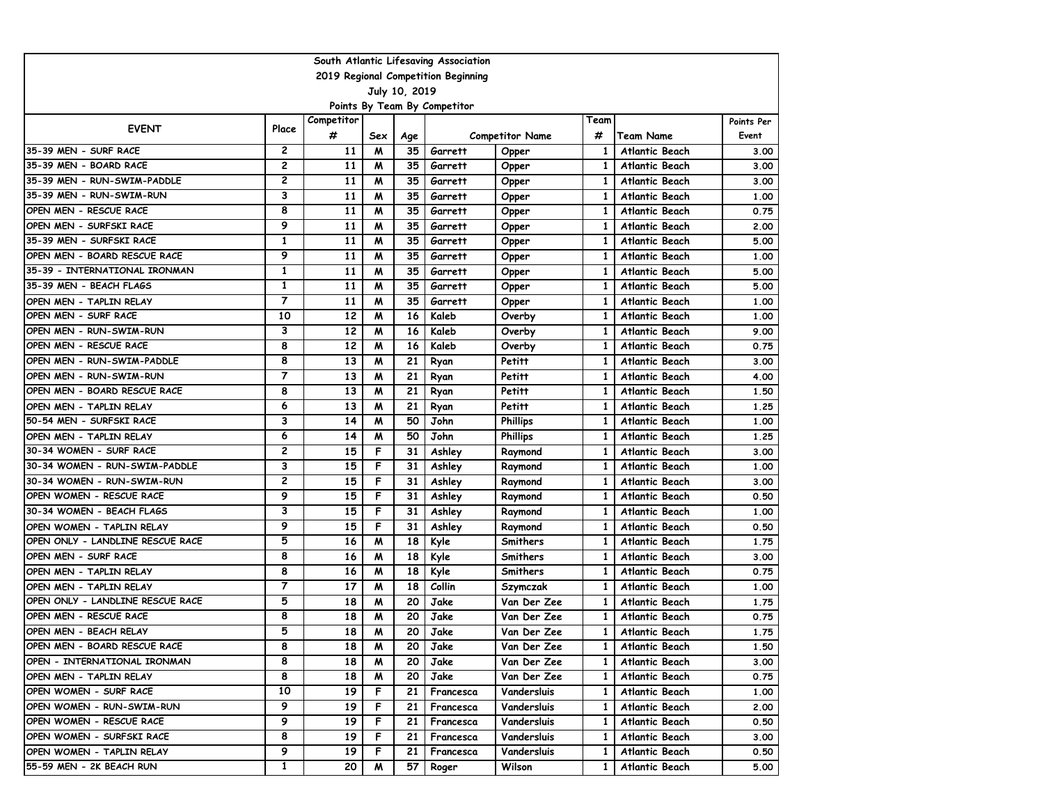| South Atlantic Lifesaving Association |                |            |     |     |           |                        |              |                       |            |  |  |  |
|---------------------------------------|----------------|------------|-----|-----|-----------|------------------------|--------------|-----------------------|------------|--|--|--|
| 2019 Regional Competition Beginning   |                |            |     |     |           |                        |              |                       |            |  |  |  |
| July 10, 2019                         |                |            |     |     |           |                        |              |                       |            |  |  |  |
| Points By Team By Competitor          |                |            |     |     |           |                        |              |                       |            |  |  |  |
| <b>EVENT</b>                          | Place          | Competitor |     |     |           |                        | Team         |                       | Points Per |  |  |  |
|                                       |                | #          | Sex | Age |           | <b>Competitor Name</b> | #            | <b>Team Name</b>      | Event      |  |  |  |
| 35-39 MEN - SURF RACE                 | $\overline{c}$ | 11         | M   | 35  | Garrett   | Opper                  | 1            | <b>Atlantic Beach</b> | 3.00       |  |  |  |
| 35-39 MEN - BOARD RACE                | 2              | 11         | м   | 35  | Garrett   | Opper                  | 1            | Atlantic Beach        | 3.00       |  |  |  |
| 35-39 MEN - RUN-SWIM-PADDLE           | 2              | 11         | M   | 35  | Garrett   | Opper                  | 1            | <b>Atlantic Beach</b> | 3.00       |  |  |  |
| 35-39 MEN - RUN-SWIM-RUN              | 3              | 11         | M   | 35  | Garrett   | Opper                  | $\mathbf{1}$ | Atlantic Beach        | 1.00       |  |  |  |
| OPEN MEN - RESCUE RACE                | 8              | 11         | M   | 35  | Garrett   | Opper                  | 1            | <b>Atlantic Beach</b> | 0.75       |  |  |  |
| OPEN MEN - SURFSKI RACE               | 9              | 11         | м   | 35  | Garrett   | Opper                  | 1            | Atlantic Beach        | 2.00       |  |  |  |
| 35-39 MEN - SURFSKI RACE              | 1              | 11         | м   | 35  | Garrett   | Opper                  | 1            | Atlantic Beach        | 5.00       |  |  |  |
| OPEN MEN - BOARD RESCUE RACE          | 9              | 11         | м   | 35  | Garrett   | Opper                  | $\mathbf{1}$ | Atlantic Beach        | 1.00       |  |  |  |
| 35-39 - INTERNATIONAL IRONMAN         | 1              | 11         | M   | 35  | Garrett   | Opper                  | $\mathbf{1}$ | Atlantic Beach        | 5.00       |  |  |  |
| 35-39 MEN - BEACH FLAGS               | 1              | 11         | M   | 35  | Garrett   | Opper                  | 1            | <b>Atlantic Beach</b> | 5.00       |  |  |  |
| OPEN MEN - TAPLIN RELAY               | $\overline{7}$ | 11         | м   | 35  | Garrett   | Opper                  | 1            | Atlantic Beach        | 1.00       |  |  |  |
| OPEN MEN - SURF RACE                  | 10             | 12         | м   | 16  | Kaleb     | Overby                 | 1            | Atlantic Beach        | 1,00       |  |  |  |
| OPEN MEN - RUN-SWIM-RUN               | 3              | 12         | м   | 16  | Kaleb     | Overby                 | $\mathbf{1}$ | Atlantic Beach        | 9.00       |  |  |  |
| OPEN MEN - RESCUE RACE                | 8              | 12         | м   | 16  | Kaleb     | Overby                 | 1            | Atlantic Beach        | 0.75       |  |  |  |
| OPEN MEN - RUN-SWIM-PADDLE            | 8              | 13         | M   | 21  | Ryan      | Petitt                 | 1            | <b>Atlantic Beach</b> | 3.00       |  |  |  |
| OPEN MEN - RUN-SWIM-RUN               | 7              | 13         | M   | 21  | Ryan      | Petitt                 | 1            | Atlantic Beach        | 4.00       |  |  |  |
| OPEN MEN - BOARD RESCUE RACE          | 8              | 13         | м   | 21  | Ryan      | Petitt                 | $\mathbf{1}$ | Atlantic Beach        | 1.50       |  |  |  |
| OPEN MEN - TAPLIN RELAY               | 6              | 13         | м   | 21  | Ryan      | Petitt                 | $\mathbf{1}$ | Atlantic Beach        | 1.25       |  |  |  |
| 50-54 MEN - SURFSKI RACE              | 3              | 14         | M   | 50  | John      | <b>Phillips</b>        | $\mathbf{1}$ | Atlantic Beach        | 1.00       |  |  |  |
| OPEN MEN - TAPLIN RELAY               | 6              | 14         | M   | 50  | John      | <b>Phillips</b>        | $\mathbf{1}$ | <b>Atlantic Beach</b> | 1.25       |  |  |  |
| 30-34 WOMEN - SURF RACE               | 2              | 15         | F   | 31  | Ashley    | Raymond                | 1            | Atlantic Beach        | 3.00       |  |  |  |
| 30-34 WOMEN - RUN-SWIM-PADDLE         | 3              | 15         | F   | 31  | Ashley    | Raymond                | 1            | <b>Atlantic Beach</b> | 1.00       |  |  |  |
| 30-34 WOMEN - RUN-SWIM-RUN            | 2              | 15         | F   | 31  | Ashley    | Raymond                | 1            | Atlantic Beach        | 3.00       |  |  |  |
| OPEN WOMEN - RESCUE RACE              | 9              | 15         | F   | 31  | Ashley    | Raymond                | $\mathbf{1}$ | Atlantic Beach        | 0.50       |  |  |  |
| 30-34 WOMEN - BEACH FLAGS             | 3              | 15         | F   | 31  | Ashley    | Raymond                | 1            | <b>Atlantic Beach</b> | 1.00       |  |  |  |
| OPEN WOMEN - TAPLIN RELAY             | 9              | 15         | F   | 31  | Ashley    | Raymond                | 1            | Atlantic Beach        | 0.50       |  |  |  |
| OPEN ONLY - LANDLINE RESCUE RACE      | 5              | 16         | M   | 18  | Kyle      | Smithers               | 1            | Atlantic Beach        | 1.75       |  |  |  |
| OPEN MEN - SURF RACE                  | 8              | 16         | м   | 18  | Kyle      | Smithers               | $\mathbf{1}$ | Atlantic Beach        | 3.00       |  |  |  |
| OPEN MEN - TAPLIN RELAY               | 8              | 16         | м   | 18  | Kyle      | Smithers               | $\mathbf{1}$ | Atlantic Beach        | 0.75       |  |  |  |
| OPEN MEN - TAPLIN RELAY               | $\overline{7}$ | 17         | M   | 18  | Collin    | Szymczak               | 1            | Atlantic Beach        | 1.00       |  |  |  |
| OPEN ONLY - LANDLINE RESCUE RACE      | 5              | 18         | M   | 20  | Jake      | Van Der Zee            | 1            | Atlantic Beach        | 1.75       |  |  |  |
| OPEN MEN - RESCUE RACE                | 8              | 18         | M   | 20  | Jake      | Van Der Zee            | 1            | Atlantic Beach        | 0.75       |  |  |  |
| OPEN MEN - BEACH RELAY                | 5              | 18         | W   | 20  | Jake      | Van Der Zee            | 1            | Atlantic Beach        | 1.75       |  |  |  |
| OPEN MEN - BOARD RESCUE RACE          | 8              | 18         | M   | 20  | Jake      | Van Der Zee            | 1            | Atlantic Beach        | 1.50       |  |  |  |
| OPEN - INTERNATIONAL IRONMAN          | 8              | 18         | M   | 20  | Jake      | Van Der Zee            | 1            | Atlantic Beach        | 3.00       |  |  |  |
| OPEN MEN - TAPLIN RELAY               | 8              | 18         | M   | 20  | Jake      | Van Der Zee            | 1            | Atlantic Beach        | 0.75       |  |  |  |
| OPEN WOMEN - SURF RACE                | 10             | 19         | F.  | 21  | Francesca | Vandersluis            | 1            | Atlantic Beach        | 1.00       |  |  |  |
| OPEN WOMEN - RUN-SWIM-RUN             | 9              | 19         | F   | 21  | Francesca | Vandersluis            | 1            | Atlantic Beach        | 2.00       |  |  |  |
| OPEN WOMEN - RESCUE RACE              | 9              | 19         | F   | 21  | Francesca | Vandersluis            | 1            | Atlantic Beach        | 0.50       |  |  |  |
| OPEN WOMEN - SURFSKI RACE             | 8              | 19         | F   | 21  | Francesca | Vandersluis            | 1            | Atlantic Beach        | 3.00       |  |  |  |
| OPEN WOMEN - TAPLIN RELAY             | 9              | 19         | F.  | 21  | Francesca | Vandersluis            | 1            | Atlantic Beach        | 0.50       |  |  |  |
| 55-59 MEN - 2K BEACH RUN              | $\mathbf{1}$   | 20         | M   | 57  | Roger     | Wilson                 | 1            | Atlantic Beach        | 5.00       |  |  |  |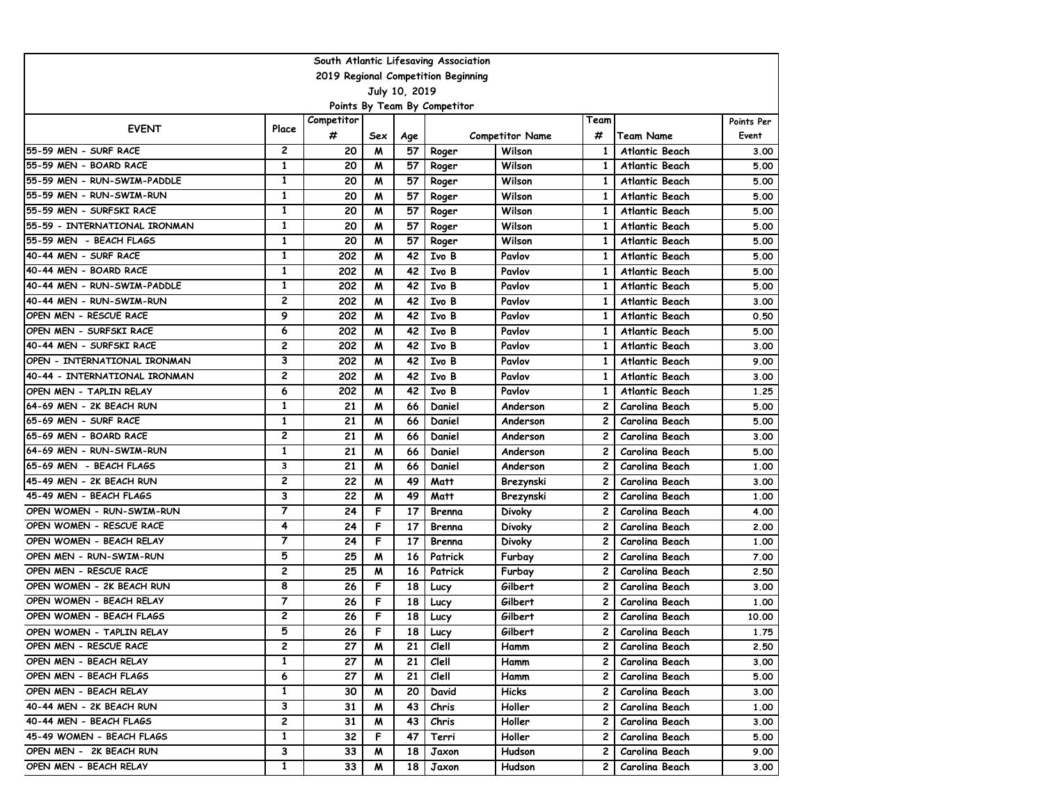| South Atlantic Lifesaving Association |                |            |     |     |         |                        |              |                       |            |  |  |  |
|---------------------------------------|----------------|------------|-----|-----|---------|------------------------|--------------|-----------------------|------------|--|--|--|
| 2019 Regional Competition Beginning   |                |            |     |     |         |                        |              |                       |            |  |  |  |
| July 10, 2019                         |                |            |     |     |         |                        |              |                       |            |  |  |  |
| Points By Team By Competitor          |                |            |     |     |         |                        |              |                       |            |  |  |  |
| <b>EVENT</b>                          | Place          | Competitor |     |     |         |                        | Team         |                       | Points Per |  |  |  |
|                                       |                | #          | Sex | Age |         | <b>Competitor Name</b> | #            | <b>Team Name</b>      | Event      |  |  |  |
| 55-59 MEN - SURF RACE                 | $\mathbf{2}$   | 20         | M   | 57  | Roger   | Wilson                 | 1            | Atlantic Beach        | 3.00       |  |  |  |
| 55-59 MEN - BOARD RACE                | $\mathbf{1}$   | 20         | M   | 57  | Roger   | Wilson                 | 1            | <b>Atlantic Beach</b> | 5.00       |  |  |  |
| 55-59 MEN - RUN-SWIM-PADDLE           | $\mathbf{1}$   | 20         | M   | 57  | Roger   | Wilson                 | 1            | <b>Atlantic Beach</b> | 5.00       |  |  |  |
| 55-59 MEN - RUN-SWIM-RUN              | 1              | 20         | м   | 57  | Roger   | Wilson                 | $\mathbf{1}$ | <b>Atlantic Beach</b> | 5.00       |  |  |  |
| 55-59 MEN - SURFSKI RACE              | 1              | 20         | M   | 57  | Roger   | Wilson                 | 1            | <b>Atlantic Beach</b> | 5.00       |  |  |  |
| 55-59 - INTERNATIONAL IRONMAN         | 1              | 20         | M   | 57  | Roger   | Wilson                 | 1            | <b>Atlantic Beach</b> | 5.00       |  |  |  |
| 55-59 MEN - BEACH FLAGS               | 1              | 20         | м   | 57  | Roger   | Wilson                 | 1            | Atlantic Beach        | 5.00       |  |  |  |
| 40-44 MEN - SURF RACE                 | 1              | 202        | м   | 42  | Ivo B   | Pavlov                 | 1            | Atlantic Beach        | 5.00       |  |  |  |
| 40-44 MEN - BOARD RACE                | 1              | 202        | M   | 42  | Ivo B   | Pavlov                 | $\mathbf{1}$ | Atlantic Beach        | 5.00       |  |  |  |
| 40-44 MEN - RUN-SWIM-PADDLE           | 1              | 202        | M   | 42  | Ivo B   | Pavlov                 | 1            | <b>Atlantic Beach</b> | 5.00       |  |  |  |
| 40-44 MEN - RUN-SWIM-RUN              | 2              | 202        | M   | 42  | Ivo B   | Pavlov                 | 1            | <b>Atlantic Beach</b> | 3.00       |  |  |  |
| OPEN MEN - RESCUE RACE                | 9              | 202        | M   | 42  | Ivo B   | Pavlov                 | 1            | Atlantic Beach        | 0.50       |  |  |  |
| OPEN MEN - SURFSKI RACE               | 6              | 202        | м   | 42  | Ivo B   | Pavlov                 | 1            | Atlantic Beach        | 5.00       |  |  |  |
| 40-44 MEN - SURFSKI RACE              | 2              | 202        | м   | 42  | Ivo B   | Pavlov                 | $\mathbf{1}$ | Atlantic Beach        | 3.00       |  |  |  |
| OPEN - INTERNATIONAL IRONMAN          | 3              | 202        | M   | 42  | Ivo B   | Pavlov                 | 1            | <b>Atlantic Beach</b> | 9.00       |  |  |  |
| 40-44 - INTERNATIONAL IRONMAN         | 2              | 202        | M   | 42  | Ivo B   | Pavlov                 | 1            | <b>Atlantic Beach</b> | 3.00       |  |  |  |
| OPEN MEN - TAPLIN RELAY               | 6              | 202        | м   | 42  | Ivo B   | Pavlov                 | 1            | Atlantic Beach        | 1.25       |  |  |  |
| 64-69 MEN - 2K BEACH RUN              | 1              | 21         | M   | 66  | Daniel  | Anderson               | 2            | Carolina Beach        | 5.00       |  |  |  |
| 65-69 MEN - SURF RACE                 | 1              | 21         | M   | 66  | Daniel  | Anderson               | 2            | Carolina Beach        | 5.00       |  |  |  |
| 65-69 MEN - BOARD RACE                | 2              | 21         | M   | 66  | Daniel  | Anderson               | 2            | Carolina Beach        | 3.00       |  |  |  |
| 64-69 MEN - RUN-SWIM-RUN              | 1              | 21         | M   | 66  | Daniel  | Anderson               | 2            | Carolina Beach        | 5.00       |  |  |  |
| 65-69 MEN - BEACH FLAGS               | 3              | 21         | M   | 66  | Daniel  | Anderson               | 2            | Carolina Beach        | 1.00       |  |  |  |
| 45-49 MEN - 2K BEACH RUN              | 2              | 22         | M   | 49  | Matt    | Brezynski              | 2            | Carolina Beach        | 3.00       |  |  |  |
| 45-49 MEN - BEACH FLAGS               | З              | 22         | м   | 49  | Matt    | Brezynski              | 2            | Carolina Beach        | 1.00       |  |  |  |
| OPEN WOMEN - RUN-SWIM-RUN             | $\overline{7}$ | 24         | F   | 17  | Brenna  | Divoky                 | 2            | Carolina Beach        | 4.00       |  |  |  |
| OPEN WOMEN - RESCUE RACE              | 4              | 24         | F   | 17  | Brenna  | Divoky                 | 2            | Carolina Beach        | 2.00       |  |  |  |
| OPEN WOMEN - BEACH RELAY              | $\overline{7}$ | 24         | F   | 17  | Brenna  | Divoky                 | 2            | Carolina Beach        | 1.00       |  |  |  |
| OPEN MEN - RUN-SWIM-RUN               | 5              | 25         | M   | 16  | Patrick | Furbay                 | 2            | Carolina Beach        | 7.00       |  |  |  |
| OPEN MEN - RESCUE RACE                | $\overline{c}$ | 25         | M   | 16  | Patrick | Furbay                 | 2            | Carolina Beach        | 2.50       |  |  |  |
| OPEN WOMEN - 2K BEACH RUN             | 8              | 26         | F   | 18  | Lucy    | Gilbert                | 2            | Carolina Beach        | 3.00       |  |  |  |
| OPEN WOMEN - BEACH RELAY              | 7              | 26         | F   | 18  | Lucy    | Gilbert                | 2            | Carolina Beach        | 1.00       |  |  |  |
| OPEN WOMEN - BEACH FLAGS              | 2              | 26         | F   | 18  | Lucy    | Gilbert                | 2            | Carolina Beach        | 10.00      |  |  |  |
| OPEN WOMEN - TAPLIN RELAY             | 5              | 26         | F   | 18  | Lucy    | Gilbert                | 2            | Carolina Beach        | 1.75       |  |  |  |
| OPEN MEN - RESCUE RACE                | 2              | 27         | M   | 21  | Clell   | Hamm                   | 2            | Carolina Beach        | 2.50       |  |  |  |
| OPEN MEN - BEACH RELAY                | 1              | 27         | M   | 21  | Clell   | Hamm                   | $\mathbf{2}$ | Carolina Beach        | 3.00       |  |  |  |
| OPEN MEN - BEACH FLAGS                | 6              | 27         | M   | 21  | Clell   | Hamm                   | 2            | Carolina Beach        | 5.00       |  |  |  |
| OPEN MEN - BEACH RELAY                | 1              | 30         | M   | 20  | David   | Hicks                  | $\mathbf{2}$ | Carolina Beach        | 3.00       |  |  |  |
| 40-44 MEN - 2K BEACH RUN              | 3              | 31         | M   | 43  | Chris   | Holler                 | $\mathbf{2}$ | Carolina Beach        | 1.00       |  |  |  |
| 40-44 MEN - BEACH FLAGS               | 2              | 31         | M   | 43  | Chris   | Holler                 | $\mathbf{2}$ | Carolina Beach        | 3.00       |  |  |  |
| 45-49 WOMEN - BEACH FLAGS             | 1              | 32         | F   | 47  | Terri   | Holler                 | 2            | Carolina Beach        | 5.00       |  |  |  |
| OPEN MEN - 2K BEACH RUN               | 3              | 33         | M   | 18  | Jaxon   | Hudson                 | 2            | Carolina Beach        | 9.00       |  |  |  |
| OPEN MEN - BEACH RELAY                | $\mathbf{1}$   | 33         | M   | 18  | Jaxon   | Hudson                 | 2            | Carolina Beach        | 3.00       |  |  |  |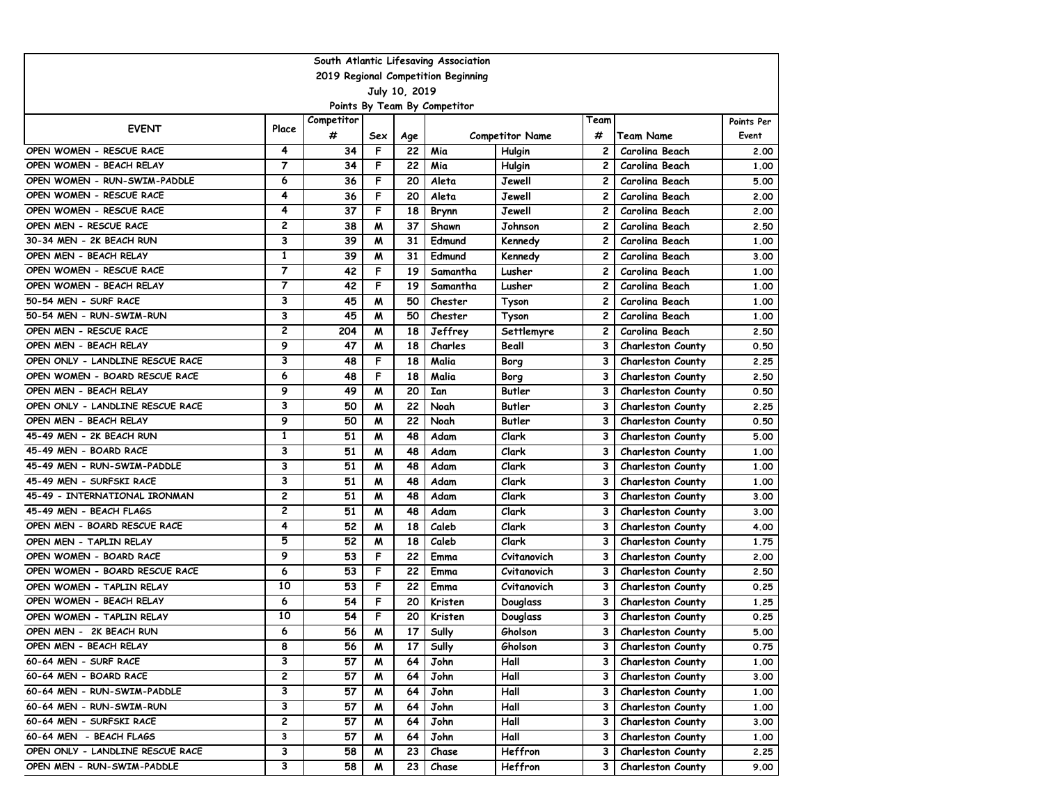| South Atlantic Lifesaving Association |                |            |     |     |          |                        |              |                          |            |  |  |  |
|---------------------------------------|----------------|------------|-----|-----|----------|------------------------|--------------|--------------------------|------------|--|--|--|
| 2019 Regional Competition Beginning   |                |            |     |     |          |                        |              |                          |            |  |  |  |
| July 10, 2019                         |                |            |     |     |          |                        |              |                          |            |  |  |  |
| Points By Team By Competitor          |                |            |     |     |          |                        |              |                          |            |  |  |  |
| <b>EVENT</b>                          | Place          | Competitor |     |     |          |                        | Team         |                          | Points Per |  |  |  |
|                                       |                | #          | Sex | Age |          | <b>Competitor Name</b> | #            | <b>Team Name</b>         | Event      |  |  |  |
| OPEN WOMEN - RESCUE RACE              | 4              | 34         | F   | 22  | Mia      | Hulgin                 | 2            | Carolina Beach           | 2.00       |  |  |  |
| OPEN WOMEN - BEACH RELAY              | $\overline{7}$ | 34         | F   | 22  | Mia      | Hulgin                 | 2            | Carolina Beach           | 1.00       |  |  |  |
| OPEN WOMEN - RUN-SWIM-PADDLE          | 6              | 36         | F   | 20  | Aleta    | Jewell                 | 2            | Carolina Beach           | 5.00       |  |  |  |
| OPEN WOMEN - RESCUE RACE              | 4              | 36         | F   | 20  | Aleta    | Jewell                 | 2            | Carolina Beach           | 2.00       |  |  |  |
| OPEN WOMEN - RESCUE RACE              | 4              | 37         | F   | 18  | Brynn    | Jewell                 | 2            | Carolina Beach           | 2.00       |  |  |  |
| OPEN MEN - RESCUE RACE                | 2              | 38         | м   | 37  | Shawn    | Johnson                | 2            | Carolina Beach           | 2.50       |  |  |  |
| 30-34 MEN - 2K BEACH RUN              | 3              | 39         | W   | 31  | Edmund   | Kennedy                | 2            | Carolina Beach           | 1.00       |  |  |  |
| OPEN MEN - BEACH RELAY                | $\mathbf{1}$   | 39         | W   | 31  | Edmund   | Kennedy                | $\mathbf{2}$ | Carolina Beach           | 3.00       |  |  |  |
| OPEN WOMEN - RESCUE RACE              | $\overline{7}$ | 42         | F   | 19  | Samantha | Lusher                 | 2            | Carolina Beach           | 1.00       |  |  |  |
| OPEN WOMEN - BEACH RELAY              | $\overline{7}$ | 42         | F   | 19  | Samantha | Lusher                 | 2            | Carolina Beach           | 1.00       |  |  |  |
| 50-54 MEN - SURF RACE                 | 3              | 45         | м   | 50  | Chester  | Tyson                  | 2            | Carolina Beach           | 1.00       |  |  |  |
| 50-54 MEN - RUN-SWIM-RUN              | 3              | 45         | W   | 50  | Chester  | Tyson                  | 2            | Carolina Beach           | 1.00       |  |  |  |
| OPEN MEN - RESCUE RACE                | $\overline{c}$ | 204        | W   | 18  | Jeffrey  | Settlemyre             | 2            | Carolina Beach           | 2.50       |  |  |  |
| OPEN MEN - BEACH RELAY                | 9              | 47         | W   | 18  | Charles  | Beall                  | 3            | <b>Charleston County</b> | 0.50       |  |  |  |
| OPEN ONLY - LANDLINE RESCUE RACE      | 3              | 48         | F   | 18  | Malia    | Borg                   | 3            | <b>Charleston County</b> | 2.25       |  |  |  |
| OPEN WOMEN - BOARD RESCUE RACE        | 6              | 48         | F   | 18  | Malia    | Borg                   | 3            | <b>Charleston County</b> | 2.50       |  |  |  |
| OPEN MEN - BEACH RELAY                | 9              | 49         | W   | 20  | Ian      | Butler                 | 3            | <b>Charleston County</b> | 0.50       |  |  |  |
| OPEN ONLY - LANDLINE RESCUE RACE      | 3              | 50         | м   | 22  | Noah     | <b>Butler</b>          | 3            | <b>Charleston County</b> | 2.25       |  |  |  |
| OPEN MEN - BEACH RELAY                | 9              | 50         | W   | 22  | Noah     | Butler                 | 3            | <b>Charleston County</b> | 0.50       |  |  |  |
| 45-49 MEN - 2K BEACH RUN              | $\mathbf{1}$   | 51         | W   | 48  | Adam     | Clark                  | 3            | <b>Charleston County</b> | 5.00       |  |  |  |
| 45-49 MEN - BOARD RACE                | 3              | 51         | м   | 48  | Adam     | Clark                  | 3            | <b>Charleston County</b> | 1.00       |  |  |  |
| 45-49 MEN - RUN-SWIM-PADDLE           | 3              | 51         | W   | 48  | Adam     | Clark                  | 3            | <b>Charleston County</b> | 1.00       |  |  |  |
| 45-49 MEN - SURFSKI RACE              | 3              | 51         | W   | 48  | Adam     | Clark                  | 3            | <b>Charleston County</b> | 1.00       |  |  |  |
| 45-49 - INTERNATIONAL IRONMAN         | $\overline{c}$ | 51         | W   | 48  | Adam     | Clark                  | 3            | <b>Charleston County</b> | 3.00       |  |  |  |
| 45-49 MEN - BEACH FLAGS               | $\mathbf{2}$   | 51         | W   | 48  | Adam     | Clark                  | 3            | <b>Charleston County</b> | 3.00       |  |  |  |
| OPEN MEN - BOARD RESCUE RACE          | 4              | 52         | м   | 18  | Caleb    | Clark                  | 3            | <b>Charleston County</b> | 4.00       |  |  |  |
| OPEN MEN - TAPLIN RELAY               | 5              | 52         | м   | 18  | Caleb    | Clark                  | 3            | <b>Charleston County</b> | 1.75       |  |  |  |
| OPEN WOMEN - BOARD RACE               | 9              | 53         | F   | 22  | Emma     | Cvitanovich            | 3            | <b>Charleston County</b> | 2.00       |  |  |  |
| OPEN WOMEN - BOARD RESCUE RACE        | 6              | 53         | F   | 22  | Emma     | Cvitanovich            | 3            | <b>Charleston County</b> | 2.50       |  |  |  |
| OPEN WOMEN - TAPLIN RELAY             | 10             | 53         | F   | 22  | Emma     | Cvitanovich            | 3            | <b>Charleston County</b> | 0.25       |  |  |  |
| OPEN WOMEN - BEACH RELAY              | 6              | 54         | F   | 20  | Kristen  | Douglass               | 3            | <b>Charleston County</b> | 1.25       |  |  |  |
| OPEN WOMEN - TAPLIN RELAY             | 10             | 54         | F   | 20  | Kristen  | Douglass               | 3            | <b>Charleston County</b> | 0.25       |  |  |  |
| OPEN MEN - 2K BEACH RUN               | 6              | 56         | W   | 17  | Sully    | Gholson                | 3            | <b>Charleston County</b> | 5.00       |  |  |  |
| OPEN MEN - BEACH RELAY                | 8              | 56         | M   | 17  | Sully    | Gholson                | З            | <b>Charleston County</b> | 0.75       |  |  |  |
| 60-64 MEN - SURF RACE                 | 3              | 57         | W   | 64  | John     | Hall                   | 3            | <b>Charleston County</b> | 1.00       |  |  |  |
| 60-64 MEN - BOARD RACE                | 2              | 57         | M   | 64  | John     | Hall                   | 3            | <b>Charleston County</b> | 3.00       |  |  |  |
| 60-64 MEN - RUN-SWIM-PADDLE           | 3              | 57         | M   | 64  | John     | Hall                   | 3            | <b>Charleston County</b> | 1.00       |  |  |  |
| 60-64 MEN - RUN-SWIM-RUN              | 3              | 57         | M   | 64  | John     | Hall                   | 3            | <b>Charleston County</b> | 1.00       |  |  |  |
| 60-64 MEN - SURFSKI RACE              | $\mathbf{2}$   | 57         | M   | 64  | John     | Hall                   | З            | <b>Charleston County</b> | 3.00       |  |  |  |
| 60-64 MEN - BEACH FLAGS               | 3              | 57         | M   | 64  | John     | Hall                   | з            | <b>Charleston County</b> | 1.00       |  |  |  |
| OPEN ONLY - LANDLINE RESCUE RACE      | 3              | 58         | M   | 23  | Chase    | Heffron                | З            | <b>Charleston County</b> | 2.25       |  |  |  |
| OPEN MEN - RUN-SWIM-PADDLE            | 3              | 58         | M   | 23  | Chase    | Heffron                | 3            | <b>Charleston County</b> | 9.00       |  |  |  |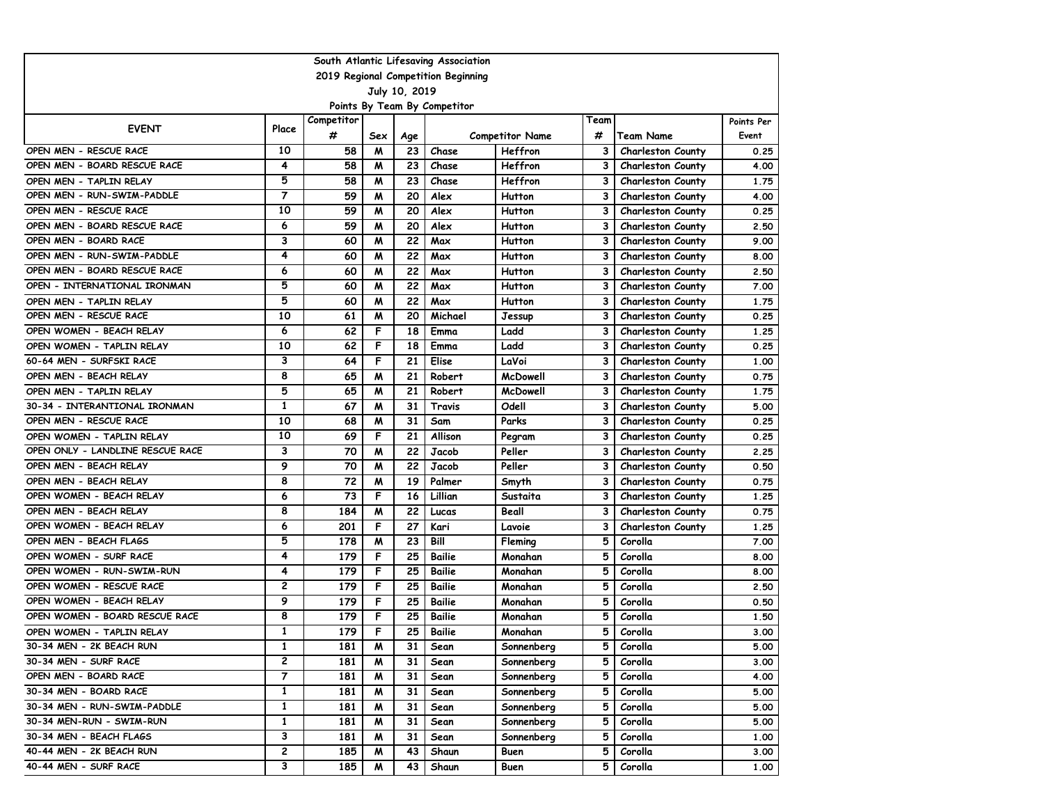| South Atlantic Lifesaving Association |                |            |     |     |                              |                        |      |                          |            |  |  |  |
|---------------------------------------|----------------|------------|-----|-----|------------------------------|------------------------|------|--------------------------|------------|--|--|--|
| 2019 Regional Competition Beginning   |                |            |     |     |                              |                        |      |                          |            |  |  |  |
| July 10, 2019                         |                |            |     |     |                              |                        |      |                          |            |  |  |  |
|                                       |                |            |     |     | Points By Team By Competitor |                        |      |                          |            |  |  |  |
| <b>EVENT</b>                          | Place          | Competitor |     |     |                              |                        | Team |                          | Points Per |  |  |  |
|                                       |                | #          | Sex | Age |                              | <b>Competitor Name</b> | #    | <b>Team Name</b>         | Event      |  |  |  |
| OPEN MEN - RESCUE RACE                | 10             | 58         | M   | 23  | Chase                        | Heffron                | 3    | <b>Charleston County</b> | 0.25       |  |  |  |
| OPEN MEN - BOARD RESCUE RACE          | 4              | 58         | M   | 23  | Chase                        | Heffron                | 3    | <b>Charleston County</b> | 4.00       |  |  |  |
| OPEN MEN - TAPLIN RELAY               | 5              | 58         | M   | 23  | Chase                        | Heffron                | 3    | <b>Charleston County</b> | 1.75       |  |  |  |
| OPEN MEN - RUN-SWIM-PADDLE            | $\overline{7}$ | 59         | м   | 20  | Alex                         | Hutton                 | 3    | <b>Charleston County</b> | 4.00       |  |  |  |
| OPEN MEN - RESCUE RACE                | 10             | 59         | м   | 20  | Alex                         | <b>Hutton</b>          | 3    | <b>Charleston County</b> | 0.25       |  |  |  |
| OPEN MEN - BOARD RESCUE RACE          | 6              | 59         | м   | 20  | Alex                         | Hutton                 | 3    | <b>Charleston County</b> | 2.50       |  |  |  |
| OPEN MEN - BOARD RACE                 | 3              | 60         | м   | 22  | Max                          | Hutton                 | 3    | <b>Charleston County</b> | 9.00       |  |  |  |
| OPEN MEN - RUN-SWIM-PADDLE            | 4              | 60         | M   | 22  | Max                          | Hutton                 | 3    | <b>Charleston County</b> | 8.00       |  |  |  |
| OPEN MEN - BOARD RESCUE RACE          | 6              | 60         | W   | 22  | Max                          | Hutton                 | 3    | <b>Charleston County</b> | 2.50       |  |  |  |
| OPEN - INTERNATIONAL IRONMAN          | 5              | 60         | м   | 22  | Max                          | <b>Hutton</b>          | 3    | <b>Charleston County</b> | 7.00       |  |  |  |
| OPEN MEN - TAPLIN RELAY               | 5              | 60         | M   | 22  | Max                          | Hutton                 | 3    | <b>Charleston County</b> | 1.75       |  |  |  |
| OPEN MEN - RESCUE RACE                | 10             | 61         | M   | 20  | Michael                      | Jessup                 | 3    | Charleston County        | 0.25       |  |  |  |
| OPEN WOMEN - BEACH RELAY              | 6              | 62         | F   | 18  | Emma                         | Ladd                   | 3    | <b>Charleston County</b> | 1.25       |  |  |  |
| OPEN WOMEN - TAPLIN RELAY             | 10             | 62         | F   | 18  | Emma                         | Ladd                   | 3    | <b>Charleston County</b> | 0.25       |  |  |  |
| 60-64 MEN - SURFSKI RACE              | 3              | 64         | F   | 21  | Elise                        | LaVoi                  | 3    | <b>Charleston County</b> | 1.00       |  |  |  |
| OPEN MEN - BEACH RELAY                | 8              | 65         | м   | 21  | Robert                       | <b>McDowell</b>        | 3    | <b>Charleston County</b> | 0.75       |  |  |  |
| OPEN MEN - TAPLIN RELAY               | 5              | 65         | м   | 21  | Robert                       | <b>McDowell</b>        | 3    | <b>Charleston County</b> | 1.75       |  |  |  |
| 30-34 - INTERANTIONAL IRONMAN         | $\mathbf{1}$   | 67         | M   | 31  | Travis                       | Odell                  | 3    | <b>Charleston County</b> | 5.00       |  |  |  |
| OPEN MEN - RESCUE RACE                | 10             | 68         | м   | 31  | Sam                          | Parks                  | 3    | <b>Charleston County</b> | 0.25       |  |  |  |
| OPEN WOMEN - TAPLIN RELAY             | 10             | 69         | F   | 21  | Allison                      | Pegram                 | 3    | <b>Charleston County</b> | 0.25       |  |  |  |
| OPEN ONLY - LANDLINE RESCUE RACE      | 3              | 70         | M   | 22  | Jacob                        | Peller                 | 3    | <b>Charleston County</b> | 2.25       |  |  |  |
| OPEN MEN - BEACH RELAY                | 9              | 70         | M   | 22  | Jacob                        | Peller                 | 3    | <b>Charleston County</b> | 0.50       |  |  |  |
| OPEN MEN - BEACH RELAY                | 8              | 72         | M   | 19  | Palmer                       | Smyth                  | 3    | <b>Charleston County</b> | 0.75       |  |  |  |
| OPEN WOMEN - BEACH RELAY              | 6              | 73         | F   | 16  | Lillian                      | Sustaita               | 3    | <b>Charleston County</b> | 1.25       |  |  |  |
| OPEN MEN - BEACH RELAY                | 8              | 184        | м   | 22  | Lucas                        | Beall                  | 3    | <b>Charleston County</b> | 0.75       |  |  |  |
| OPEN WOMEN - BEACH RELAY              | 6              | 201        | F   | 27  | Kari                         | Lavoie                 | 3    | <b>Charleston County</b> | 1.25       |  |  |  |
| OPEN MEN - BEACH FLAGS                | 5              | 178        | M   | 23  | Bill                         | Fleming                | 5    | Corolla                  | 7.00       |  |  |  |
| OPEN WOMEN - SURF RACE                | 4              | 179        | F   | 25  | Bailie                       | Monahan                | 5    | Corolla                  | 8.00       |  |  |  |
| OPEN WOMEN - RUN-SWIM-RUN             | 4              | 179        | F   | 25  | Bailie                       | Monahan                | 5    | Corolla                  | 8.00       |  |  |  |
| OPEN WOMEN - RESCUE RACE              | $\mathbf{2}$   | 179        | F   | 25  | Bailie                       | Monahan                | 5    | Corolla                  | 2.50       |  |  |  |
| OPEN WOMEN - BEACH RELAY              | 9              | 179        | F   | 25  | Bailie                       | Monahan                | 5    | Corolla                  | 0.50       |  |  |  |
| OPEN WOMEN - BOARD RESCUE RACE        | 8              | 179        | F   | 25  | <b>Bailie</b>                | Monahan                | 5    | Corolla                  | 1.50       |  |  |  |
| OPEN WOMEN - TAPLIN RELAY             | $\mathbf{1}$   | 179        | F   | 25  | Bailie                       | Monahan                | 5    | Corolla                  | 3.00       |  |  |  |
| 30-34 MEN - 2K BEACH RUN              | 1              | 181        | M   | 31  | Sean                         | Sonnenberg             | 5    | Corolla                  | 5.00       |  |  |  |
| 30-34 MEN - SURF RACE                 | 2              | 181        | M   | 31  | Sean                         | Sonnenberg             | 5    | Corolla                  | 3.00       |  |  |  |
| OPEN MEN - BOARD RACE                 | 7              | 181        | M   | 31  | Sean                         | Sonnenberg             | 5    | Corolla                  | 4.00       |  |  |  |
| 30-34 MEN - BOARD RACE                | 1              | 181        | M   | 31  | Sean                         | Sonnenberg             | 5    | Corolla                  | 5.00       |  |  |  |
| 30-34 MEN - RUN-SWIM-PADDLE           | $\mathbf{1}$   | 181        | M   | 31  | Sean                         | Sonnenberg             | 5    | Corolla                  | 5.00       |  |  |  |
| 30-34 MEN-RUN - SWIM-RUN              | 1              | 181        | M   | 31  | Sean                         | Sonnenberg             | 5    | Corolla                  | 5.00       |  |  |  |
| 30-34 MEN - BEACH FLAGS               | 3              | 181        | M   | 31  | Sean                         | Sonnenberg             | 5    | Corolla                  | 1.00       |  |  |  |
| 40-44 MEN - 2K BEACH RUN              | 2              | 185        | M   | 43  | Shaun                        | Buen                   | 5    | Corolla                  | 3.00       |  |  |  |
| 40-44 MEN - SURF RACE                 | 3              | 185        | M   | 43  | Shaun                        | Buen                   | 5    | Corolla                  | 1.00       |  |  |  |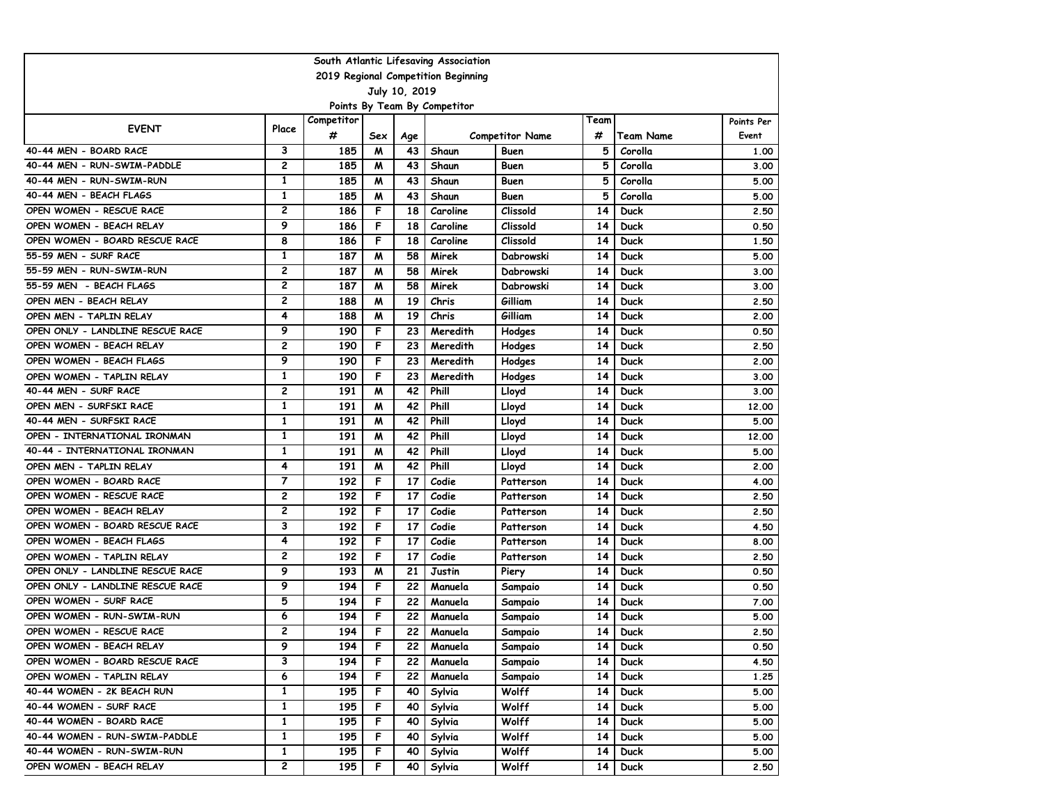| South Atlantic Lifesaving Association |                |            |     |     |          |                        |      |                  |            |  |  |  |
|---------------------------------------|----------------|------------|-----|-----|----------|------------------------|------|------------------|------------|--|--|--|
| 2019 Regional Competition Beginning   |                |            |     |     |          |                        |      |                  |            |  |  |  |
| July 10, 2019                         |                |            |     |     |          |                        |      |                  |            |  |  |  |
| Points By Team By Competitor          |                |            |     |     |          |                        |      |                  |            |  |  |  |
| <b>EVENT</b>                          | Place          | Competitor |     |     |          |                        | Team |                  | Points Per |  |  |  |
|                                       |                | #          | Sex | Age |          | <b>Competitor Name</b> | #    | <b>Team Name</b> | Event      |  |  |  |
| 40-44 MEN - BOARD RACE                | 3              | 185        | M   | 43  | Shaun    | Buen                   | 5    | Corolla          | 1.00       |  |  |  |
| 40-44 MEN - RUN-SWIM-PADDLE           | $\overline{c}$ | 185        | M   | 43  | Shaun    | Buen                   | 5    | Corolla          | 3.00       |  |  |  |
| 40-44 MEN - RUN-SWIM-RUN              | $\mathbf{1}$   | 185        | м   | 43  | Shaun    | Buen                   | 5    | Corolla          | 5.00       |  |  |  |
| 40-44 MEN - BEACH FLAGS               | 1              | 185        | м   | 43  | Shaun    | Buen                   | 5    | Corolla          | 5.00       |  |  |  |
| OPEN WOMEN - RESCUE RACE              | $\overline{c}$ | 186        | F   | 18  | Caroline | Clissold               | 14   | Duck             | 2.50       |  |  |  |
| OPEN WOMEN - BEACH RELAY              | 9              | 186        | F   | 18  | Caroline | Clissold               | 14   | Duck             | 0.50       |  |  |  |
| OPEN WOMEN - BOARD RESCUE RACE        | 8              | 186        | F   | 18  | Caroline | Clissold               | 14   | <b>Duck</b>      | 1.50       |  |  |  |
| 55-59 MEN - SURF RACE                 | $\mathbf{1}$   | 187        | M   | 58  | Mirek    | Dabrowski              | 14   | Duck             | 5.00       |  |  |  |
| 55-59 MEN - RUN-SWIM-RUN              | $\overline{c}$ | 187        | м   | 58  | Mirek    | Dabrowski              | 14   | Duck             | 3.00       |  |  |  |
| 55-59 MEN - BEACH FLAGS               | $\overline{c}$ | 187        | M   | 58  | Mirek    | Dabrowski              | 14   | Duck             | 3.00       |  |  |  |
| OPEN MEN - BEACH RELAY                | $\overline{c}$ | 188        | M   | 19  | Chris    | Gilliam                | 14   | Duck             | 2.50       |  |  |  |
| OPEN MEN - TAPLIN RELAY               | 4              | 188        | M   | 19  | Chris    | Gilliam                | 14   | <b>Duck</b>      | 2.00       |  |  |  |
| OPEN ONLY - LANDLINE RESCUE RACE      | 9              | 190        | F   | 23  | Meredith | Hodges                 | 14   | <b>Duck</b>      | 0.50       |  |  |  |
| OPEN WOMEN - BEACH RELAY              | $\overline{c}$ | 190        | F   | 23  | Meredith | Hodges                 | 14   | Duck             | 2.50       |  |  |  |
| OPEN WOMEN - BEACH FLAGS              | 9              | 190        | F   | 23  | Meredith | Hodges                 | 14   | Duck             | 2.00       |  |  |  |
| OPEN WOMEN - TAPLIN RELAY             | 1              | 190        | F   | 23  | Meredith | Hodges                 | 14   | Duck             | 3.00       |  |  |  |
| 40-44 MEN - SURF RACE                 | $\mathbf{2}$   | 191        | м   | 42  | Phill    | Lloyd                  | 14   | <b>Duck</b>      | 3.00       |  |  |  |
| OPEN MEN - SURFSKI RACE               | $\mathbf{1}$   | 191        | м   | 42  | Phill    | Lloyd                  | 14   | Duck             | 12,00      |  |  |  |
| 40-44 MEN - SURFSKI RACE              | 1              | 191        | M   | 42  | Phill    | Lloyd                  | 14   | Duck             | 5.00       |  |  |  |
| OPEN - INTERNATIONAL IRONMAN          | 1              | 191        | M   | 42  | Phill    | Lloyd                  | 14   | <b>Duck</b>      | 12,00      |  |  |  |
| 40-44 - INTERNATIONAL IRONMAN         | 1              | 191        | M   | 42  | Phill    | Lloyd                  | 14   | Duck             | 5.00       |  |  |  |
| OPEN MEN - TAPLIN RELAY               | 4              | 191        | M   | 42  | Phill    | Lloyd                  | 14   | <b>Duck</b>      | 2.00       |  |  |  |
| OPEN WOMEN - BOARD RACE               | 7              | 192        | F   | 17  | Codie    | Patterson              | 14   | Duck             | 4.00       |  |  |  |
| OPEN WOMEN - RESCUE RACE              | $\overline{c}$ | 192        | F   | 17  | Codie    | Patterson              | 14   | Duck             | 2.50       |  |  |  |
| OPEN WOMEN - BEACH RELAY              | $\overline{c}$ | 192        | F   | 17  | Codie    | Patterson              | 14   | Duck             | 2.50       |  |  |  |
| OPEN WOMEN - BOARD RESCUE RACE        | 3              | 192        | F   | 17  | Codie    | Patterson              | 14   | <b>Duck</b>      | 4.50       |  |  |  |
| OPEN WOMEN - BEACH FLAGS              | 4              | 192        | F   | 17  | Codie    | Patterson              | 14   | <b>Duck</b>      | 8.00       |  |  |  |
| OPEN WOMEN - TAPLIN RELAY             | $\overline{c}$ | 192        | F   | 17  | Codie    | Patterson              | 14   | Duck             | 2.50       |  |  |  |
| OPEN ONLY - LANDLINE RESCUE RACE      | 9              | 193        | м   | 21  | Justin   | Piery                  | 14   | Duck             | 0.50       |  |  |  |
| OPEN ONLY - LANDLINE RESCUE RACE      | 9              | 194        | F   | 22  | Manuela  | Sampaio                | 14   | <b>Duck</b>      | 0.50       |  |  |  |
| OPEN WOMEN - SURF RACE                | 5              | 194        | F   | 22  | Manuela  | Sampaio                | 14   | Duck             | 7.00       |  |  |  |
| OPEN WOMEN - RUN-SWIM-RUN             | 6              | 194        | F   | 22  | Manuela  | Sampaio                | 14   | <b>Duck</b>      | 5.00       |  |  |  |
| OPEN WOMEN - RESCUE RACE              | $\overline{c}$ | 194        | F   | 22  | Manuela  | Sampaio                | 14   | Duck             | 2.50       |  |  |  |
| OPEN WOMEN - BEACH RELAY              | 9              | 194        | F.  | 22  | Manuela  | Sampaio                | 14   | <b>Duck</b>      | 0.50       |  |  |  |
| OPEN WOMEN - BOARD RESCUE RACE        | 3              | 194        | F.  | 22  | Manuela  | Sampaio                | 14   | Duck             | 4.50       |  |  |  |
| OPEN WOMEN - TAPLIN RELAY             | 6              | 194        | F.  | 22  | Manuela  | Sampaio                | 14   | <b>Duck</b>      | 1.25       |  |  |  |
| 40-44 WOMEN - 2K BEACH RUN            | $\mathbf{1}$   | 195        | F.  | 40  | Sylvia   | Wolff                  | 14   | <b>Duck</b>      | 5.00       |  |  |  |
| 40-44 WOMEN - SURF RACE               | $\mathbf{1}$   | 195        | F.  | 40  | Sylvia   | Wolff                  | 14   | <b>Duck</b>      | 5.00       |  |  |  |
| 40-44 WOMEN - BOARD RACE              | $\mathbf{1}$   | 195        | F.  | 40  | Sylvia   | Wolff                  | 14   | <b>Duck</b>      | 5.00       |  |  |  |
| 40-44 WOMEN - RUN-SWIM-PADDLE         | $\mathbf{1}$   | 195        | F.  | 40  | Sylvia   | Wolff                  | 14   | Duck             | 5.00       |  |  |  |
| 40-44 WOMEN - RUN-SWIM-RUN            | $\mathbf{1}$   | 195        | F   | 40  | Sylvia   | Wolff                  | 14   | <b>Duck</b>      | 5.00       |  |  |  |
| OPEN WOMEN - BEACH RELAY              | $\mathbf{2}$   | 195        | F.  | 40  | Sylvia   | Wolff                  | 14   | Duck             | 2.50       |  |  |  |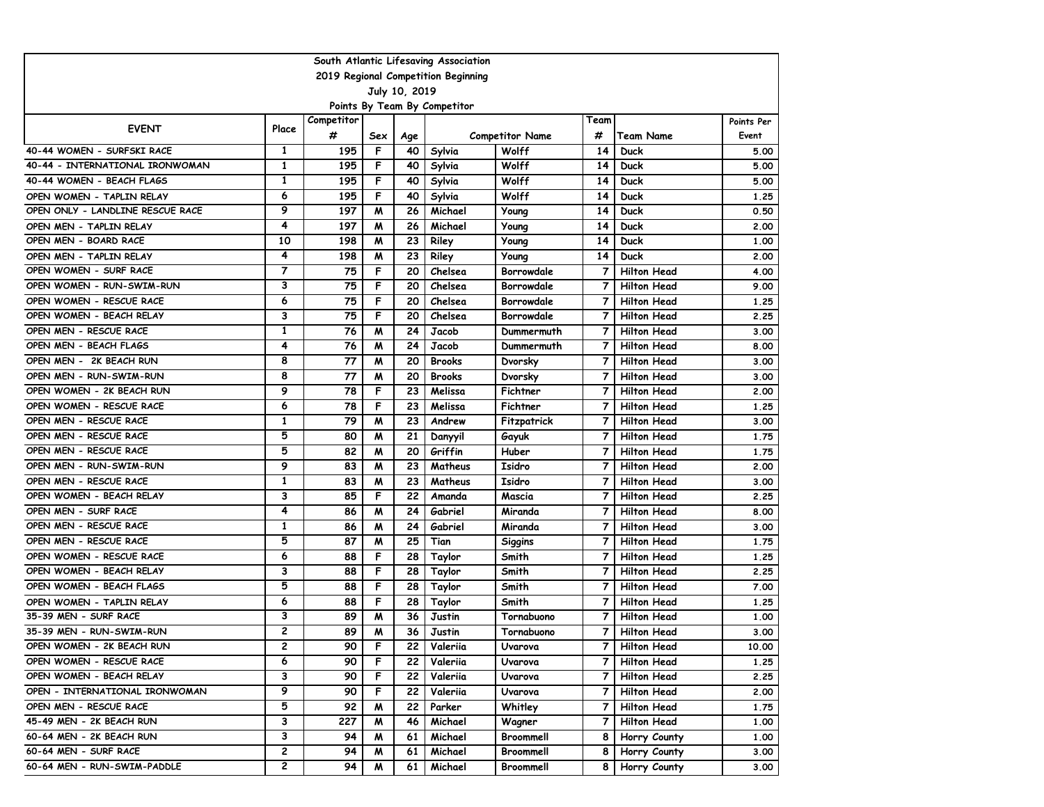| South Atlantic Lifesaving Association |                |            |     |     |                              |                        |                |                    |            |  |  |
|---------------------------------------|----------------|------------|-----|-----|------------------------------|------------------------|----------------|--------------------|------------|--|--|
| 2019 Regional Competition Beginning   |                |            |     |     |                              |                        |                |                    |            |  |  |
| July 10, 2019                         |                |            |     |     |                              |                        |                |                    |            |  |  |
|                                       |                |            |     |     | Points By Team By Competitor |                        |                |                    |            |  |  |
| <b>EVENT</b>                          | Place          | Competitor |     |     |                              |                        | Team           |                    | Points Per |  |  |
|                                       |                | #          | Sex | Age |                              | <b>Competitor Name</b> | #              | <b>Team Name</b>   | Event      |  |  |
| 40-44 WOMEN - SURFSKI RACE            | $\mathbf{1}$   | 195        | F   | 40  | Sylvia                       | Wolff                  | 14             | <b>Duck</b>        | 5.00       |  |  |
| 40-44 - INTERNATIONAL IRONWOMAN       | $\mathbf{1}$   | 195        | F   | 40  | Sylvia                       | Wolff                  | 14             | Duck               | 5.00       |  |  |
| 40-44 WOMEN - BEACH FLAGS             | $\mathbf{1}$   | 195        | F   | 40  | Sylvia                       | Wolff                  | 14             | Duck               | 5.00       |  |  |
| OPEN WOMEN - TAPLIN RELAY             | 6              | 195        | F   | 40  | Sylvia                       | Wolff                  | 14             | Duck               | 1.25       |  |  |
| OPEN ONLY - LANDLINE RESCUE RACE      | 9              | 197        | W   | 26  | Michael                      | Young                  | 14             | Duck               | 0.50       |  |  |
| OPEN MEN - TAPLIN RELAY               | 4              | 197        | м   | 26  | Michael                      | Young                  | 14             | Duck               | 2.00       |  |  |
| OPEN MEN - BOARD RACE                 | 10             | 198        | м   | 23  | Riley                        | Young                  | 14             | Duck               | 1.00       |  |  |
| OPEN MEN - TAPLIN RELAY               | 4              | 198        | м   | 23  | Riley                        | Young                  | 14             | <b>Duck</b>        | 2.00       |  |  |
| OPEN WOMEN - SURF RACE                | $\overline{7}$ | 75         | F   | 20  | Chelsea                      | Borrowdale             | $\overline{7}$ | <b>Hilton Head</b> | 4.00       |  |  |
| OPEN WOMEN - RUN-SWIM-RUN             | 3              | 75         | F   | 20  | Chelsea                      | Borrowdale             | $\overline{7}$ | <b>Hilton Head</b> | 9.00       |  |  |
| OPEN WOMEN - RESCUE RACE              | 6              | 75         | F   | 20  | Chelsea                      | Borrowdale             | 7              | <b>Hilton Head</b> | 1.25       |  |  |
| OPEN WOMEN - BEACH RELAY              | 3              | 75         | F   | 20  | Chelsea                      | Borrowdale             | $\overline{7}$ | <b>Hilton Head</b> | 2.25       |  |  |
| OPEN MEN - RESCUE RACE                | $\mathbf{1}$   | 76         | W   | 24  | Jacob                        | Dummermuth             | $\overline{7}$ | <b>Hilton Head</b> | 3.00       |  |  |
| OPEN MEN - BEACH FLAGS                | 4              | 76         | м   | 24  | Jacob                        | Dummermuth             | 7              | <b>Hilton Head</b> | 8.00       |  |  |
| OPEN MEN - 2K BEACH RUN               | 8              | 77         | W   | 20  | <b>Brooks</b>                | Dvorsky                | 7              | <b>Hilton Head</b> | 3.00       |  |  |
| OPEN MEN - RUN-SWIM-RUN               | 8              | 77         | м   | 20  | <b>Brooks</b>                | Dvorsky                | 7              | <b>Hilton Head</b> | 3.00       |  |  |
| OPEN WOMEN - 2K BEACH RUN             | 9              | 78         | F   | 23  | Melissa                      | Fichtner               | $\overline{7}$ | <b>Hilton Head</b> | 2.00       |  |  |
| OPEN WOMEN - RESCUE RACE              | 6              | 78         | F   | 23  | Melissa                      | Fichtner               | $\overline{7}$ | <b>Hilton Head</b> | 1.25       |  |  |
| OPEN MEN - RESCUE RACE                | 1              | 79         | M   | 23  | Andrew                       | Fitzpatrick            | $\overline{7}$ | <b>Hilton Head</b> | 3.00       |  |  |
| OPEN MEN - RESCUE RACE                | 5              | 80         | W   | 21  | Danyyil                      | Gayuk                  | 7              | <b>Hilton Head</b> | 1.75       |  |  |
| OPEN MEN - RESCUE RACE                | 5              | 82         | м   | 20  | Griffin                      | Huber                  | $\overline{7}$ | <b>Hilton Head</b> | 1.75       |  |  |
| OPEN MEN - RUN-SWIM-RUN               | 9              | 83         | м   | 23  | Matheus                      | Isidro                 | $\overline{7}$ | <b>Hilton Head</b> | 2.00       |  |  |
| OPEN MEN - RESCUE RACE                | $\mathbf{1}$   | 83         | M   | 23  | Matheus                      | Isidro                 | $\overline{7}$ | <b>Hilton Head</b> | 3.00       |  |  |
| OPEN WOMEN - BEACH RELAY              | 3              | 85         | F   | 22  | Amanda                       | Mascia                 | 7              | <b>Hilton Head</b> | 2.25       |  |  |
| OPEN MEN - SURF RACE                  | 4              | 86         | W   | 24  | Gabriel                      | Miranda                | $\overline{7}$ | <b>Hilton Head</b> | 8.00       |  |  |
| OPEN MEN - RESCUE RACE                | 1              | 86         | M   | 24  | Gabriel                      | Miranda                | 7              | <b>Hilton Head</b> | 3.00       |  |  |
| OPEN MEN - RESCUE RACE                | 5              | 87         | м   | 25  | Tian                         | Siggins                | $\overline{7}$ | <b>Hilton Head</b> | 1.75       |  |  |
| OPEN WOMEN - RESCUE RACE              | 6              | 88         | F   | 28  | Taylor                       | Smith                  | $\overline{7}$ | <b>Hilton Head</b> | 1.25       |  |  |
| OPEN WOMEN - BEACH RELAY              | 3              | 88         | F   | 28  | Taylor                       | Smith                  | $\overline{7}$ | <b>Hilton Head</b> | 2.25       |  |  |
| OPEN WOMEN - BEACH FLAGS              | 5              | 88         | F   | 28  | Taylor                       | Smith                  | $\overline{7}$ | <b>Hilton Head</b> | 7.00       |  |  |
| OPEN WOMEN - TAPLIN RELAY             | 6              | 88         | F   | 28  | Taylor                       | Smith                  | 7              | <b>Hilton Head</b> | 1.25       |  |  |
| 35-39 MEN - SURF RACE                 | 3              | 89         | M   | 36  | Justin                       | Tornabuono             | 7              | <b>Hilton Head</b> | 1.00       |  |  |
| 35-39 MEN - RUN-SWIM-RUN              | $\overline{c}$ | 89         | M   | 36  | Justin                       | Tornabuono             | 7              | <b>Hilton Head</b> | 3.00       |  |  |
| OPEN WOMEN - 2K BEACH RUN             | 2              | 90         | F   | 22  | Valeriia                     | Uvarova                | 7              | Hilton Head        | 10.00      |  |  |
| OPEN WOMEN - RESCUE RACE              | 6              | 90         | F   | 22  | Valeriia                     | Uvarova                | 7              | <b>Hilton Head</b> | 1.25       |  |  |
| OPEN WOMEN - BEACH RELAY              | 3              | 90         | F.  | 22  | Valeriia                     | Uvarova                | 7              | Hilton Head        | 2.25       |  |  |
| OPEN - INTERNATIONAL IRONWOMAN        | 9              | 90         | F.  | 22  | Valeriia                     | Uvarova                | 7              | <b>Hilton Head</b> | 2.00       |  |  |
| OPEN MEN - RESCUE RACE                | 5              | 92         | M   | 22  | Parker                       | Whitley                | 7              | Hilton Head        | 1.75       |  |  |
| 45-49 MEN - 2K BEACH RUN              | 3              | 227        | M   | 46  | Michael                      | Wagner                 | 7              | Hilton Head        | 1.00       |  |  |
| 60-64 MEN - 2K BEACH RUN              | 3              | 94         | M   | 61  | Michael                      | Broommell              | 8              | Horry County       | 1.00       |  |  |
| 60-64 MEN - SURF RACE                 | 2              | 94         | M   | 61  | Michael                      | Broommell              | 8              | Horry County       | 3.00       |  |  |
| 60-64 MEN - RUN-SWIM-PADDLE           | $\mathbf{2}$   | 94         | M   | 61  | Michael                      | Broommell              | 8              | Horry County       | 3.00       |  |  |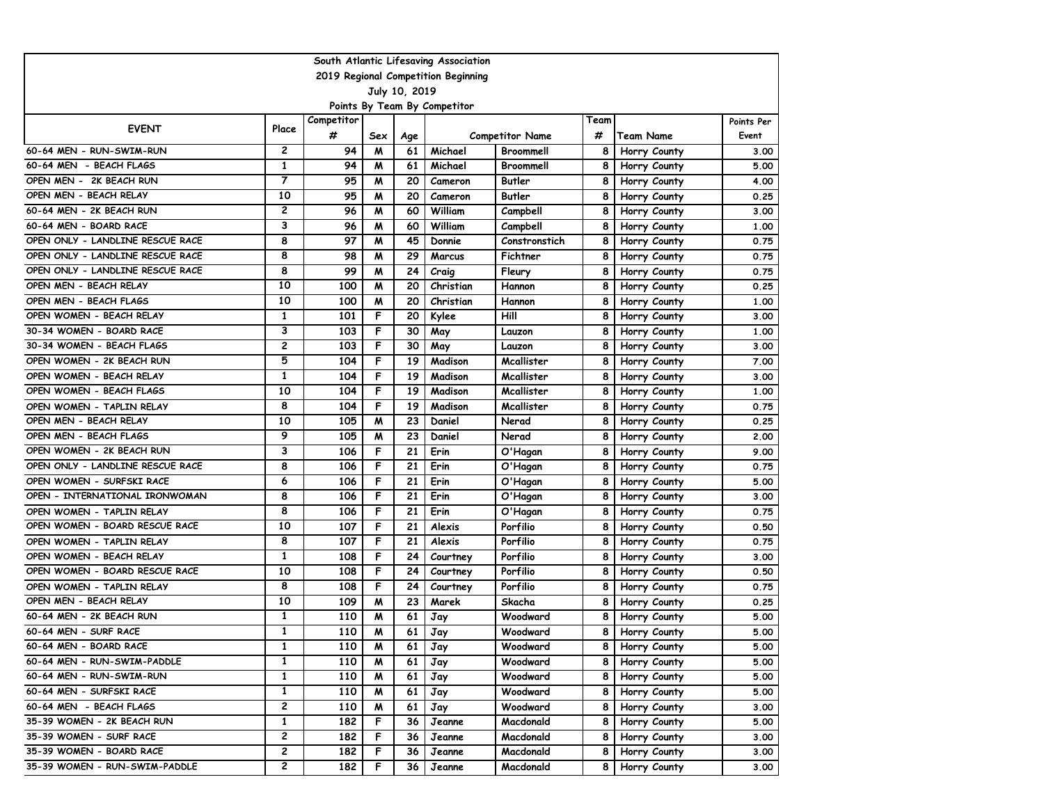| 2019 Regional Competition Beginning<br>July 10, 2019<br>Points By Team By Competitor<br>Competitor<br>Team<br>Points Per<br><b>EVENT</b><br>Place<br>#<br>#<br>Sex<br><b>Competitor Name</b><br>Team Name<br>Event<br>Age<br>60-64 MEN - RUN-SWIM-RUN<br>$\mathbf{2}$<br>94<br>м<br>61<br>Michael<br>Broommell<br>8<br>Horry County<br>3.00<br>$\mathbf{1}$<br>60-64 MEN - BEACH FLAGS<br>94<br>м<br>61<br>Broommell<br>5.00<br>Michael<br>8<br>Horry County<br>$\overline{7}$<br>OPEN MEN - 2K BEACH RUN<br>95<br>20<br><b>Butler</b><br>M<br>8<br>4.00<br>Cameron<br>Horry County<br>10<br>OPEN MEN - BEACH RELAY<br>95<br>W<br>20<br>Butler<br>8<br>0.25<br>Cameron<br>Horry County<br>60-64 MEN - 2K BEACH RUN<br>$\mathbf{2}$<br>96<br>W<br>60<br>William<br>8<br>Campbell<br>3.00<br>Horry County<br>3<br>60-64 MEN - BOARD RACE<br>William<br>96<br>M<br>60<br>Campbell<br>8<br>Horry County<br>1.00<br>8<br>OPEN ONLY - LANDLINE RESCUE RACE<br>97<br>45<br>м<br>8<br>0.75<br>Donnie<br>Constronstich<br>Horry County<br>8<br>OPEN ONLY - LANDLINE RESCUE RACE<br>98<br>29<br>м<br>Fichtner<br>8<br>0.75<br>Marcus<br>Horry County<br>8<br>99<br>W<br>24<br>8<br>OPEN ONLY - LANDLINE RESCUE RACE<br>Fleury<br>0.75<br>Craig<br>Horry County<br>OPEN MEN - BEACH RELAY<br>10<br>100<br>W<br>20<br>8<br>0.25<br>Christian<br>Hannon<br>Horry County<br>10<br>OPEN MEN - BEACH FLAGS<br>100<br>W<br>20<br>Christian<br>1.00<br>Hannon<br>8<br>Horry County<br>$\mathbf{1}$<br>F<br>OPEN WOMEN - BEACH RELAY<br>101<br>20<br>Hill<br>8<br>3.00<br>Kylee<br>Horry County<br>3<br>30-34 WOMEN - BOARD RACE<br>F<br>30<br>103<br>May<br>8<br>1.00<br>Horry County<br>Lauzon<br>$\overline{c}$<br>103<br>F<br>30<br>8<br>30-34 WOMEN - BEACH FLAGS<br>May<br>3.00<br>Lauzon<br>Horry County<br>5<br>F<br>OPEN WOMEN - 2K BEACH RUN<br>104<br>19<br>Madison<br>Mcallister<br>8<br>7.00<br>Horry County<br>OPEN WOMEN - BEACH RELAY<br>1<br>F<br>104<br>19<br>Madison<br>Mcallister<br>8<br>Horry County<br>3.00<br>10<br>F<br>104<br>19<br>OPEN WOMEN - BEACH FLAGS<br>Madison<br>8<br>Mcallister<br>Horry County<br>1.00<br>8<br>F<br>104<br>19<br>Madison<br>OPEN WOMEN - TAPLIN RELAY<br>Mcallister<br>8<br>0.75<br>Horry County<br>10<br>105<br>23<br>OPEN MEN - BEACH RELAY<br>W<br>8<br>Daniel<br>Nerad<br>Horry County<br>0.25<br>OPEN MEN - BEACH FLAGS<br>9<br>23<br>105<br>W<br>Daniel<br>8<br>2.00<br>Nerad<br>Horry County<br>3<br>F<br>OPEN WOMEN - 2K BEACH RUN<br>106<br>21<br>Erin<br>O'Hagan<br>9.00<br>8<br>Horry County<br>8<br>F<br>21<br>OPEN ONLY - LANDLINE RESCUE RACE<br>106<br>Erin<br>O'Hagan<br>8<br>0.75<br>Horry County<br>OPEN WOMEN - SURFSKI RACE<br>F<br>21<br>6<br>106<br>Erin<br>O'Hagan<br>8<br>5.00<br>Horry County<br>8<br>21<br>OPEN - INTERNATIONAL IRONWOMAN<br>106<br>F<br>8<br>Erin<br>O'Hagan<br>3.00<br>Horry County<br>8<br>106<br>F<br>21<br>Erin<br>O'Hagan<br>0.75<br>OPEN WOMEN - TAPLIN RELAY<br>8<br>Horry County<br>10<br>OPEN WOMEN - BOARD RESCUE RACE<br>F<br>107<br>21<br>Alexis<br>Porfilio<br>8<br>Horry County<br>0.50<br>8<br>F<br>107<br>21<br>Alexis<br>Porfilio<br>8<br>0.75<br>OPEN WOMEN - TAPLIN RELAY<br>Horry County<br>1<br>F<br>OPEN WOMEN - BEACH RELAY<br>108<br>24<br>Porfilio<br>8<br>3.00<br>Horry County<br>Courtney<br>10<br>F<br>108<br>24<br>Porfilio<br>8<br>0.50<br>OPEN WOMEN - BOARD RESCUE RACE<br>Courtney<br>Horry County<br>8<br>F<br>108<br>24<br>Porfilio<br>8<br>0.75<br>OPEN WOMEN - TAPLIN RELAY<br>Courtney<br>Horry County<br>10<br>OPEN MEN - BEACH RELAY<br>109<br>м<br>23<br>Skacha<br>0.25<br>Marek<br>8<br>Horry County<br>$\mathbf{1}$<br>60-64 MEN - 2K BEACH RUN<br>110<br>61<br>M<br>8<br>5.00<br>Jay<br>Woodward<br>Horry County<br>60-64 MEN - SURF RACE<br>$\mathbf{1}$<br>110<br>61<br>W<br>8<br>5.00<br>Jay<br>Woodward<br>Horry County<br>1<br>Woodward<br>60-64 MEN - BOARD RACE<br>110<br>Jay<br>8<br>Horry County<br>5.00<br>M<br>61<br>1<br>110<br>61<br>5.00<br>M<br>Jay<br>Woodward<br>8<br>Horry County<br>1<br>110<br>61<br>Woodward<br>Horry County<br>5.00<br>M<br>Jay<br>8<br>60-64 MEN - SURFSKI RACE<br>1<br>110<br>M<br>61<br>Jay<br>5.00<br>Woodward<br>8<br>Horry County<br>2<br>60-64 MEN - BEACH FLAGS<br>110<br>M<br>61<br>Woodward<br>Horry County<br>3.00<br>Jay<br>8<br>1<br>182<br>F<br>35-39 WOMEN - 2K BEACH RUN<br>36<br>Macdonald<br>8<br>Horry County<br>5.00<br>Jeanne<br>2<br>35-39 WOMEN - SURF RACE<br>182<br>F.<br>36<br>3.00<br>Jeanne<br>Macdonald<br>8<br>Horry County<br>2 | South Atlantic Lifesaving Association |  |     |   |    |        |           |   |              |      |  |  |  |
|--------------------------------------------------------------------------------------------------------------------------------------------------------------------------------------------------------------------------------------------------------------------------------------------------------------------------------------------------------------------------------------------------------------------------------------------------------------------------------------------------------------------------------------------------------------------------------------------------------------------------------------------------------------------------------------------------------------------------------------------------------------------------------------------------------------------------------------------------------------------------------------------------------------------------------------------------------------------------------------------------------------------------------------------------------------------------------------------------------------------------------------------------------------------------------------------------------------------------------------------------------------------------------------------------------------------------------------------------------------------------------------------------------------------------------------------------------------------------------------------------------------------------------------------------------------------------------------------------------------------------------------------------------------------------------------------------------------------------------------------------------------------------------------------------------------------------------------------------------------------------------------------------------------------------------------------------------------------------------------------------------------------------------------------------------------------------------------------------------------------------------------------------------------------------------------------------------------------------------------------------------------------------------------------------------------------------------------------------------------------------------------------------------------------------------------------------------------------------------------------------------------------------------------------------------------------------------------------------------------------------------------------------------------------------------------------------------------------------------------------------------------------------------------------------------------------------------------------------------------------------------------------------------------------------------------------------------------------------------------------------------------------------------------------------------------------------------------------------------------------------------------------------------------------------------------------------------------------------------------------------------------------------------------------------------------------------------------------------------------------------------------------------------------------------------------------------------------------------------------------------------------------------------------------------------------------------------------------------------------------------------------------------------------------------------------------------------------------------------------------------------------------------------------------------------------------------------------------------------------------------------------------------------------------------------------------------------------------------------------------------------------------------------------------------------------------------------------------------------------------------------------------------------------------------------------------------------------------------------------------------------------------------------------------------------------------------------------------------------------------------------------------------------------------------------------------------------------------------------------------------------------------------------|---------------------------------------|--|-----|---|----|--------|-----------|---|--------------|------|--|--|--|
|                                                                                                                                                                                                                                                                                                                                                                                                                                                                                                                                                                                                                                                                                                                                                                                                                                                                                                                                                                                                                                                                                                                                                                                                                                                                                                                                                                                                                                                                                                                                                                                                                                                                                                                                                                                                                                                                                                                                                                                                                                                                                                                                                                                                                                                                                                                                                                                                                                                                                                                                                                                                                                                                                                                                                                                                                                                                                                                                                                                                                                                                                                                                                                                                                                                                                                                                                                                                                                                                                                                                                                                                                                                                                                                                                                                                                                                                                                                                                                                                                                                                                                                                                                                                                                                                                                                                                                                                                                                                                                                                |                                       |  |     |   |    |        |           |   |              |      |  |  |  |
|                                                                                                                                                                                                                                                                                                                                                                                                                                                                                                                                                                                                                                                                                                                                                                                                                                                                                                                                                                                                                                                                                                                                                                                                                                                                                                                                                                                                                                                                                                                                                                                                                                                                                                                                                                                                                                                                                                                                                                                                                                                                                                                                                                                                                                                                                                                                                                                                                                                                                                                                                                                                                                                                                                                                                                                                                                                                                                                                                                                                                                                                                                                                                                                                                                                                                                                                                                                                                                                                                                                                                                                                                                                                                                                                                                                                                                                                                                                                                                                                                                                                                                                                                                                                                                                                                                                                                                                                                                                                                                                                |                                       |  |     |   |    |        |           |   |              |      |  |  |  |
|                                                                                                                                                                                                                                                                                                                                                                                                                                                                                                                                                                                                                                                                                                                                                                                                                                                                                                                                                                                                                                                                                                                                                                                                                                                                                                                                                                                                                                                                                                                                                                                                                                                                                                                                                                                                                                                                                                                                                                                                                                                                                                                                                                                                                                                                                                                                                                                                                                                                                                                                                                                                                                                                                                                                                                                                                                                                                                                                                                                                                                                                                                                                                                                                                                                                                                                                                                                                                                                                                                                                                                                                                                                                                                                                                                                                                                                                                                                                                                                                                                                                                                                                                                                                                                                                                                                                                                                                                                                                                                                                |                                       |  |     |   |    |        |           |   |              |      |  |  |  |
|                                                                                                                                                                                                                                                                                                                                                                                                                                                                                                                                                                                                                                                                                                                                                                                                                                                                                                                                                                                                                                                                                                                                                                                                                                                                                                                                                                                                                                                                                                                                                                                                                                                                                                                                                                                                                                                                                                                                                                                                                                                                                                                                                                                                                                                                                                                                                                                                                                                                                                                                                                                                                                                                                                                                                                                                                                                                                                                                                                                                                                                                                                                                                                                                                                                                                                                                                                                                                                                                                                                                                                                                                                                                                                                                                                                                                                                                                                                                                                                                                                                                                                                                                                                                                                                                                                                                                                                                                                                                                                                                |                                       |  |     |   |    |        |           |   |              |      |  |  |  |
|                                                                                                                                                                                                                                                                                                                                                                                                                                                                                                                                                                                                                                                                                                                                                                                                                                                                                                                                                                                                                                                                                                                                                                                                                                                                                                                                                                                                                                                                                                                                                                                                                                                                                                                                                                                                                                                                                                                                                                                                                                                                                                                                                                                                                                                                                                                                                                                                                                                                                                                                                                                                                                                                                                                                                                                                                                                                                                                                                                                                                                                                                                                                                                                                                                                                                                                                                                                                                                                                                                                                                                                                                                                                                                                                                                                                                                                                                                                                                                                                                                                                                                                                                                                                                                                                                                                                                                                                                                                                                                                                |                                       |  |     |   |    |        |           |   |              |      |  |  |  |
|                                                                                                                                                                                                                                                                                                                                                                                                                                                                                                                                                                                                                                                                                                                                                                                                                                                                                                                                                                                                                                                                                                                                                                                                                                                                                                                                                                                                                                                                                                                                                                                                                                                                                                                                                                                                                                                                                                                                                                                                                                                                                                                                                                                                                                                                                                                                                                                                                                                                                                                                                                                                                                                                                                                                                                                                                                                                                                                                                                                                                                                                                                                                                                                                                                                                                                                                                                                                                                                                                                                                                                                                                                                                                                                                                                                                                                                                                                                                                                                                                                                                                                                                                                                                                                                                                                                                                                                                                                                                                                                                |                                       |  |     |   |    |        |           |   |              |      |  |  |  |
|                                                                                                                                                                                                                                                                                                                                                                                                                                                                                                                                                                                                                                                                                                                                                                                                                                                                                                                                                                                                                                                                                                                                                                                                                                                                                                                                                                                                                                                                                                                                                                                                                                                                                                                                                                                                                                                                                                                                                                                                                                                                                                                                                                                                                                                                                                                                                                                                                                                                                                                                                                                                                                                                                                                                                                                                                                                                                                                                                                                                                                                                                                                                                                                                                                                                                                                                                                                                                                                                                                                                                                                                                                                                                                                                                                                                                                                                                                                                                                                                                                                                                                                                                                                                                                                                                                                                                                                                                                                                                                                                |                                       |  |     |   |    |        |           |   |              |      |  |  |  |
|                                                                                                                                                                                                                                                                                                                                                                                                                                                                                                                                                                                                                                                                                                                                                                                                                                                                                                                                                                                                                                                                                                                                                                                                                                                                                                                                                                                                                                                                                                                                                                                                                                                                                                                                                                                                                                                                                                                                                                                                                                                                                                                                                                                                                                                                                                                                                                                                                                                                                                                                                                                                                                                                                                                                                                                                                                                                                                                                                                                                                                                                                                                                                                                                                                                                                                                                                                                                                                                                                                                                                                                                                                                                                                                                                                                                                                                                                                                                                                                                                                                                                                                                                                                                                                                                                                                                                                                                                                                                                                                                |                                       |  |     |   |    |        |           |   |              |      |  |  |  |
|                                                                                                                                                                                                                                                                                                                                                                                                                                                                                                                                                                                                                                                                                                                                                                                                                                                                                                                                                                                                                                                                                                                                                                                                                                                                                                                                                                                                                                                                                                                                                                                                                                                                                                                                                                                                                                                                                                                                                                                                                                                                                                                                                                                                                                                                                                                                                                                                                                                                                                                                                                                                                                                                                                                                                                                                                                                                                                                                                                                                                                                                                                                                                                                                                                                                                                                                                                                                                                                                                                                                                                                                                                                                                                                                                                                                                                                                                                                                                                                                                                                                                                                                                                                                                                                                                                                                                                                                                                                                                                                                |                                       |  |     |   |    |        |           |   |              |      |  |  |  |
|                                                                                                                                                                                                                                                                                                                                                                                                                                                                                                                                                                                                                                                                                                                                                                                                                                                                                                                                                                                                                                                                                                                                                                                                                                                                                                                                                                                                                                                                                                                                                                                                                                                                                                                                                                                                                                                                                                                                                                                                                                                                                                                                                                                                                                                                                                                                                                                                                                                                                                                                                                                                                                                                                                                                                                                                                                                                                                                                                                                                                                                                                                                                                                                                                                                                                                                                                                                                                                                                                                                                                                                                                                                                                                                                                                                                                                                                                                                                                                                                                                                                                                                                                                                                                                                                                                                                                                                                                                                                                                                                |                                       |  |     |   |    |        |           |   |              |      |  |  |  |
|                                                                                                                                                                                                                                                                                                                                                                                                                                                                                                                                                                                                                                                                                                                                                                                                                                                                                                                                                                                                                                                                                                                                                                                                                                                                                                                                                                                                                                                                                                                                                                                                                                                                                                                                                                                                                                                                                                                                                                                                                                                                                                                                                                                                                                                                                                                                                                                                                                                                                                                                                                                                                                                                                                                                                                                                                                                                                                                                                                                                                                                                                                                                                                                                                                                                                                                                                                                                                                                                                                                                                                                                                                                                                                                                                                                                                                                                                                                                                                                                                                                                                                                                                                                                                                                                                                                                                                                                                                                                                                                                |                                       |  |     |   |    |        |           |   |              |      |  |  |  |
|                                                                                                                                                                                                                                                                                                                                                                                                                                                                                                                                                                                                                                                                                                                                                                                                                                                                                                                                                                                                                                                                                                                                                                                                                                                                                                                                                                                                                                                                                                                                                                                                                                                                                                                                                                                                                                                                                                                                                                                                                                                                                                                                                                                                                                                                                                                                                                                                                                                                                                                                                                                                                                                                                                                                                                                                                                                                                                                                                                                                                                                                                                                                                                                                                                                                                                                                                                                                                                                                                                                                                                                                                                                                                                                                                                                                                                                                                                                                                                                                                                                                                                                                                                                                                                                                                                                                                                                                                                                                                                                                |                                       |  |     |   |    |        |           |   |              |      |  |  |  |
|                                                                                                                                                                                                                                                                                                                                                                                                                                                                                                                                                                                                                                                                                                                                                                                                                                                                                                                                                                                                                                                                                                                                                                                                                                                                                                                                                                                                                                                                                                                                                                                                                                                                                                                                                                                                                                                                                                                                                                                                                                                                                                                                                                                                                                                                                                                                                                                                                                                                                                                                                                                                                                                                                                                                                                                                                                                                                                                                                                                                                                                                                                                                                                                                                                                                                                                                                                                                                                                                                                                                                                                                                                                                                                                                                                                                                                                                                                                                                                                                                                                                                                                                                                                                                                                                                                                                                                                                                                                                                                                                |                                       |  |     |   |    |        |           |   |              |      |  |  |  |
|                                                                                                                                                                                                                                                                                                                                                                                                                                                                                                                                                                                                                                                                                                                                                                                                                                                                                                                                                                                                                                                                                                                                                                                                                                                                                                                                                                                                                                                                                                                                                                                                                                                                                                                                                                                                                                                                                                                                                                                                                                                                                                                                                                                                                                                                                                                                                                                                                                                                                                                                                                                                                                                                                                                                                                                                                                                                                                                                                                                                                                                                                                                                                                                                                                                                                                                                                                                                                                                                                                                                                                                                                                                                                                                                                                                                                                                                                                                                                                                                                                                                                                                                                                                                                                                                                                                                                                                                                                                                                                                                |                                       |  |     |   |    |        |           |   |              |      |  |  |  |
|                                                                                                                                                                                                                                                                                                                                                                                                                                                                                                                                                                                                                                                                                                                                                                                                                                                                                                                                                                                                                                                                                                                                                                                                                                                                                                                                                                                                                                                                                                                                                                                                                                                                                                                                                                                                                                                                                                                                                                                                                                                                                                                                                                                                                                                                                                                                                                                                                                                                                                                                                                                                                                                                                                                                                                                                                                                                                                                                                                                                                                                                                                                                                                                                                                                                                                                                                                                                                                                                                                                                                                                                                                                                                                                                                                                                                                                                                                                                                                                                                                                                                                                                                                                                                                                                                                                                                                                                                                                                                                                                |                                       |  |     |   |    |        |           |   |              |      |  |  |  |
|                                                                                                                                                                                                                                                                                                                                                                                                                                                                                                                                                                                                                                                                                                                                                                                                                                                                                                                                                                                                                                                                                                                                                                                                                                                                                                                                                                                                                                                                                                                                                                                                                                                                                                                                                                                                                                                                                                                                                                                                                                                                                                                                                                                                                                                                                                                                                                                                                                                                                                                                                                                                                                                                                                                                                                                                                                                                                                                                                                                                                                                                                                                                                                                                                                                                                                                                                                                                                                                                                                                                                                                                                                                                                                                                                                                                                                                                                                                                                                                                                                                                                                                                                                                                                                                                                                                                                                                                                                                                                                                                |                                       |  |     |   |    |        |           |   |              |      |  |  |  |
|                                                                                                                                                                                                                                                                                                                                                                                                                                                                                                                                                                                                                                                                                                                                                                                                                                                                                                                                                                                                                                                                                                                                                                                                                                                                                                                                                                                                                                                                                                                                                                                                                                                                                                                                                                                                                                                                                                                                                                                                                                                                                                                                                                                                                                                                                                                                                                                                                                                                                                                                                                                                                                                                                                                                                                                                                                                                                                                                                                                                                                                                                                                                                                                                                                                                                                                                                                                                                                                                                                                                                                                                                                                                                                                                                                                                                                                                                                                                                                                                                                                                                                                                                                                                                                                                                                                                                                                                                                                                                                                                |                                       |  |     |   |    |        |           |   |              |      |  |  |  |
|                                                                                                                                                                                                                                                                                                                                                                                                                                                                                                                                                                                                                                                                                                                                                                                                                                                                                                                                                                                                                                                                                                                                                                                                                                                                                                                                                                                                                                                                                                                                                                                                                                                                                                                                                                                                                                                                                                                                                                                                                                                                                                                                                                                                                                                                                                                                                                                                                                                                                                                                                                                                                                                                                                                                                                                                                                                                                                                                                                                                                                                                                                                                                                                                                                                                                                                                                                                                                                                                                                                                                                                                                                                                                                                                                                                                                                                                                                                                                                                                                                                                                                                                                                                                                                                                                                                                                                                                                                                                                                                                |                                       |  |     |   |    |        |           |   |              |      |  |  |  |
|                                                                                                                                                                                                                                                                                                                                                                                                                                                                                                                                                                                                                                                                                                                                                                                                                                                                                                                                                                                                                                                                                                                                                                                                                                                                                                                                                                                                                                                                                                                                                                                                                                                                                                                                                                                                                                                                                                                                                                                                                                                                                                                                                                                                                                                                                                                                                                                                                                                                                                                                                                                                                                                                                                                                                                                                                                                                                                                                                                                                                                                                                                                                                                                                                                                                                                                                                                                                                                                                                                                                                                                                                                                                                                                                                                                                                                                                                                                                                                                                                                                                                                                                                                                                                                                                                                                                                                                                                                                                                                                                |                                       |  |     |   |    |        |           |   |              |      |  |  |  |
|                                                                                                                                                                                                                                                                                                                                                                                                                                                                                                                                                                                                                                                                                                                                                                                                                                                                                                                                                                                                                                                                                                                                                                                                                                                                                                                                                                                                                                                                                                                                                                                                                                                                                                                                                                                                                                                                                                                                                                                                                                                                                                                                                                                                                                                                                                                                                                                                                                                                                                                                                                                                                                                                                                                                                                                                                                                                                                                                                                                                                                                                                                                                                                                                                                                                                                                                                                                                                                                                                                                                                                                                                                                                                                                                                                                                                                                                                                                                                                                                                                                                                                                                                                                                                                                                                                                                                                                                                                                                                                                                |                                       |  |     |   |    |        |           |   |              |      |  |  |  |
|                                                                                                                                                                                                                                                                                                                                                                                                                                                                                                                                                                                                                                                                                                                                                                                                                                                                                                                                                                                                                                                                                                                                                                                                                                                                                                                                                                                                                                                                                                                                                                                                                                                                                                                                                                                                                                                                                                                                                                                                                                                                                                                                                                                                                                                                                                                                                                                                                                                                                                                                                                                                                                                                                                                                                                                                                                                                                                                                                                                                                                                                                                                                                                                                                                                                                                                                                                                                                                                                                                                                                                                                                                                                                                                                                                                                                                                                                                                                                                                                                                                                                                                                                                                                                                                                                                                                                                                                                                                                                                                                |                                       |  |     |   |    |        |           |   |              |      |  |  |  |
|                                                                                                                                                                                                                                                                                                                                                                                                                                                                                                                                                                                                                                                                                                                                                                                                                                                                                                                                                                                                                                                                                                                                                                                                                                                                                                                                                                                                                                                                                                                                                                                                                                                                                                                                                                                                                                                                                                                                                                                                                                                                                                                                                                                                                                                                                                                                                                                                                                                                                                                                                                                                                                                                                                                                                                                                                                                                                                                                                                                                                                                                                                                                                                                                                                                                                                                                                                                                                                                                                                                                                                                                                                                                                                                                                                                                                                                                                                                                                                                                                                                                                                                                                                                                                                                                                                                                                                                                                                                                                                                                |                                       |  |     |   |    |        |           |   |              |      |  |  |  |
|                                                                                                                                                                                                                                                                                                                                                                                                                                                                                                                                                                                                                                                                                                                                                                                                                                                                                                                                                                                                                                                                                                                                                                                                                                                                                                                                                                                                                                                                                                                                                                                                                                                                                                                                                                                                                                                                                                                                                                                                                                                                                                                                                                                                                                                                                                                                                                                                                                                                                                                                                                                                                                                                                                                                                                                                                                                                                                                                                                                                                                                                                                                                                                                                                                                                                                                                                                                                                                                                                                                                                                                                                                                                                                                                                                                                                                                                                                                                                                                                                                                                                                                                                                                                                                                                                                                                                                                                                                                                                                                                |                                       |  |     |   |    |        |           |   |              |      |  |  |  |
|                                                                                                                                                                                                                                                                                                                                                                                                                                                                                                                                                                                                                                                                                                                                                                                                                                                                                                                                                                                                                                                                                                                                                                                                                                                                                                                                                                                                                                                                                                                                                                                                                                                                                                                                                                                                                                                                                                                                                                                                                                                                                                                                                                                                                                                                                                                                                                                                                                                                                                                                                                                                                                                                                                                                                                                                                                                                                                                                                                                                                                                                                                                                                                                                                                                                                                                                                                                                                                                                                                                                                                                                                                                                                                                                                                                                                                                                                                                                                                                                                                                                                                                                                                                                                                                                                                                                                                                                                                                                                                                                |                                       |  |     |   |    |        |           |   |              |      |  |  |  |
|                                                                                                                                                                                                                                                                                                                                                                                                                                                                                                                                                                                                                                                                                                                                                                                                                                                                                                                                                                                                                                                                                                                                                                                                                                                                                                                                                                                                                                                                                                                                                                                                                                                                                                                                                                                                                                                                                                                                                                                                                                                                                                                                                                                                                                                                                                                                                                                                                                                                                                                                                                                                                                                                                                                                                                                                                                                                                                                                                                                                                                                                                                                                                                                                                                                                                                                                                                                                                                                                                                                                                                                                                                                                                                                                                                                                                                                                                                                                                                                                                                                                                                                                                                                                                                                                                                                                                                                                                                                                                                                                |                                       |  |     |   |    |        |           |   |              |      |  |  |  |
|                                                                                                                                                                                                                                                                                                                                                                                                                                                                                                                                                                                                                                                                                                                                                                                                                                                                                                                                                                                                                                                                                                                                                                                                                                                                                                                                                                                                                                                                                                                                                                                                                                                                                                                                                                                                                                                                                                                                                                                                                                                                                                                                                                                                                                                                                                                                                                                                                                                                                                                                                                                                                                                                                                                                                                                                                                                                                                                                                                                                                                                                                                                                                                                                                                                                                                                                                                                                                                                                                                                                                                                                                                                                                                                                                                                                                                                                                                                                                                                                                                                                                                                                                                                                                                                                                                                                                                                                                                                                                                                                |                                       |  |     |   |    |        |           |   |              |      |  |  |  |
|                                                                                                                                                                                                                                                                                                                                                                                                                                                                                                                                                                                                                                                                                                                                                                                                                                                                                                                                                                                                                                                                                                                                                                                                                                                                                                                                                                                                                                                                                                                                                                                                                                                                                                                                                                                                                                                                                                                                                                                                                                                                                                                                                                                                                                                                                                                                                                                                                                                                                                                                                                                                                                                                                                                                                                                                                                                                                                                                                                                                                                                                                                                                                                                                                                                                                                                                                                                                                                                                                                                                                                                                                                                                                                                                                                                                                                                                                                                                                                                                                                                                                                                                                                                                                                                                                                                                                                                                                                                                                                                                |                                       |  |     |   |    |        |           |   |              |      |  |  |  |
|                                                                                                                                                                                                                                                                                                                                                                                                                                                                                                                                                                                                                                                                                                                                                                                                                                                                                                                                                                                                                                                                                                                                                                                                                                                                                                                                                                                                                                                                                                                                                                                                                                                                                                                                                                                                                                                                                                                                                                                                                                                                                                                                                                                                                                                                                                                                                                                                                                                                                                                                                                                                                                                                                                                                                                                                                                                                                                                                                                                                                                                                                                                                                                                                                                                                                                                                                                                                                                                                                                                                                                                                                                                                                                                                                                                                                                                                                                                                                                                                                                                                                                                                                                                                                                                                                                                                                                                                                                                                                                                                |                                       |  |     |   |    |        |           |   |              |      |  |  |  |
|                                                                                                                                                                                                                                                                                                                                                                                                                                                                                                                                                                                                                                                                                                                                                                                                                                                                                                                                                                                                                                                                                                                                                                                                                                                                                                                                                                                                                                                                                                                                                                                                                                                                                                                                                                                                                                                                                                                                                                                                                                                                                                                                                                                                                                                                                                                                                                                                                                                                                                                                                                                                                                                                                                                                                                                                                                                                                                                                                                                                                                                                                                                                                                                                                                                                                                                                                                                                                                                                                                                                                                                                                                                                                                                                                                                                                                                                                                                                                                                                                                                                                                                                                                                                                                                                                                                                                                                                                                                                                                                                |                                       |  |     |   |    |        |           |   |              |      |  |  |  |
|                                                                                                                                                                                                                                                                                                                                                                                                                                                                                                                                                                                                                                                                                                                                                                                                                                                                                                                                                                                                                                                                                                                                                                                                                                                                                                                                                                                                                                                                                                                                                                                                                                                                                                                                                                                                                                                                                                                                                                                                                                                                                                                                                                                                                                                                                                                                                                                                                                                                                                                                                                                                                                                                                                                                                                                                                                                                                                                                                                                                                                                                                                                                                                                                                                                                                                                                                                                                                                                                                                                                                                                                                                                                                                                                                                                                                                                                                                                                                                                                                                                                                                                                                                                                                                                                                                                                                                                                                                                                                                                                |                                       |  |     |   |    |        |           |   |              |      |  |  |  |
|                                                                                                                                                                                                                                                                                                                                                                                                                                                                                                                                                                                                                                                                                                                                                                                                                                                                                                                                                                                                                                                                                                                                                                                                                                                                                                                                                                                                                                                                                                                                                                                                                                                                                                                                                                                                                                                                                                                                                                                                                                                                                                                                                                                                                                                                                                                                                                                                                                                                                                                                                                                                                                                                                                                                                                                                                                                                                                                                                                                                                                                                                                                                                                                                                                                                                                                                                                                                                                                                                                                                                                                                                                                                                                                                                                                                                                                                                                                                                                                                                                                                                                                                                                                                                                                                                                                                                                                                                                                                                                                                |                                       |  |     |   |    |        |           |   |              |      |  |  |  |
|                                                                                                                                                                                                                                                                                                                                                                                                                                                                                                                                                                                                                                                                                                                                                                                                                                                                                                                                                                                                                                                                                                                                                                                                                                                                                                                                                                                                                                                                                                                                                                                                                                                                                                                                                                                                                                                                                                                                                                                                                                                                                                                                                                                                                                                                                                                                                                                                                                                                                                                                                                                                                                                                                                                                                                                                                                                                                                                                                                                                                                                                                                                                                                                                                                                                                                                                                                                                                                                                                                                                                                                                                                                                                                                                                                                                                                                                                                                                                                                                                                                                                                                                                                                                                                                                                                                                                                                                                                                                                                                                |                                       |  |     |   |    |        |           |   |              |      |  |  |  |
|                                                                                                                                                                                                                                                                                                                                                                                                                                                                                                                                                                                                                                                                                                                                                                                                                                                                                                                                                                                                                                                                                                                                                                                                                                                                                                                                                                                                                                                                                                                                                                                                                                                                                                                                                                                                                                                                                                                                                                                                                                                                                                                                                                                                                                                                                                                                                                                                                                                                                                                                                                                                                                                                                                                                                                                                                                                                                                                                                                                                                                                                                                                                                                                                                                                                                                                                                                                                                                                                                                                                                                                                                                                                                                                                                                                                                                                                                                                                                                                                                                                                                                                                                                                                                                                                                                                                                                                                                                                                                                                                |                                       |  |     |   |    |        |           |   |              |      |  |  |  |
|                                                                                                                                                                                                                                                                                                                                                                                                                                                                                                                                                                                                                                                                                                                                                                                                                                                                                                                                                                                                                                                                                                                                                                                                                                                                                                                                                                                                                                                                                                                                                                                                                                                                                                                                                                                                                                                                                                                                                                                                                                                                                                                                                                                                                                                                                                                                                                                                                                                                                                                                                                                                                                                                                                                                                                                                                                                                                                                                                                                                                                                                                                                                                                                                                                                                                                                                                                                                                                                                                                                                                                                                                                                                                                                                                                                                                                                                                                                                                                                                                                                                                                                                                                                                                                                                                                                                                                                                                                                                                                                                |                                       |  |     |   |    |        |           |   |              |      |  |  |  |
|                                                                                                                                                                                                                                                                                                                                                                                                                                                                                                                                                                                                                                                                                                                                                                                                                                                                                                                                                                                                                                                                                                                                                                                                                                                                                                                                                                                                                                                                                                                                                                                                                                                                                                                                                                                                                                                                                                                                                                                                                                                                                                                                                                                                                                                                                                                                                                                                                                                                                                                                                                                                                                                                                                                                                                                                                                                                                                                                                                                                                                                                                                                                                                                                                                                                                                                                                                                                                                                                                                                                                                                                                                                                                                                                                                                                                                                                                                                                                                                                                                                                                                                                                                                                                                                                                                                                                                                                                                                                                                                                |                                       |  |     |   |    |        |           |   |              |      |  |  |  |
|                                                                                                                                                                                                                                                                                                                                                                                                                                                                                                                                                                                                                                                                                                                                                                                                                                                                                                                                                                                                                                                                                                                                                                                                                                                                                                                                                                                                                                                                                                                                                                                                                                                                                                                                                                                                                                                                                                                                                                                                                                                                                                                                                                                                                                                                                                                                                                                                                                                                                                                                                                                                                                                                                                                                                                                                                                                                                                                                                                                                                                                                                                                                                                                                                                                                                                                                                                                                                                                                                                                                                                                                                                                                                                                                                                                                                                                                                                                                                                                                                                                                                                                                                                                                                                                                                                                                                                                                                                                                                                                                |                                       |  |     |   |    |        |           |   |              |      |  |  |  |
|                                                                                                                                                                                                                                                                                                                                                                                                                                                                                                                                                                                                                                                                                                                                                                                                                                                                                                                                                                                                                                                                                                                                                                                                                                                                                                                                                                                                                                                                                                                                                                                                                                                                                                                                                                                                                                                                                                                                                                                                                                                                                                                                                                                                                                                                                                                                                                                                                                                                                                                                                                                                                                                                                                                                                                                                                                                                                                                                                                                                                                                                                                                                                                                                                                                                                                                                                                                                                                                                                                                                                                                                                                                                                                                                                                                                                                                                                                                                                                                                                                                                                                                                                                                                                                                                                                                                                                                                                                                                                                                                |                                       |  |     |   |    |        |           |   |              |      |  |  |  |
|                                                                                                                                                                                                                                                                                                                                                                                                                                                                                                                                                                                                                                                                                                                                                                                                                                                                                                                                                                                                                                                                                                                                                                                                                                                                                                                                                                                                                                                                                                                                                                                                                                                                                                                                                                                                                                                                                                                                                                                                                                                                                                                                                                                                                                                                                                                                                                                                                                                                                                                                                                                                                                                                                                                                                                                                                                                                                                                                                                                                                                                                                                                                                                                                                                                                                                                                                                                                                                                                                                                                                                                                                                                                                                                                                                                                                                                                                                                                                                                                                                                                                                                                                                                                                                                                                                                                                                                                                                                                                                                                |                                       |  |     |   |    |        |           |   |              |      |  |  |  |
|                                                                                                                                                                                                                                                                                                                                                                                                                                                                                                                                                                                                                                                                                                                                                                                                                                                                                                                                                                                                                                                                                                                                                                                                                                                                                                                                                                                                                                                                                                                                                                                                                                                                                                                                                                                                                                                                                                                                                                                                                                                                                                                                                                                                                                                                                                                                                                                                                                                                                                                                                                                                                                                                                                                                                                                                                                                                                                                                                                                                                                                                                                                                                                                                                                                                                                                                                                                                                                                                                                                                                                                                                                                                                                                                                                                                                                                                                                                                                                                                                                                                                                                                                                                                                                                                                                                                                                                                                                                                                                                                |                                       |  |     |   |    |        |           |   |              |      |  |  |  |
|                                                                                                                                                                                                                                                                                                                                                                                                                                                                                                                                                                                                                                                                                                                                                                                                                                                                                                                                                                                                                                                                                                                                                                                                                                                                                                                                                                                                                                                                                                                                                                                                                                                                                                                                                                                                                                                                                                                                                                                                                                                                                                                                                                                                                                                                                                                                                                                                                                                                                                                                                                                                                                                                                                                                                                                                                                                                                                                                                                                                                                                                                                                                                                                                                                                                                                                                                                                                                                                                                                                                                                                                                                                                                                                                                                                                                                                                                                                                                                                                                                                                                                                                                                                                                                                                                                                                                                                                                                                                                                                                | 60-64 MEN - RUN-SWIM-PADDLE           |  |     |   |    |        |           |   |              |      |  |  |  |
|                                                                                                                                                                                                                                                                                                                                                                                                                                                                                                                                                                                                                                                                                                                                                                                                                                                                                                                                                                                                                                                                                                                                                                                                                                                                                                                                                                                                                                                                                                                                                                                                                                                                                                                                                                                                                                                                                                                                                                                                                                                                                                                                                                                                                                                                                                                                                                                                                                                                                                                                                                                                                                                                                                                                                                                                                                                                                                                                                                                                                                                                                                                                                                                                                                                                                                                                                                                                                                                                                                                                                                                                                                                                                                                                                                                                                                                                                                                                                                                                                                                                                                                                                                                                                                                                                                                                                                                                                                                                                                                                | 60-64 MEN - RUN-SWIM-RUN              |  |     |   |    |        |           |   |              |      |  |  |  |
|                                                                                                                                                                                                                                                                                                                                                                                                                                                                                                                                                                                                                                                                                                                                                                                                                                                                                                                                                                                                                                                                                                                                                                                                                                                                                                                                                                                                                                                                                                                                                                                                                                                                                                                                                                                                                                                                                                                                                                                                                                                                                                                                                                                                                                                                                                                                                                                                                                                                                                                                                                                                                                                                                                                                                                                                                                                                                                                                                                                                                                                                                                                                                                                                                                                                                                                                                                                                                                                                                                                                                                                                                                                                                                                                                                                                                                                                                                                                                                                                                                                                                                                                                                                                                                                                                                                                                                                                                                                                                                                                |                                       |  |     |   |    |        |           |   |              |      |  |  |  |
|                                                                                                                                                                                                                                                                                                                                                                                                                                                                                                                                                                                                                                                                                                                                                                                                                                                                                                                                                                                                                                                                                                                                                                                                                                                                                                                                                                                                                                                                                                                                                                                                                                                                                                                                                                                                                                                                                                                                                                                                                                                                                                                                                                                                                                                                                                                                                                                                                                                                                                                                                                                                                                                                                                                                                                                                                                                                                                                                                                                                                                                                                                                                                                                                                                                                                                                                                                                                                                                                                                                                                                                                                                                                                                                                                                                                                                                                                                                                                                                                                                                                                                                                                                                                                                                                                                                                                                                                                                                                                                                                |                                       |  |     |   |    |        |           |   |              |      |  |  |  |
|                                                                                                                                                                                                                                                                                                                                                                                                                                                                                                                                                                                                                                                                                                                                                                                                                                                                                                                                                                                                                                                                                                                                                                                                                                                                                                                                                                                                                                                                                                                                                                                                                                                                                                                                                                                                                                                                                                                                                                                                                                                                                                                                                                                                                                                                                                                                                                                                                                                                                                                                                                                                                                                                                                                                                                                                                                                                                                                                                                                                                                                                                                                                                                                                                                                                                                                                                                                                                                                                                                                                                                                                                                                                                                                                                                                                                                                                                                                                                                                                                                                                                                                                                                                                                                                                                                                                                                                                                                                                                                                                |                                       |  |     |   |    |        |           |   |              |      |  |  |  |
|                                                                                                                                                                                                                                                                                                                                                                                                                                                                                                                                                                                                                                                                                                                                                                                                                                                                                                                                                                                                                                                                                                                                                                                                                                                                                                                                                                                                                                                                                                                                                                                                                                                                                                                                                                                                                                                                                                                                                                                                                                                                                                                                                                                                                                                                                                                                                                                                                                                                                                                                                                                                                                                                                                                                                                                                                                                                                                                                                                                                                                                                                                                                                                                                                                                                                                                                                                                                                                                                                                                                                                                                                                                                                                                                                                                                                                                                                                                                                                                                                                                                                                                                                                                                                                                                                                                                                                                                                                                                                                                                |                                       |  |     |   |    |        |           |   |              |      |  |  |  |
|                                                                                                                                                                                                                                                                                                                                                                                                                                                                                                                                                                                                                                                                                                                                                                                                                                                                                                                                                                                                                                                                                                                                                                                                                                                                                                                                                                                                                                                                                                                                                                                                                                                                                                                                                                                                                                                                                                                                                                                                                                                                                                                                                                                                                                                                                                                                                                                                                                                                                                                                                                                                                                                                                                                                                                                                                                                                                                                                                                                                                                                                                                                                                                                                                                                                                                                                                                                                                                                                                                                                                                                                                                                                                                                                                                                                                                                                                                                                                                                                                                                                                                                                                                                                                                                                                                                                                                                                                                                                                                                                | 35-39 WOMEN - BOARD RACE              |  | 182 | F | 36 | Jeanne | Macdonald | 8 | Horry County | 3.00 |  |  |  |
| $\mathbf{2}$<br>35-39 WOMEN - RUN-SWIM-PADDLE<br>182<br>F.<br>36<br>8<br>3.00<br>Jeanne<br>Macdonald<br>Horry County                                                                                                                                                                                                                                                                                                                                                                                                                                                                                                                                                                                                                                                                                                                                                                                                                                                                                                                                                                                                                                                                                                                                                                                                                                                                                                                                                                                                                                                                                                                                                                                                                                                                                                                                                                                                                                                                                                                                                                                                                                                                                                                                                                                                                                                                                                                                                                                                                                                                                                                                                                                                                                                                                                                                                                                                                                                                                                                                                                                                                                                                                                                                                                                                                                                                                                                                                                                                                                                                                                                                                                                                                                                                                                                                                                                                                                                                                                                                                                                                                                                                                                                                                                                                                                                                                                                                                                                                           |                                       |  |     |   |    |        |           |   |              |      |  |  |  |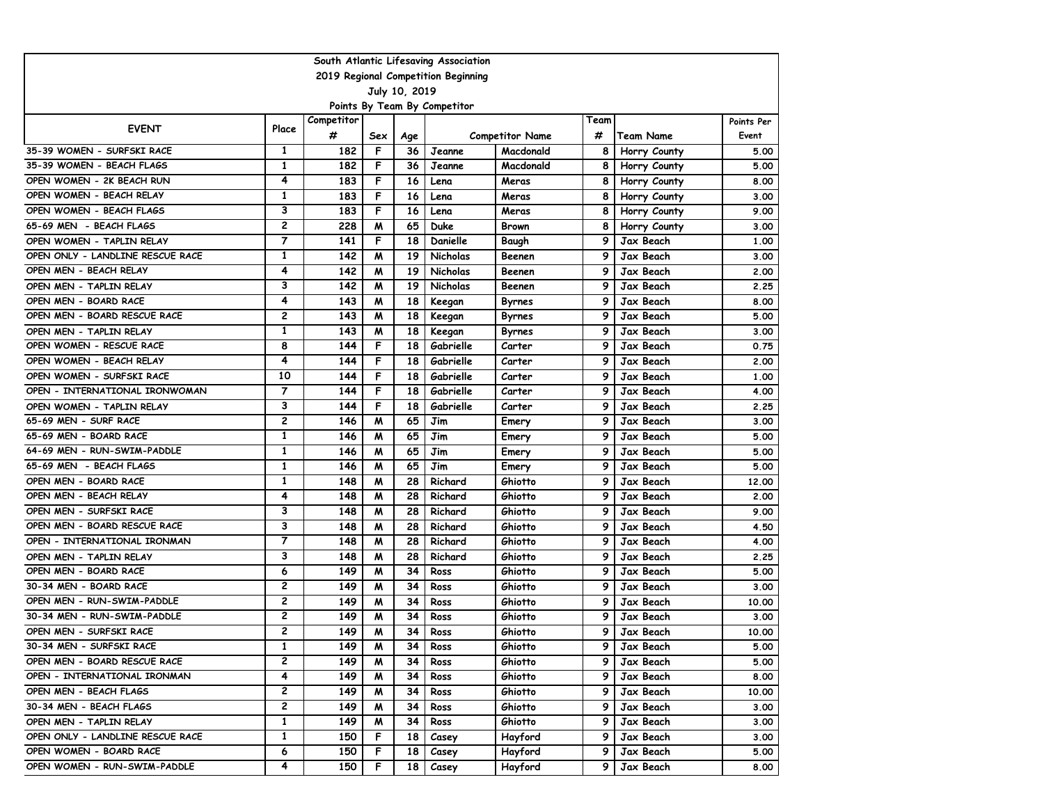| South Atlantic Lifesaving Association |                |            |     |     |                 |                        |      |                  |            |  |  |  |
|---------------------------------------|----------------|------------|-----|-----|-----------------|------------------------|------|------------------|------------|--|--|--|
| 2019 Regional Competition Beginning   |                |            |     |     |                 |                        |      |                  |            |  |  |  |
| July 10, 2019                         |                |            |     |     |                 |                        |      |                  |            |  |  |  |
| Points By Team By Competitor          |                |            |     |     |                 |                        |      |                  |            |  |  |  |
| <b>EVENT</b>                          | Place          | Competitor |     |     |                 |                        | Team |                  | Points Per |  |  |  |
|                                       |                | #          | Sex | Age |                 | <b>Competitor Name</b> | #    | <b>Team Name</b> | Event      |  |  |  |
| 35-39 WOMEN - SURFSKI RACE            | 1              | 182        | F   | 36  | Jeanne          | Macdonald              | 8    | Horry County     | 5.00       |  |  |  |
| 35-39 WOMEN - BEACH FLAGS             | 1              | 182        | F   | 36  | Jeanne          | Macdonald              | 8    | Horry County     | 5.00       |  |  |  |
| OPEN WOMEN - 2K BEACH RUN             | 4              | 183        | F   | 16  | Lena            | Meras                  | 8    | Horry County     | 8.00       |  |  |  |
| OPEN WOMEN - BEACH RELAY              | 1              | 183        | F   | 16  | Lena            | Meras                  | 8    | Horry County     | 3.00       |  |  |  |
| OPEN WOMEN - BEACH FLAGS              | 3              | 183        | F   | 16  | Lena            | Meras                  | 8    | Horry County     | 9.00       |  |  |  |
| 65-69 MEN - BEACH FLAGS               | 2              | 228        | м   | 65  | Duke            | <b>Brown</b>           | 8    | Horry County     | 3.00       |  |  |  |
| OPEN WOMEN - TAPLIN RELAY             | $\overline{7}$ | 141        | F   | 18  | Danielle        | Baugh                  | 9    | Jax Beach        | 1,00       |  |  |  |
| OPEN ONLY - LANDLINE RESCUE RACE      | 1              | 142        | W   | 19  | <b>Nicholas</b> | Beenen                 | 9    | Jax Beach        | 3.00       |  |  |  |
| OPEN MEN - BEACH RELAY                | 4              | 142        | W   | 19  | <b>Nicholas</b> | Beenen                 | 9    | Jax Beach        | 2.00       |  |  |  |
| OPEN MEN - TAPLIN RELAY               | 3              | 142        | W   | 19  | <b>Nicholas</b> | Beenen                 | 9    | Jax Beach        | 2.25       |  |  |  |
| OPEN MEN - BOARD RACE                 | 4              | 143        | м   | 18  | Keegan          | <b>Byrnes</b>          | 9    | Jax Beach        | 8.00       |  |  |  |
| OPEN MEN - BOARD RESCUE RACE          | 2              | 143        | м   | 18  | Keegan          | <b>Byrnes</b>          | 9    | Jax Beach        | 5.00       |  |  |  |
| OPEN MEN - TAPLIN RELAY               | 1              | 143        | м   | 18  | Keegan          | <b>Byrnes</b>          | 9    | Jax Beach        | 3.00       |  |  |  |
| OPEN WOMEN - RESCUE RACE              | 8              | 144        | F   | 18  | Gabrielle       | Carter                 | 9    | Jax Beach        | 0.75       |  |  |  |
| OPEN WOMEN - BEACH RELAY              | 4              | 144        | F   | 18  | Gabrielle       | Carter                 | 9    | Jax Beach        | 2.00       |  |  |  |
| OPEN WOMEN - SURFSKI RACE             | 10             | 144        | F   | 18  | Gabrielle       | Carter                 | 9    | Jax Beach        | 1.00       |  |  |  |
| OPEN - INTERNATIONAL IRONWOMAN        | $\overline{7}$ | 144        | F   | 18  | Gabrielle       | Carter                 | 9    | Jax Beach        | 4.00       |  |  |  |
| OPEN WOMEN - TAPLIN RELAY             | 3              | 144        | F   | 18  | Gabrielle       | Carter                 | 9    | Jax Beach        | 2.25       |  |  |  |
| 65-69 MEN - SURF RACE                 | $\overline{c}$ | 146        | W   | 65  | Jim             | Emery                  | 9    | Jax Beach        | 3.00       |  |  |  |
| 65-69 MEN - BOARD RACE                | 1              | 146        | W   | 65  | Jim             | Emery                  | 9    | Jax Beach        | 5.00       |  |  |  |
| 64-69 MEN - RUN-SWIM-PADDLE           | 1              | 146        | м   | 65  | Jim             | Emery                  | 9    | Jax Beach        | 5.00       |  |  |  |
| 65-69 MEN - BEACH FLAGS               | $\mathbf{1}$   | 146        | м   | 65  | Jim             | Emery                  | 9    | Jax Beach        | 5.00       |  |  |  |
| OPEN MEN - BOARD RACE                 | 1              | 148        | м   | 28  | Richard         | Ghiotto                | 9    | Jax Beach        | 12,00      |  |  |  |
| OPEN MEN - BEACH RELAY                | 4              | 148        | м   | 28  | Richard         | Ghiotto                | 9    | Jax Beach        | 2.00       |  |  |  |
| OPEN MEN - SURFSKI RACE               | 3              | 148        | W   | 28  | Richard         | Ghiotto                | 9    | Jax Beach        | 9.00       |  |  |  |
| OPEN MEN - BOARD RESCUE RACE          | 3              | 148        | м   | 28  | Richard         | Ghiotto                | 9    | Jax Beach        | 4.50       |  |  |  |
| OPEN - INTERNATIONAL IRONMAN          | $\overline{7}$ | 148        | м   | 28  | Richard         | Ghiotto                | 9    | Jax Beach        | 4.00       |  |  |  |
| OPEN MEN - TAPLIN RELAY               | 3              | 148        | м   | 28  | Richard         | Ghiotto                | 9    | Jax Beach        | 2.25       |  |  |  |
| OPEN MEN - BOARD RACE                 | 6              | 149        | W   | 34  | Ross            | Ghiotto                | 9    | Jax Beach        | 5.00       |  |  |  |
| 30-34 MEN - BOARD RACE                | 2              | 149        | W   | 34  | Ross            | Ghiotto                | 9    | Jax Beach        | 3.00       |  |  |  |
| OPEN MEN - RUN-SWIM-PADDLE            | 2              | 149        | м   | 34  | Ross            | Ghiotto                | 9    | Jax Beach        | 10.00      |  |  |  |
| 30-34 MEN - RUN-SWIM-PADDLE           | 2              | 149        | м   | 34  | Ross            | Ghiotto                | 9    | Jax Beach        | 3.00       |  |  |  |
| OPEN MEN - SURFSKI RACE               | 2              | 149        | м   | 34  | Ross            | Ghiotto                | 9    | Jax Beach        | 10.00      |  |  |  |
| 30-34 MEN - SURFSKI RACE              | 1              | 149        | M   | 34  | Ross            | Ghiotto                | 9.   | Jax Beach        | 5.00       |  |  |  |
| OPEN MEN - BOARD RESCUE RACE          | 2              | 149        | M   | 34  | Ross            | Ghiotto                | 9    | Jax Beach        | 5.00       |  |  |  |
| OPEN - INTERNATIONAL IRONMAN          | 4              | 149        | M   | 34  | Ross            | Ghiotto                | 9    | Jax Beach        | 8.00       |  |  |  |
| OPEN MEN - BEACH FLAGS                | 2              | 149        | M   | 34  | Ross            | Ghiotto                | 9    | Jax Beach        | 10.00      |  |  |  |
| 30-34 MEN - BEACH FLAGS               | 2              | 149        | M   | 34  | Ross            | Ghiotto                | 9    | Jax Beach        | 3.00       |  |  |  |
| OPEN MEN - TAPLIN RELAY               | $\mathbf{1}$   | 149        | M   | 34  | Ross            | Ghiotto                | 9    | Jax Beach        | 3.00       |  |  |  |
| OPEN ONLY - LANDLINE RESCUE RACE      | 1              | 150        | F.  | 18  | Casey           | Hayford                | 9    | Jax Beach        | 3.00       |  |  |  |
| OPEN WOMEN - BOARD RACE               | 6              | 150        | F.  | 18  | Casey           | Hayford                | 9    | Jax Beach        | 5.00       |  |  |  |
| OPEN WOMEN - RUN-SWIM-PADDLE          | 4              | 150        | F.  | 18  | Casey           | Hayford                | 9    | Jax Beach        | 8.00       |  |  |  |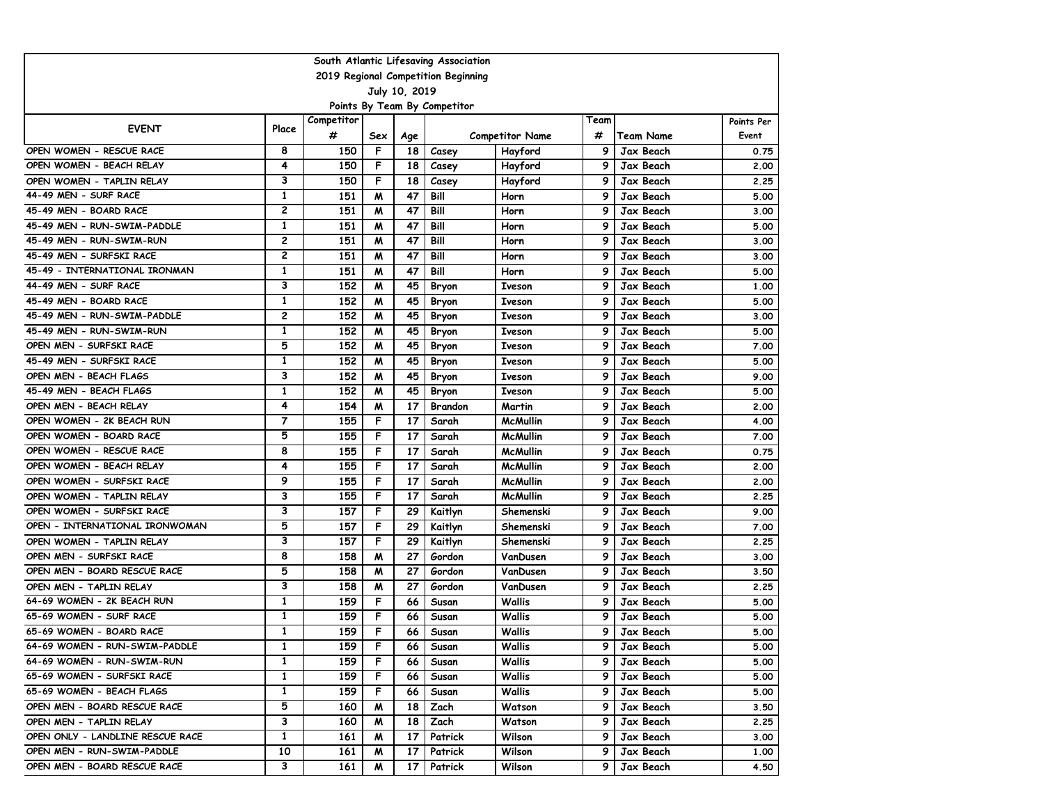| South Atlantic Lifesaving Association |                |            |     |     |              |                        |      |           |            |  |  |  |
|---------------------------------------|----------------|------------|-----|-----|--------------|------------------------|------|-----------|------------|--|--|--|
| 2019 Regional Competition Beginning   |                |            |     |     |              |                        |      |           |            |  |  |  |
| July 10, 2019                         |                |            |     |     |              |                        |      |           |            |  |  |  |
| Points By Team By Competitor          |                |            |     |     |              |                        |      |           |            |  |  |  |
| <b>EVENT</b>                          | Place          | Competitor |     |     |              |                        | Team |           | Points Per |  |  |  |
|                                       |                | #          | Sex | Age |              | <b>Competitor Name</b> | #    | Team Name | Event      |  |  |  |
| OPEN WOMEN - RESCUE RACE              | 8              | 150        | F   | 18  | Casey        | Hayford                | 9    | Jax Beach | 0.75       |  |  |  |
| OPEN WOMEN - BEACH RELAY              | 4              | 150        | F   | 18  | Casey        | Hayford                | 9    | Jax Beach | 2.00       |  |  |  |
| OPEN WOMEN - TAPLIN RELAY             | 3              | 150        | F   | 18  | Casey        | Hayford                | 9    | Jax Beach | 2.25       |  |  |  |
| 44-49 MEN - SURF RACE                 | 1              | 151        | м   | 47  | Bill         | Horn                   | 9    | Jax Beach | 5.00       |  |  |  |
| 45-49 MEN - BOARD RACE                | $\mathbf{2}$   | 151        | W   | 47  | Bill         | Horn                   | 9    | Jax Beach | 3.00       |  |  |  |
| 45-49 MEN - RUN-SWIM-PADDLE           | 1              | 151        | м   | 47  | Bill         | Horn                   | 9    | Jax Beach | 5.00       |  |  |  |
| 45-49 MEN - RUN-SWIM-RUN              | $\mathbf{2}$   | 151        | м   | 47  | Bill         | Horn                   | 9    | Jax Beach | 3.00       |  |  |  |
| 45-49 MEN - SURFSKI RACE              | $\overline{c}$ | 151        | м   | 47  | Bill         | Horn                   | 9    | Jax Beach | 3.00       |  |  |  |
| 45-49 - INTERNATIONAL IRONMAN         | 1              | 151        | W   | 47  | Bill         | Horn                   | 9    | Jax Beach | 5.00       |  |  |  |
| 44-49 MEN - SURF RACE                 | 3              | 152        | W   | 45  | Bryon        | Iveson                 | 9    | Jax Beach | 1.00       |  |  |  |
| 45-49 MEN - BOARD RACE                | 1              | 152        | м   | 45  | Bryon        | Iveson                 | 9    | Jax Beach | 5.00       |  |  |  |
| 45-49 MEN - RUN-SWIM-PADDLE           | 2              | 152        | м   | 45  | <b>Bryon</b> | Iveson                 | 9    | Jax Beach | 3.00       |  |  |  |
| 45-49 MEN - RUN-SWIM-RUN              | $\mathbf{1}$   | 152        | W   | 45  | <b>Bryon</b> | Iveson                 | 9    | Jax Beach | 5.00       |  |  |  |
| OPEN MEN - SURFSKI RACE               | 5              | 152        | м   | 45  | Bryon        | Iveson                 | 9    | Jax Beach | 7.00       |  |  |  |
| 45-49 MEN - SURFSKI RACE              | 1              | 152        | W   | 45  | Bryon        | Iveson                 | 9    | Jax Beach | 5.00       |  |  |  |
| OPEN MEN - BEACH FLAGS                | 3              | 152        | м   | 45  | Bryon        | Iveson                 | 9    | Jax Beach | 9.00       |  |  |  |
| 45-49 MEN - BEACH FLAGS               | 1              | 152        | м   | 45  | <b>Bryon</b> | <b>Iveson</b>          | 9    | Jax Beach | 5.00       |  |  |  |
| OPEN MEN - BEACH RELAY                | 4              | 154        | м   | 17  | Brandon      | Martin                 | 9    | Jax Beach | 2.00       |  |  |  |
| OPEN WOMEN - 2K BEACH RUN             | $\overline{7}$ | 155        | F   | 17  | Sarah        | McMullin               | 9    | Jax Beach | 4.00       |  |  |  |
| OPEN WOMEN - BOARD RACE               | 5              | 155        | F   | 17  | Sarah        | <b>McMullin</b>        | 9    | Jax Beach | 7.00       |  |  |  |
| OPEN WOMEN - RESCUE RACE              | 8              | 155        | F   | 17  | Sarah        | McMullin               | 9    | Jax Beach | 0.75       |  |  |  |
| OPEN WOMEN - BEACH RELAY              | 4              | 155        | F   | 17  | Sarah        | McMullin               | 9    | Jax Beach | 2.00       |  |  |  |
| OPEN WOMEN - SURFSKI RACE             | 9              | 155        | F   | 17  | Sarah        | <b>McMullin</b>        | 9    | Jax Beach | 2.00       |  |  |  |
| OPEN WOMEN - TAPLIN RELAY             | 3              | 155        | F   | 17  | Sarah        | <b>McMullin</b>        | 9    | Jax Beach | 2.25       |  |  |  |
| OPEN WOMEN - SURFSKI RACE             | 3              | 157        | F   | 29  | Kaitlyn      | Shemenski              | 9    | Jax Beach | 9.00       |  |  |  |
| OPEN - INTERNATIONAL IRONWOMAN        | 5              | 157        | F   | 29  | Kaitlyn      | Shemenski              | 9    | Jax Beach | 7.00       |  |  |  |
| OPEN WOMEN - TAPLIN RELAY             | 3              | 157        | F   | 29  | Kaitlyn      | Shemenski              | 9    | Jax Beach | 2.25       |  |  |  |
| OPEN MEN - SURFSKI RACE               | 8              | 158        | W   | 27  | Gordon       | VanDusen               | 9    | Jax Beach | 3.00       |  |  |  |
| OPEN MEN - BOARD RESCUE RACE          | 5              | 158        | W   | 27  | Gordon       | VanDusen               | 9    | Jax Beach | 3.50       |  |  |  |
| OPEN MEN - TAPLIN RELAY               | 3              | 158        | W   | 27  | Gordon       | VanDusen               | 9    | Jax Beach | 2.25       |  |  |  |
| 64-69 WOMEN - 2K BEACH RUN            | 1              | 159        | F   | 66  | Susan        | Wallis                 | 9    | Jax Beach | 5.00       |  |  |  |
| 65-69 WOMEN - SURF RACE               | $\mathbf{1}$   | 159        | F   | 66  | Susan        | Wallis                 | 9    | Jax Beach | 5.00       |  |  |  |
| 65-69 WOMEN - BOARD RACE              | 1              | 159        | F   | 66  | Susan        | Wallis                 | 9    | Jax Beach | 5.00       |  |  |  |
| 64-69 WOMEN - RUN-SWIM-PADDLE         | 1              | 159        | F   | 66  | Susan        | Wallis                 | 9.   | Jax Beach | 5.00       |  |  |  |
| 64-69 WOMEN - RUN-SWIM-RUN            | 1              | 159        | F   | 66  | Susan        | Wallis                 | 9    | Jax Beach | 5.00       |  |  |  |
| 65-69 WOMEN - SURFSKI RACE            | 1              | 159        | F.  | 66  | Susan        | Wallis                 | 9    | Jax Beach | 5.00       |  |  |  |
| 65-69 WOMEN - BEACH FLAGS             | 1              | 159        | F   | 66  | Susan        | Wallis                 | 9    | Jax Beach | 5.00       |  |  |  |
| OPEN MEN - BOARD RESCUE RACE          | 5              | 160        | M   | 18  | Zach         | Watson                 | 9    | Jax Beach | 3.50       |  |  |  |
| OPEN MEN - TAPLIN RELAY               | 3              | 160        | M   | 18  | Zach         | Watson                 | 9    | Jax Beach | 2.25       |  |  |  |
| OPEN ONLY - LANDLINE RESCUE RACE      | $\mathbf{1}$   | 161        | M   | 17  | Patrick      | Wilson                 | 9    | Jax Beach | 3.00       |  |  |  |
| OPEN MEN - RUN-SWIM-PADDLE            | 10             | 161        | M   | 17  | Patrick      | Wilson                 | 9    | Jax Beach | 1.00       |  |  |  |
| OPEN MEN - BOARD RESCUE RACE          | 3              | 161        | M   | 17  | Patrick      | Wilson                 | 9    | Jax Beach | 4.50       |  |  |  |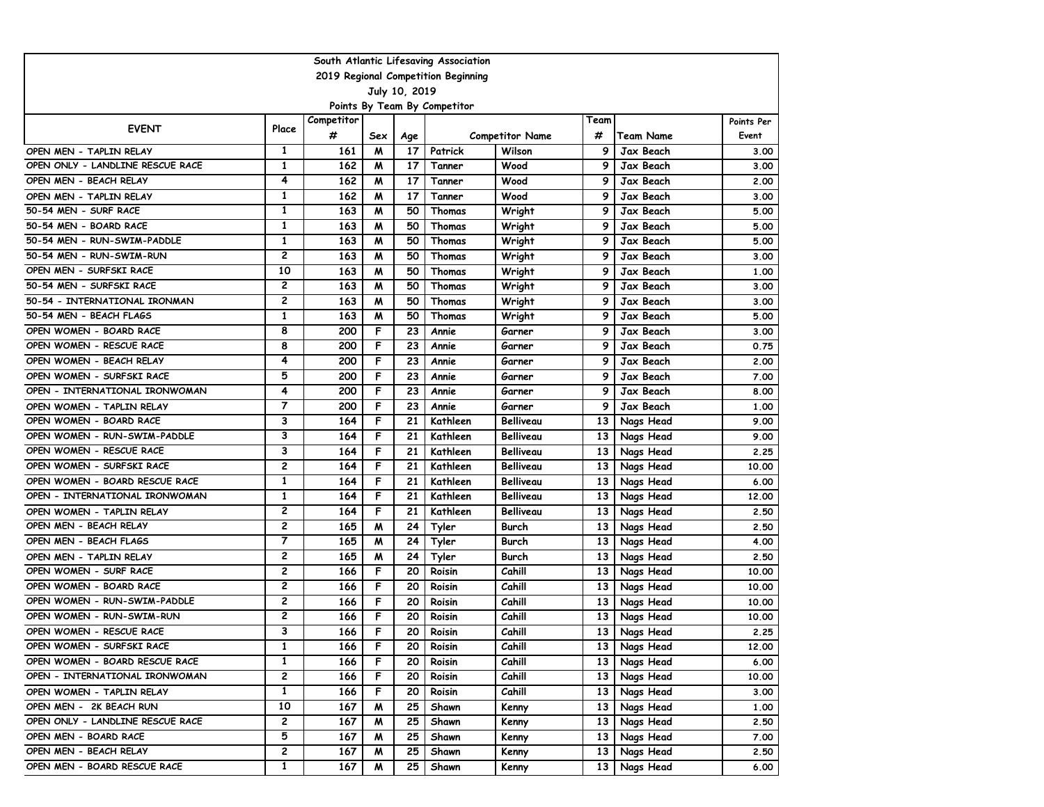| South Atlantic Lifesaving Association |                |            |     |     |          |                        |                 |                  |            |  |  |  |
|---------------------------------------|----------------|------------|-----|-----|----------|------------------------|-----------------|------------------|------------|--|--|--|
| 2019 Regional Competition Beginning   |                |            |     |     |          |                        |                 |                  |            |  |  |  |
| July 10, 2019                         |                |            |     |     |          |                        |                 |                  |            |  |  |  |
| Points By Team By Competitor          |                |            |     |     |          |                        |                 |                  |            |  |  |  |
| <b>EVENT</b>                          | Place          | Competitor |     |     |          |                        | Team            |                  | Points Per |  |  |  |
|                                       |                | #          | Sex | Age |          | <b>Competitor Name</b> | #               | <b>Team Name</b> | Event      |  |  |  |
| OPEN MEN - TAPLIN RELAY               | $\mathbf{1}$   | 161        | M   | 17  | Patrick  | Wilson                 | 9               | Jax Beach        | 3.00       |  |  |  |
| OPEN ONLY - LANDLINE RESCUE RACE      | $\mathbf{1}$   | 162        | M   | 17  | Tanner   | Wood                   | 9               | <b>Jax Beach</b> | 3.00       |  |  |  |
| OPEN MEN - BEACH RELAY                | 4              | 162        | M   | 17  | Tanner   | Wood                   | 9               | Jax Beach        | 2.00       |  |  |  |
| OPEN MEN - TAPLIN RELAY               | 1              | 162        | м   | 17  | Tanner   | Wood                   | 9               | <b>Jax Beach</b> | 3.00       |  |  |  |
| 50-54 MEN - SURF RACE                 | 1              | 163        | м   | 50  | Thomas   | Wright                 | 9               | <b>Jax Beach</b> | 5.00       |  |  |  |
| 50-54 MEN - BOARD RACE                | 1              | 163        | м   | 50  | Thomas   | Wright                 | 9               | Jax Beach        | 5.00       |  |  |  |
| 50-54 MEN - RUN-SWIM-PADDLE           | $\mathbf{1}$   | 163        | м   | 50  | Thomas   | Wright                 | 9               | Jax Beach        | 5.00       |  |  |  |
| 50-54 MEN - RUN-SWIM-RUN              | $\overline{c}$ | 163        | м   | 50  | Thomas   | Wright                 | 9               | Jax Beach        | 3.00       |  |  |  |
| OPEN MEN - SURFSKI RACE               | 10             | 163        | м   | 50  | Thomas   | Wright                 | 9               | Jax Beach        | 1.00       |  |  |  |
| 50-54 MEN - SURFSKI RACE              | $\mathbf{2}$   | 163        | м   | 50  | Thomas   | Wright                 | 9               | Jax Beach        | 3.00       |  |  |  |
| 50-54 - INTERNATIONAL IRONMAN         | 2              | 163        | м   | 50  | Thomas   | Wright                 | 9               | Jax Beach        | 3.00       |  |  |  |
| 50-54 MEN - BEACH FLAGS               | $\mathbf{1}$   | 163        | м   | 50  | Thomas   | Wright                 | 9               | Jax Beach        | 5.00       |  |  |  |
| OPEN WOMEN - BOARD RACE               | 8              | 200        | F   | 23  | Annie    | Garner                 | 9               | Jax Beach        | 3.00       |  |  |  |
| OPEN WOMEN - RESCUE RACE              | 8              | 200        | F   | 23  | Annie    | Garner                 | 9               | <b>Jax Beach</b> | 0.75       |  |  |  |
| OPEN WOMEN - BEACH RELAY              | 4              | 200        | F   | 23  | Annie    | Garner                 | 9               | <b>Jax Beach</b> | 2.00       |  |  |  |
| OPEN WOMEN - SURFSKI RACE             | 5              | 200        | F   | 23  | Annie    | Garner                 | 9               | Jax Beach        | 7.00       |  |  |  |
| OPEN - INTERNATIONAL IRONWOMAN        | 4              | 200        | F   | 23  | Annie    | Garner                 | 9               | Jax Beach        | 8.00       |  |  |  |
| OPEN WOMEN - TAPLIN RELAY             | $\overline{7}$ | 200        | F   | 23  | Annie    | Garner                 | 9               | Jax Beach        | 1.00       |  |  |  |
| OPEN WOMEN - BOARD RACE               | 3              | 164        | F   | 21  | Kathleen | Belliveau              | 13              | Nags Head        | 9.00       |  |  |  |
| OPEN WOMEN - RUN-SWIM-PADDLE          | 3              | 164        | F   | 21  | Kathleen | Belliveau              | 13              | Nags Head        | 9.00       |  |  |  |
| OPEN WOMEN - RESCUE RACE              | 3              | 164        | F   | 21  | Kathleen | Belliveau              | 13              | Nags Head        | 2.25       |  |  |  |
| OPEN WOMEN - SURFSKI RACE             | $\overline{c}$ | 164        | F   | 21  | Kathleen | Belliveau              | 13              | Nags Head        | 10.00      |  |  |  |
| OPEN WOMEN - BOARD RESCUE RACE        | $\mathbf{1}$   | 164        | F   | 21  | Kathleen | <b>Belliveau</b>       | 13              | Nags Head        | 6.00       |  |  |  |
| OPEN - INTERNATIONAL IRONWOMAN        | 1              | 164        | F   | 21  | Kathleen | Belliveau              | 13              | Nags Head        | 12,00      |  |  |  |
| OPEN WOMEN - TAPLIN RELAY             | $\mathbf{2}$   | 164        | F   | 21  | Kathleen | Belliveau              | 13              | Nags Head        | 2.50       |  |  |  |
| OPEN MEN - BEACH RELAY                | $\mathbf{2}$   | 165        | м   | 24  | Tyler    | Burch                  | 13              | Nags Head        | 2.50       |  |  |  |
| OPEN MEN - BEACH FLAGS                | $\overline{7}$ | 165        | м   | 24  | Tyler    | Burch                  | 13              | Nags Head        | 4.00       |  |  |  |
| OPEN MEN - TAPLIN RELAY               | $\overline{c}$ | 165        | M   | 24  | Tyler    | Burch                  | 13              | Nags Head        | 2.50       |  |  |  |
| OPEN WOMEN - SURF RACE                | $\mathbf{2}$   | 166        | F   | 20  | Roisin   | Cahill                 | 13              | Nags Head        | 10.00      |  |  |  |
| OPEN WOMEN - BOARD RACE               | $\mathbf{2}$   | 166        | F   | 20  | Roisin   | Cahill                 | 13              | Nags Head        | 10.00      |  |  |  |
| OPEN WOMEN - RUN-SWIM-PADDLE          | $\mathbf{2}$   | 166        | F   | 20  | Roisin   | Cahill                 | 13              | Nags Head        | 10.00      |  |  |  |
| OPEN WOMEN - RUN-SWIM-RUN             | $\overline{c}$ | 166        | F   | 20  | Roisin   | Cahill                 | 13              | Nags Head        | 10.00      |  |  |  |
| OPEN WOMEN - RESCUE RACE              | 3              | 166        | F   | 20  | Roisin   | Cahill                 | 13              | Nags Head        | 2.25       |  |  |  |
| OPEN WOMEN - SURFSKI RACE             | 1              | 166        | F   | 20  | Roisin   | Cahill                 |                 | 13 Nags Head     | 12.00      |  |  |  |
| OPEN WOMEN - BOARD RESCUE RACE        | 1              | 166        | F   | 20  | Roisin   | Cahill                 | 13 <sup>1</sup> | Nags Head        | 6.00       |  |  |  |
| OPEN - INTERNATIONAL IRONWOMAN        | 2              | 166        | F.  | 20  | Roisin   | Cahill                 |                 | 13 Nags Head     | 10.00      |  |  |  |
| OPEN WOMEN - TAPLIN RELAY             | 1              | 166        | F.  | 20  | Roisin   | Cahill                 |                 | 13 Nags Head     | 3.00       |  |  |  |
| OPEN MEN - 2K BEACH RUN               | 10             | 167        | M   | 25  | Shawn    | Kenny                  |                 | 13 Nags Head     | 1.00       |  |  |  |
| OPEN ONLY - LANDLINE RESCUE RACE      | $\overline{c}$ | 167        | M   | 25  | Shawn    | Kenny                  |                 | 13 Nags Head     | 2.50       |  |  |  |
| OPEN MEN - BOARD RACE                 | 5              | 167        | M   | 25  | Shawn    | Kenny                  | 13 <sup>1</sup> | Nags Head        | 7.00       |  |  |  |
| OPEN MEN - BEACH RELAY                | $\mathbf{2}$   | 167        | M   | 25  | Shawn    | Kenny                  | 13 <sup>1</sup> | Nags Head        | 2.50       |  |  |  |
| OPEN MEN - BOARD RESCUE RACE          | $\mathbf{1}$   | 167        | M   | 25  | Shawn    | Kenny                  | 13 <sup>1</sup> | Nags Head        | 6.00       |  |  |  |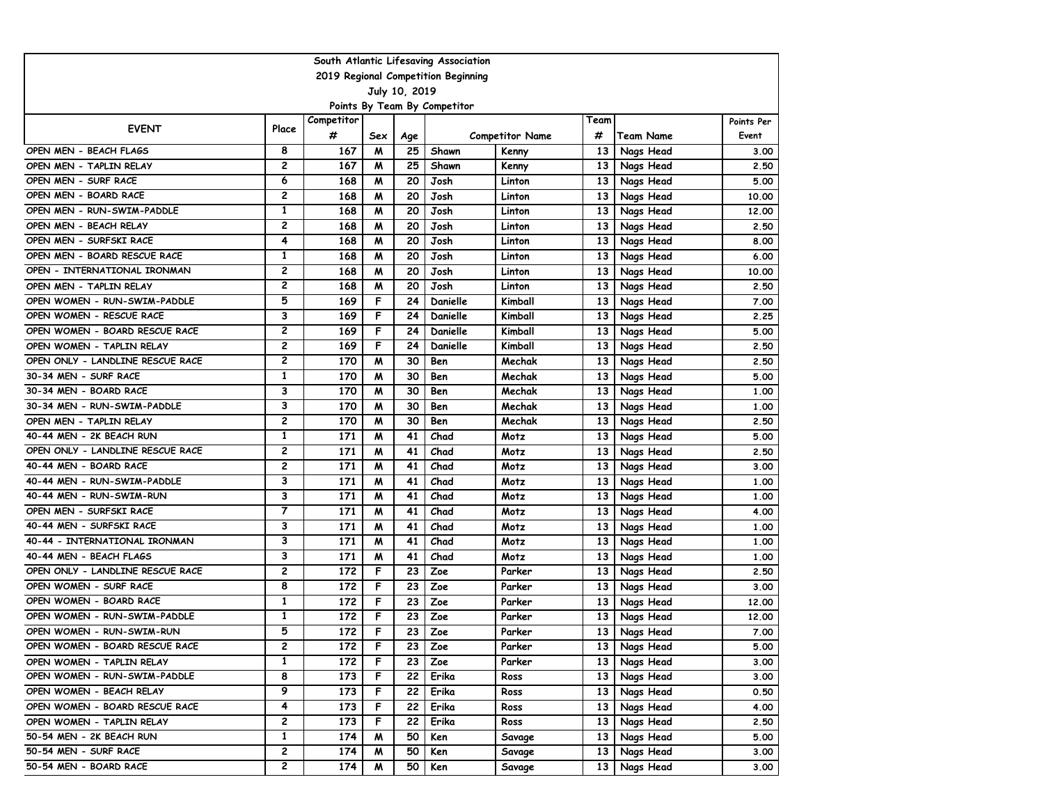| South Atlantic Lifesaving Association |                |            |     |     |                              |                        |      |                  |            |  |  |  |
|---------------------------------------|----------------|------------|-----|-----|------------------------------|------------------------|------|------------------|------------|--|--|--|
| 2019 Regional Competition Beginning   |                |            |     |     |                              |                        |      |                  |            |  |  |  |
| July 10, 2019                         |                |            |     |     |                              |                        |      |                  |            |  |  |  |
|                                       |                |            |     |     | Points By Team By Competitor |                        |      |                  |            |  |  |  |
| <b>EVENT</b>                          | Place          | Competitor |     |     |                              |                        | Team |                  | Points Per |  |  |  |
|                                       |                | #          | Sex | Age |                              | <b>Competitor Name</b> | #    | <b>Team Name</b> | Event      |  |  |  |
| OPEN MEN - BEACH FLAGS                | 8              | 167        | M   | 25  | Shawn                        | Kenny                  | 13   | Nags Head        | 3.00       |  |  |  |
| OPEN MEN - TAPLIN RELAY               | $\mathbf{2}$   | 167        | м   | 25  | Shawn                        | Kenny                  | 13   | Nags Head        | 2.50       |  |  |  |
| OPEN MEN - SURF RACE                  | 6              | 168        | M   | 20  | Josh                         | Linton                 | 13   | Nags Head        | 5.00       |  |  |  |
| OPEN MEN - BOARD RACE                 | $\overline{c}$ | 168        | м   | 20  | Josh                         | Linton                 | 13   | Nags Head        | 10.00      |  |  |  |
| OPEN MEN - RUN-SWIM-PADDLE            | 1              | 168        | W   | 20  | Josh                         | Linton                 | 13   | Nags Head        | 12.00      |  |  |  |
| OPEN MEN - BEACH RELAY                | $\overline{c}$ | 168        | м   | 20  | Josh                         | Linton                 | 13   | Nags Head        | 2.50       |  |  |  |
| OPEN MEN - SURFSKI RACE               | 4              | 168        | м   | 20  | Josh                         | Linton                 | 13   | Nags Head        | 8.00       |  |  |  |
| OPEN MEN - BOARD RESCUE RACE          | $\mathbf{1}$   | 168        | м   | 20  | Josh                         | Linton                 | 13   | Nags Head        | 6.00       |  |  |  |
| OPEN - INTERNATIONAL IRONMAN          | $\overline{c}$ | 168        | M   | 20  | Josh                         | Linton                 | 13   | Nags Head        | 10.00      |  |  |  |
| OPEN MEN - TAPLIN RELAY               | $\overline{c}$ | 168        | M   | 20  | Josh                         | Linton                 | 13   | Nags Head        | 2.50       |  |  |  |
| OPEN WOMEN - RUN-SWIM-PADDLE          | 5              | 169        | F   | 24  | Danielle                     | Kimball                | 13   | Nags Head        | 7.00       |  |  |  |
| OPEN WOMEN - RESCUE RACE              | 3              | 169        | F   | 24  | Danielle                     | Kimball                | 13   | Nags Head        | 2.25       |  |  |  |
| OPEN WOMEN - BOARD RESCUE RACE        | $\overline{c}$ | 169        | F   | 24  | Danielle                     | Kimball                | 13   | Nags Head        | 5.00       |  |  |  |
| OPEN WOMEN - TAPLIN RELAY             | $\overline{c}$ | 169        | F   | 24  | Danielle                     | Kimball                | 13   | Nags Head        | 2.50       |  |  |  |
| OPEN ONLY - LANDLINE RESCUE RACE      | $\overline{c}$ | 170        | W   | 30  | Ben                          | Mechak                 | 13   | Nags Head        | 2.50       |  |  |  |
| 30-34 MEN - SURF RACE                 | 1              | 170        | м   | 30  | Ben                          | Mechak                 | 13   | Nags Head        | 5.00       |  |  |  |
| 30-34 MEN - BOARD RACE                | 3              | 170        | м   | 30  | Ben                          | Mechak                 | 13   | Nags Head        | 1.00       |  |  |  |
| 30-34 MEN - RUN-SWIM-PADDLE           | 3              | 170        | M   | 30  | Ben                          | Mechak                 | 13   | Nags Head        | 1.00       |  |  |  |
| OPEN MEN - TAPLIN RELAY               | $\overline{c}$ | 170        | M   | 30  | Ben                          | Mechak                 | 13   | Nags Head        | 2.50       |  |  |  |
| 40-44 MEN - 2K BEACH RUN              | 1              | 171        | M   | 41  | Chad                         | Motz                   | 13   | Nags Head        | 5.00       |  |  |  |
| OPEN ONLY - LANDLINE RESCUE RACE      | 2              | 171        | M   | 41  | Chad                         | Motz                   | 13   | Nags Head        | 2.50       |  |  |  |
| 40-44 MEN - BOARD RACE                | $\mathbf{2}$   | 171        | M   | 41  | Chad                         | Motz                   | 13   | Nags Head        | 3.00       |  |  |  |
| 40-44 MEN - RUN-SWIM-PADDLE           | 3              | 171        | M   | 41  | Chad                         | Motz                   | 13   | Nags Head        | 1.00       |  |  |  |
| 40-44 MEN - RUN-SWIM-RUN              | 3              | 171        | W   | 41  | Chad                         | Motz                   | 13   | Nags Head        | 1.00       |  |  |  |
| OPEN MEN - SURFSKI RACE               | $\overline{7}$ | 171        | W   | 41  | Chad                         | Motz                   | 13   | Nags Head        | 4.00       |  |  |  |
| 40-44 MEN - SURFSKI RACE              | 3              | 171        | м   | 41  | Chad                         | Motz                   | 13   | Nags Head        | 1.00       |  |  |  |
| 40-44 - INTERNATIONAL IRONMAN         | 3              | 171        | M   | 41  | Chad                         | Motz                   | 13   | Nags Head        | 1.00       |  |  |  |
| 40-44 MEN - BEACH FLAGS               | 3              | 171        | м   | 41  | Chad                         | Motz                   | 13   | Nags Head        | 1.00       |  |  |  |
| OPEN ONLY - LANDLINE RESCUE RACE      | $\overline{c}$ | 172        | F   | 23  | Zoe                          | Parker                 | 13   | Nags Head        | 2.50       |  |  |  |
| OPEN WOMEN - SURF RACE                | 8              | 172        | F   | 23  | Zoe                          | Parker                 | 13   | Nags Head        | 3.00       |  |  |  |
| OPEN WOMEN - BOARD RACE               | 1              | 172        | F   | 23  | Zoe                          | Parker                 | 13   | Nags Head        | 12,00      |  |  |  |
| OPEN WOMEN - RUN-SWIM-PADDLE          | $\mathbf{1}$   | 172        | F.  | 23  | Zoe                          | Parker                 | 13   | Nags Head        | 12,00      |  |  |  |
| OPEN WOMEN - RUN-SWIM-RUN             | 5              | 172        | F   | 23  | Zoe                          | Parker                 | 13   | Nags Head        | 7.00       |  |  |  |
| OPEN WOMEN - BOARD RESCUE RACE        | 2              | 172        | F   | 23  | Zoe                          | Parker                 |      | 13 Nags Head     | 5.00       |  |  |  |
| OPEN WOMEN - TAPLIN RELAY             | $\mathbf{1}$   | 172        | F   | 23  | Zoe                          | Parker                 |      | 13 Nags Head     | 3.00       |  |  |  |
| OPEN WOMEN - RUN-SWIM-PADDLE          | 8              | 173        | F.  | 22  | Erika                        | Ross                   |      | 13 Nags Head     | 3.00       |  |  |  |
| OPEN WOMEN - BEACH RELAY              | 9              | 173        | F.  | 22  | Erika                        | Ross                   |      | 13 Nags Head     | 0.50       |  |  |  |
| OPEN WOMEN - BOARD RESCUE RACE        | 4              | 173        | F.  | 22  | Erika                        | Ross                   |      | 13 Nags Head     | 4.00       |  |  |  |
| OPEN WOMEN - TAPLIN RELAY             | 2              | 173        | F.  | 22  | Erika                        | Ross                   |      | 13 Nags Head     | 2.50       |  |  |  |
| 50-54 MEN - 2K BEACH RUN              | $\mathbf{1}$   | 174        | M   | 50  | Ken                          | Savage                 | 13 I | Nags Head        | 5.00       |  |  |  |
| 50-54 MEN - SURF RACE                 | $\mathbf{2}$   | 174        | M   | 50  | Ken                          | Savage                 | 13   | Nags Head        | 3.00       |  |  |  |
| 50-54 MEN - BOARD RACE                | $\mathbf{2}$   | 174        | M   | 50  | Ken                          | Savage                 | 13   | Nags Head        | 3.00       |  |  |  |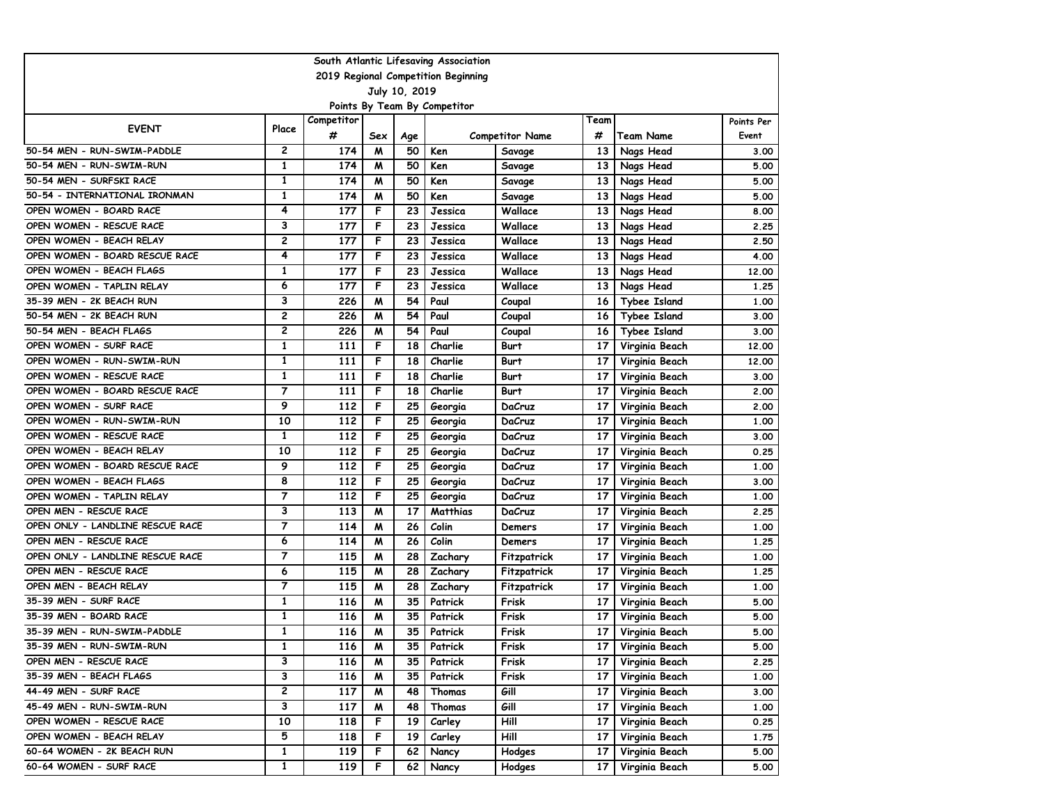| South Atlantic Lifesaving Association |                |            |     |     |                                     |                        |                 |                     |            |
|---------------------------------------|----------------|------------|-----|-----|-------------------------------------|------------------------|-----------------|---------------------|------------|
|                                       |                |            |     |     | 2019 Regional Competition Beginning |                        |                 |                     |            |
| July 10, 2019                         |                |            |     |     |                                     |                        |                 |                     |            |
| Points By Team By Competitor          |                |            |     |     |                                     |                        |                 |                     |            |
| <b>EVENT</b>                          | Place          | Competitor |     |     |                                     |                        | Team            |                     | Points Per |
|                                       |                | #          | Sex | Age |                                     | <b>Competitor Name</b> | #               | <b>Team Name</b>    | Event      |
| 50-54 MEN - RUN-SWIM-PADDLE           | $\mathbf{2}$   | 174        | M   | 50  | Ken                                 | Savage                 | 13              | Nags Head           | 3.00       |
| 50-54 MEN - RUN-SWIM-RUN              | $\mathbf{1}$   | 174        | M   | 50  | Ken                                 | Savage                 | 13              | Nags Head           | 5.00       |
| 50-54 MEN - SURFSKI RACE              | $\mathbf{1}$   | 174        | M   | 50  | Ken                                 | Savage                 | 13              | Nags Head           | 5.00       |
| 50-54 - INTERNATIONAL IRONMAN         | 1              | 174        | M   | 50  | Ken                                 | Savage                 | 13              | Nags Head           | 5.00       |
| OPEN WOMEN - BOARD RACE               | 4              | 177        | F   | 23  | Jessica                             | Wallace                | 13              | Nags Head           | 8.00       |
| OPEN WOMEN - RESCUE RACE              | 3              | 177        | F   | 23  | Jessica                             | Wallace                | 13              | Nags Head           | 2.25       |
| OPEN WOMEN - BEACH RELAY              | 2              | 177        | F   | 23  | Jessica                             | Wallace                | 13              | Nags Head           | 2.50       |
| OPEN WOMEN - BOARD RESCUE RACE        | 4              | 177        | F   | 23  | Jessica                             | Wallace                | 13              | Nags Head           | 4.00       |
| OPEN WOMEN - BEACH FLAGS              | 1              | 177        | F   | 23  | Jessica                             | Wallace                | 13              | Nags Head           | 12,00      |
| OPEN WOMEN - TAPLIN RELAY             | 6              | 177        | F   | 23  | Jessica                             | Wallace                | 13              | Nags Head           | 1.25       |
| 35-39 MEN - 2K BEACH RUN              | 3              | 226        | M   | 54  | Paul                                | Coupal                 | 16              | Tybee Island        | 1.00       |
| 50-54 MEN - 2K BEACH RUN              | 2              | 226        | M   | 54  | Paul                                | Coupal                 | 16              | <b>Tybee Island</b> | 3.00       |
| 50-54 MEN - BEACH FLAGS               | $\overline{c}$ | 226        | M   | 54  | Paul                                | Coupal                 | 16              | <b>Tybee Island</b> | 3.00       |
| OPEN WOMEN - SURF RACE                | 1              | 111        | F   | 18  | Charlie                             | Burt                   | 17              | Virginia Beach      | 12,00      |
| OPEN WOMEN - RUN-SWIM-RUN             | 1              | 111        | F   | 18  | Charlie                             | Burt                   | 17              | Virginia Beach      | 12,00      |
| OPEN WOMEN - RESCUE RACE              | 1              | 111        | F   | 18  | Charlie                             | <b>Burt</b>            | 17              | Virginia Beach      | 3.00       |
| OPEN WOMEN - BOARD RESCUE RACE        | $\overline{7}$ | 111        | F   | 18  | Charlie                             | Burt                   | 17              | Virginia Beach      | 2.00       |
| OPEN WOMEN - SURF RACE                | 9              | 112        | F   | 25  | Georgia                             | DaCruz                 | 17              | Virginia Beach      | 2.00       |
| OPEN WOMEN - RUN-SWIM-RUN             | 10             | 112        | F   | 25  | Georgia                             | DaCruz                 | 17              | Virginia Beach      | 1.00       |
| OPEN WOMEN - RESCUE RACE              | 1              | 112        | F   | 25  | Georgia                             | DaCruz                 | 17              | Virginia Beach      | 3.00       |
| OPEN WOMEN - BEACH RELAY              | 10             | 112        | F   | 25  | Georgia                             | DaCruz                 | 17              | Virginia Beach      | 0.25       |
| OPEN WOMEN - BOARD RESCUE RACE        | 9              | 112        | F   | 25  | Georgia                             | DaCruz                 | 17              | Virginia Beach      | 1.00       |
| OPEN WOMEN - BEACH FLAGS              | 8              | 112        | F   | 25  | Georgia                             | DaCruz                 | 17              | Virginia Beach      | 3.00       |
| OPEN WOMEN - TAPLIN RELAY             | $\overline{7}$ | 112        | F   | 25  | Georgia                             | DaCruz                 | 17              | Virginia Beach      | 1.00       |
| OPEN MEN - RESCUE RACE                | 3              | 113        | м   | 17  | Matthias                            | DaCruz                 | 17              | Virginia Beach      | 2.25       |
| OPEN ONLY - LANDLINE RESCUE RACE      | $\overline{7}$ | 114        | M   | 26  | Colin                               | Demers                 | 17              | Virginia Beach      | 1.00       |
| OPEN MEN - RESCUE RACE                | 6              | 114        | M   | 26  | Colin                               | Demers                 | 17              | Virginia Beach      | 1.25       |
| OPEN ONLY - LANDLINE RESCUE RACE      | $\overline{7}$ | 115        | M   | 28  | Zachary                             | Fitzpatrick            | 17              | Virginia Beach      | 1.00       |
| OPEN MEN - RESCUE RACE                | 6              | 115        | M   | 28  | Zachary                             | Fitzpatrick            | 17              | Virginia Beach      | 1.25       |
| OPEN MEN - BEACH RELAY                | $\overline{7}$ | 115        | M   | 28  | Zachary                             | Fitzpatrick            | 17              | Virginia Beach      | 1.00       |
| 35-39 MEN - SURF RACE                 | 1              | 116        | M   | 35  | Patrick                             | Frisk                  | 17              | Virginia Beach      | 5.00       |
| 35-39 MEN - BOARD RACE                | $\mathbf{1}$   | 116        | M   | 35  | Patrick                             | Frisk                  | 17              | Virginia Beach      | 5.00       |
| 35-39 MEN - RUN-SWIM-PADDLE           | $\mathbf{1}$   | 116        | M   | 35  | Patrick                             | Frisk                  | 17              | Virginia Beach      | 5.00       |
| 35-39 MEN - RUN-SWIM-RUN              | 1              | 116        | M   | 35  | Patrick                             | Frisk                  | 17 <sup>1</sup> | Virginia Beach      | 5.00       |
| OPEN MEN - RESCUE RACE                | 3              | 116        | M   | 35  | Patrick                             | Frisk                  | 17 I            | Virginia Beach      | 2.25       |
| 35-39 MEN - BEACH FLAGS               | З              | 116        | M   | 35  | Patrick                             | Frisk                  | 17 I            | Virginia Beach      | 1.00       |
| 44-49 MEN - SURF RACE                 | $\mathbf{2}$   | 117        | M   | 48  | Thomas                              | Gill                   | 17 <sup>1</sup> | Virginia Beach      | 3.00       |
| 45-49 MEN - RUN-SWIM-RUN              | 3              | 117        | M   | 48  | Thomas                              | Gill                   | 17 I            | Virginia Beach      | 1.00       |
| OPEN WOMEN - RESCUE RACE              | 10             | 118        | F   | 19  | Carley                              | Hill                   |                 | 17 Virginia Beach   | 0.25       |
| OPEN WOMEN - BEACH RELAY              | 5              | 118        | F.  | 19  | Carley                              | Hill                   | 17 <sub>1</sub> | Virginia Beach      | 1.75       |
| 60-64 WOMEN - 2K BEACH RUN            | 1              | 119        | F   | 62  | Nancy                               | Hodges                 | 17              | Virginia Beach      | 5.00       |
| 60-64 WOMEN - SURF RACE               | $\overline{1}$ | 119        | F.  | 62  | Nancy                               | Hodges                 | 17              | Virginia Beach      | 5.00       |
|                                       |                |            |     |     |                                     |                        |                 |                     |            |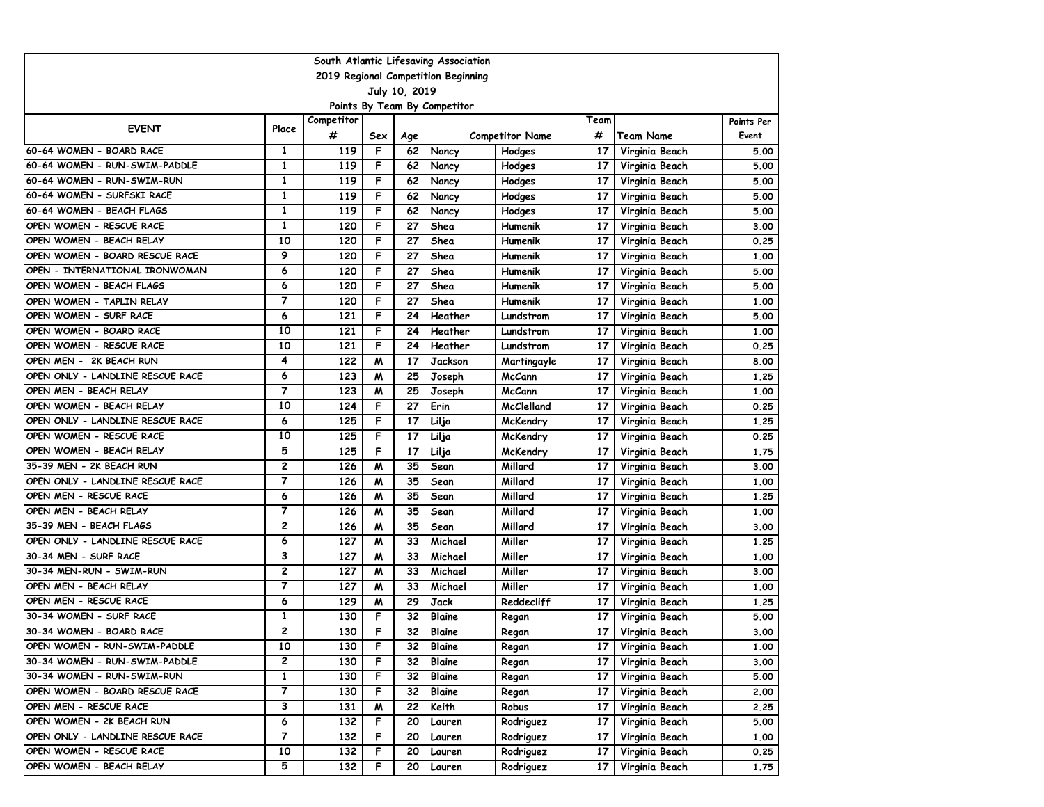| South Atlantic Lifesaving Association |                                     |            |     |     |                |                        |                 |                  |            |
|---------------------------------------|-------------------------------------|------------|-----|-----|----------------|------------------------|-----------------|------------------|------------|
|                                       | 2019 Regional Competition Beginning |            |     |     |                |                        |                 |                  |            |
| July 10, 2019                         |                                     |            |     |     |                |                        |                 |                  |            |
|                                       | Points By Team By Competitor        |            |     |     |                |                        |                 |                  |            |
| <b>EVENT</b>                          | Place                               | Competitor |     |     |                |                        | Team            |                  | Points Per |
|                                       |                                     | #          | Sex | Age |                | <b>Competitor Name</b> | #               | <b>Team Name</b> | Event      |
| 60-64 WOMEN - BOARD RACE              | $\mathbf{1}$                        | 119        | F   | 62  | Nancy          | Hodges                 | 17              | Virginia Beach   | 5.00       |
| 60-64 WOMEN - RUN-SWIM-PADDLE         | $\mathbf{1}$                        | 119        | F   | 62  | Nancy          | Hodges                 | 17              | Virginia Beach   | 5.00       |
| 60-64 WOMEN - RUN-SWIM-RUN            | $\mathbf{1}$                        | 119        | F   | 62  | Nancy          | <b>Hodges</b>          | 17              | Virginia Beach   | 5.00       |
| 60-64 WOMEN - SURFSKI RACE            | 1                                   | 119        | F   | 62  | Nancy          | <b>Hodges</b>          | 17              | Virginia Beach   | 5.00       |
| 60-64 WOMEN - BEACH FLAGS             | 1                                   | 119        | F   | 62  | Nancy          | Hodges                 | 17              | Virginia Beach   | 5.00       |
| OPEN WOMEN - RESCUE RACE              | 1                                   | 120        | F   | 27  | Shea           | Humenik                | 17              | Virginia Beach   | 3.00       |
| OPEN WOMEN - BEACH RELAY              | 10                                  | 120        | F   | 27  | Shea           | Humenik                | 17              | Virginia Beach   | 0.25       |
| OPEN WOMEN - BOARD RESCUE RACE        | 9                                   | 120        | F   | 27  | Shea           | Humenik                | 17              | Virginia Beach   | 1.00       |
| OPEN - INTERNATIONAL IRONWOMAN        | 6                                   | 120        | F   | 27  | Shea           | Humenik                | 17              | Virginia Beach   | 5.00       |
| OPEN WOMEN - BEACH FLAGS              | 6                                   | 120        | F   | 27  | Shea           | Humenik                | 17              | Virginia Beach   | 5.00       |
| OPEN WOMEN - TAPLIN RELAY             | $\overline{7}$                      | 120        | F   | 27  | Shea           | Humenik                | 17              | Virginia Beach   | 1.00       |
| OPEN WOMEN - SURF RACE                | 6                                   | 121        | F   | 24  | Heather        | Lundstrom              | 17              | Virginia Beach   | 5.00       |
| OPEN WOMEN - BOARD RACE               | 10                                  | 121        | F   | 24  | Heather        | Lundstrom              | 17              | Virginia Beach   | 1.00       |
| OPEN WOMEN - RESCUE RACE              | 10                                  | 121        | F   | 24  | Heather        | Lundstrom              | 17              | Virginia Beach   | 0.25       |
| OPEN MEN - 2K BEACH RUN               | 4                                   | 122        | м   | 17  | <b>Jackson</b> | Martingayle            | 17              | Virginia Beach   | 8.00       |
| OPEN ONLY - LANDLINE RESCUE RACE      | 6                                   | 123        | W   | 25  | Joseph         | McCann                 | 17              | Virginia Beach   | 1.25       |
| OPEN MEN - BEACH RELAY                | $\overline{7}$                      | 123        | W   | 25  | Joseph         | <b>McCann</b>          | 17              | Virginia Beach   | 1.00       |
| OPEN WOMEN - BEACH RELAY              | 10                                  | 124        | F   | 27  | Erin           | McClelland             | 17              | Virginia Beach   | 0.25       |
| OPEN ONLY - LANDLINE RESCUE RACE      | 6                                   | 125        | F   | 17  | Lilja          | McKendry               | 17              | Virginia Beach   | 1.25       |
| OPEN WOMEN - RESCUE RACE              | 10                                  | 125        | F   | 17  | Lilja          | McKendry               | 17              | Virginia Beach   | 0.25       |
| OPEN WOMEN - BEACH RELAY              | 5                                   | 125        | F   | 17  | Lilja          | McKendry               | 17              | Virginia Beach   | 1.75       |
| 35-39 MEN - 2K BEACH RUN              | $\overline{c}$                      | 126        | W   | 35  | Sean           | Millard                | 17              | Virginia Beach   | 3.00       |
| OPEN ONLY - LANDLINE RESCUE RACE      | $\overline{7}$                      | 126        | W   | 35  | Sean           | Millard                | 17              | Virginia Beach   | 1.00       |
| OPEN MEN - RESCUE RACE                | 6                                   | 126        | W   | 35  | Sean           | Millard                | 17              | Virginia Beach   | 1.25       |
| OPEN MEN - BEACH RELAY                | $\overline{7}$                      | 126        | м   | 35  | Sean           | Millard                | 17              | Virginia Beach   | 1.00       |
| 35-39 MEN - BEACH FLAGS               | 2                                   | 126        | W   | 35  | Sean           | Millard                | 17              | Virginia Beach   | 3.00       |
| OPEN ONLY - LANDLINE RESCUE RACE      | 6                                   | 127        | W   | 33  | Michael        | Miller                 | 17              | Virginia Beach   | 1.25       |
| 30-34 MEN - SURF RACE                 | 3                                   | 127        | W   | 33  | Michael        | Miller                 | 17              | Virginia Beach   | 1.00       |
| 30-34 MEN-RUN - SWIM-RUN              | 2                                   | 127        | W   | 33  | Michael        | Miller                 | 17              | Virginia Beach   | 3.00       |
| OPEN MEN - BEACH RELAY                | $\overline{7}$                      | 127        | м   | 33  | Michael        | Miller                 | 17              | Virginia Beach   | 1.00       |
| OPEN MEN - RESCUE RACE                | 6                                   | 129        | м   | 29  | Jack           | Reddecliff             | 17              | Virginia Beach   | 1.25       |
| 30-34 WOMEN - SURF RACE               | $\mathbf{1}$                        | 130        | F   | 32  | Blaine         | Regan                  | 17              | Virginia Beach   | 5.00       |
| 30-34 WOMEN - BOARD RACE              | $\overline{c}$                      | 130        | F   | 32  | Blaine         | Regan                  | 17              | Virginia Beach   | 3.00       |
| OPEN WOMEN - RUN-SWIM-PADDLE          | 10                                  | 130        | F   | 32  | Blaine         | Regan                  | 17              | Virginia Beach   | 1.00       |
| 30-34 WOMEN - RUN-SWIM-PADDLE         | 2                                   | 130        | F   | 32  | Blaine         | Regan                  | 17 <sup>1</sup> | Virginia Beach   | 3.00       |
| 30-34 WOMEN - RUN-SWIM-RUN            | $\mathbf{1}$                        | 130        | F.  | 32  | Blaine         | Regan                  | 17 <sup>1</sup> | Virginia Beach   | 5.00       |
| OPEN WOMEN - BOARD RESCUE RACE        | 7                                   | 130        | F   | 32  | <b>Blaine</b>  | Regan                  | 17 <sup>1</sup> | Virginia Beach   | 2.00       |
| OPEN MEN - RESCUE RACE                | 3                                   | 131        | M   | 22  | Keith          | Robus                  | 17 <sup>1</sup> | Virginia Beach   | 2.25       |
| OPEN WOMEN - 2K BEACH RUN             | 6                                   | 132        | F.  | 20  | Lauren         | Rodriguez              | 17              | Virginia Beach   | 5.00       |
| OPEN ONLY - LANDLINE RESCUE RACE      | 7                                   | 132        | F   | 20  | Lauren         | Rodriguez              | 17              | Virginia Beach   | 1.00       |
| OPEN WOMEN - RESCUE RACE              | 10                                  | 132        | F.  | 20  | Lauren         | Rodriguez              | 17              | Virginia Beach   | 0.25       |
| OPEN WOMEN - BEACH RELAY              | $\overline{5}$                      | 132        | F.  | 20  | Lauren         | Rodriguez              | 17              | Virginia Beach   | 1.75       |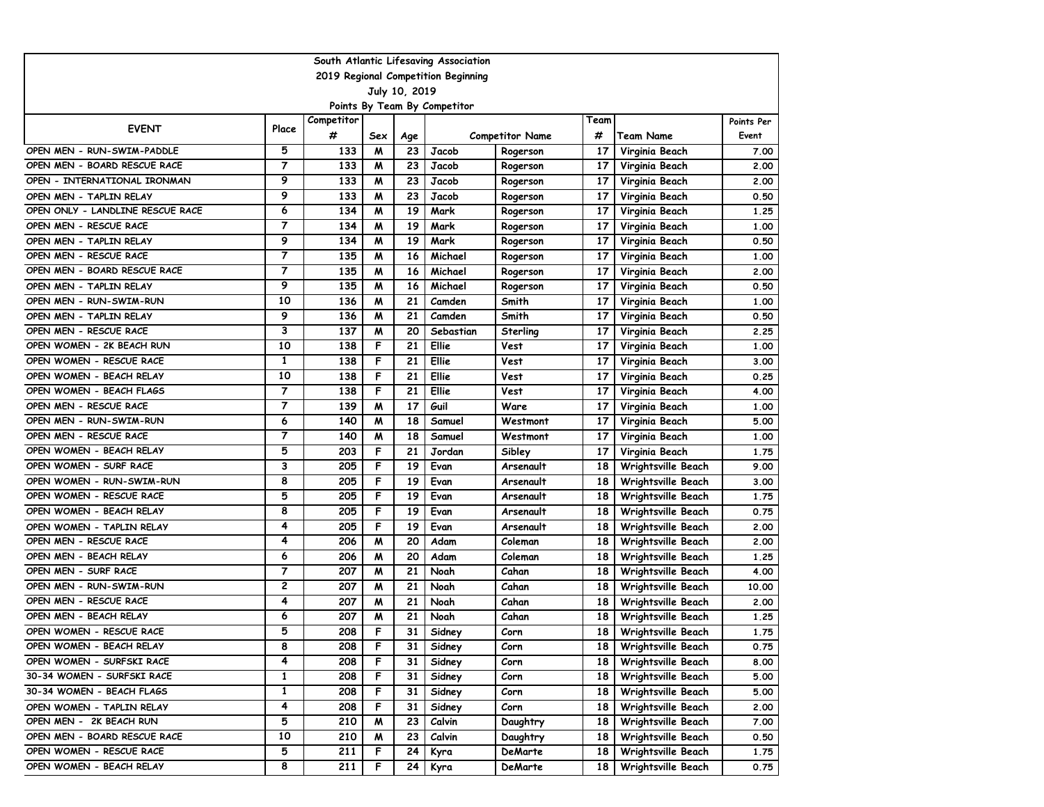| South Atlantic Lifesaving Association |                |            |     |     |                                     |                        |      |                    |            |
|---------------------------------------|----------------|------------|-----|-----|-------------------------------------|------------------------|------|--------------------|------------|
|                                       |                |            |     |     | 2019 Regional Competition Beginning |                        |      |                    |            |
| July 10, 2019                         |                |            |     |     |                                     |                        |      |                    |            |
|                                       |                |            |     |     | Points By Team By Competitor        |                        |      |                    |            |
| <b>EVENT</b>                          | Place          | Competitor |     |     |                                     |                        | Team |                    | Points Per |
|                                       |                | #          | Sex | Age |                                     | <b>Competitor Name</b> | #    | <b>Team Name</b>   | Event      |
| OPEN MEN - RUN-SWIM-PADDLE            | 5              | 133        | M   | 23  | Jacob                               | Rogerson               | 17   | Virginia Beach     | 7.00       |
| OPEN MEN - BOARD RESCUE RACE          | $\overline{7}$ | 133        | M   | 23  | Jacob                               | Rogerson               | 17   | Virginia Beach     | 2.00       |
| OPEN - INTERNATIONAL IRONMAN          | 9              | 133        | M   | 23  | Jacob                               | Rogerson               | 17   | Virginia Beach     | 2.00       |
| OPEN MEN - TAPLIN RELAY               | 9              | 133        | W   | 23  | Jacob                               | Rogerson               | 17   | Virginia Beach     | 0.50       |
| OPEN ONLY - LANDLINE RESCUE RACE      | 6              | 134        | м   | 19  | Mark                                | Rogerson               | 17   | Virginia Beach     | 1.25       |
| OPEN MEN - RESCUE RACE                | $\overline{7}$ | 134        | м   | 19  | Mark                                | Rogerson               | 17   | Virginia Beach     | 1.00       |
| OPEN MEN - TAPLIN RELAY               | 9              | 134        | W   | 19  | Mark                                | Rogerson               | 17   | Virginia Beach     | 0.50       |
| OPEN MEN - RESCUE RACE                | $\overline{7}$ | 135        | W   | 16  | Michael                             | Rogerson               | 17   | Virginia Beach     | 1.00       |
| OPEN MEN - BOARD RESCUE RACE          | $\overline{7}$ | 135        | W   | 16  | Michael                             | Rogerson               | 17   | Virginia Beach     | 2.00       |
| OPEN MEN - TAPLIN RELAY               | 9              | 135        | м   | 16  | Michael                             | Rogerson               | 17   | Virginia Beach     | 0.50       |
| OPEN MEN - RUN-SWIM-RUN               | 10             | 136        | W   | 21  | Camden                              | Smith                  | 17   | Virginia Beach     | 1.00       |
| OPEN MEN - TAPLIN RELAY               | 9              | 136        | M   | 21  | Camden                              | Smith                  | 17   | Virginia Beach     | 0.50       |
| OPEN MEN - RESCUE RACE                | 3              | 137        | M   | 20  | Sebastian                           | Sterling               | 17   | Virginia Beach     | 2.25       |
| OPEN WOMEN - 2K BEACH RUN             | 10             | 138        | F   | 21  | Ellie                               | Vest                   | 17   | Virginia Beach     | 1.00       |
| OPEN WOMEN - RESCUE RACE              | 1              | 138        | F   | 21  | Ellie                               | Vest                   | 17   | Virginia Beach     | 3.00       |
| OPEN WOMEN - BEACH RELAY              | 10             | 138        | F   | 21  | Ellie                               | Vest                   | 17   | Virginia Beach     | 0.25       |
| OPEN WOMEN - BEACH FLAGS              | $\overline{7}$ | 138        | F   | 21  | Ellie                               | Vest                   | 17   | Virginia Beach     | 4.00       |
| OPEN MEN - RESCUE RACE                | $\overline{7}$ | 139        | W   | 17  | Guil                                | Ware                   | 17   | Virginia Beach     | 1.00       |
| OPEN MEN - RUN-SWIM-RUN               | 6              | 140        | W   | 18  | Samuel                              | Westmont               | 17   | Virginia Beach     | 5.00       |
| OPEN MEN - RESCUE RACE                | $\overline{7}$ | 140        | W   | 18  | Samuel                              | Westmont               | 17   | Virginia Beach     | 1.00       |
| OPEN WOMEN - BEACH RELAY              | 5              | 203        | F   | 21  | Jordan                              | Sibley                 | 17   | Virginia Beach     | 1.75       |
| OPEN WOMEN - SURF RACE                | 3              | 205        | F   | 19  | Evan                                | Arsenault              | 18   | Wrightsville Beach | 9.00       |
| OPEN WOMEN - RUN-SWIM-RUN             | 8              | 205        | F   | 19  | Evan                                | Arsenault              | 18   | Wrightsville Beach | 3.00       |
| OPEN WOMEN - RESCUE RACE              | 5              | 205        | F   | 19  | Evan                                | Arsenault              | 18   | Wrightsville Beach | 1.75       |
| OPEN WOMEN - BEACH RELAY              | 8              | 205        | F   | 19  | Evan                                | Arsenault              | 18   | Wrightsville Beach | 0.75       |
| OPEN WOMEN - TAPLIN RELAY             | 4              | 205        | F   | 19  | Evan                                | Arsenault              | 18   | Wrightsville Beach | 2.00       |
| OPEN MEN - RESCUE RACE                | 4              | 206        | W   | 20  | Adam                                | Coleman                | 18   | Wrightsville Beach | 2.00       |
| OPEN MEN - BEACH RELAY                | 6              | 206        | W   | 20  | Adam                                | Coleman                | 18   | Wrightsville Beach | 1.25       |
| OPEN MEN - SURF RACE                  | $\overline{7}$ | 207        | W   | 21  | Noah                                | Cahan                  | 18   | Wrightsville Beach | 4.00       |
| OPEN MEN - RUN-SWIM-RUN               | $\mathbf{2}$   | 207        | м   | 21  | Noah                                | Cahan                  | 18   | Wrightsville Beach | 10.00      |
| OPEN MEN - RESCUE RACE                | 4              | 207        | M   | 21  | Noah                                | Cahan                  | 18   | Wrightsville Beach | 2.00       |
| OPEN MEN - BEACH RELAY                | 6              | 207        | M   | 21  | Noah                                | Cahan                  | 18   | Wrightsville Beach | 1.25       |
| OPEN WOMEN - RESCUE RACE              | 5              | 208        | F   | 31  | Sidney                              | Corn                   | 18   | Wrightsville Beach | 1.75       |
| OPEN WOMEN - BEACH RELAY              | 8              | 208        | F   | 31  | Sidney                              | Corn                   | 18 I | Wrightsville Beach | 0.75       |
| OPEN WOMEN - SURFSKI RACE             | 4              | 208        | F   | 31  | Sidney                              | Corn                   | 18 I | Wrightsville Beach | 8.00       |
| 30-34 WOMEN - SURFSKI RACE            | 1              | 208        | F.  | 31  | Sidney                              | Corn                   | 18 I | Wrightsville Beach | 5.00       |
| 30-34 WOMEN - BEACH FLAGS             | $\mathbf{1}$   | 208        | F.  | 31  | Sidney                              | Corn                   | 18 I | Wrightsville Beach | 5.00       |
| OPEN WOMEN - TAPLIN RELAY             | 4              | 208        | F   | 31  | Sidney                              | Corn                   | 18 I | Wrightsville Beach | 2.00       |
| OPEN MEN - 2K BEACH RUN               | 5              | 210        | M   | 23  | Calvin                              | Daughtry               | 18 I | Wrightsville Beach | 7.00       |
| OPEN MEN - BOARD RESCUE RACE          | 10             | 210        | M   | 23  | Calvin                              | Daughtry               | 18   | Wrightsville Beach | 0.50       |
| OPEN WOMEN - RESCUE RACE              | 5              | 211        | F   | 24  | Kyra                                | DeMarte                | 18   | Wrightsville Beach | 1.75       |
| OPEN WOMEN - BEACH RELAY              | 8              | 211        | F.  | 24  | Kyra                                | DeMarte                | 18   | Wrightsville Beach | 0.75       |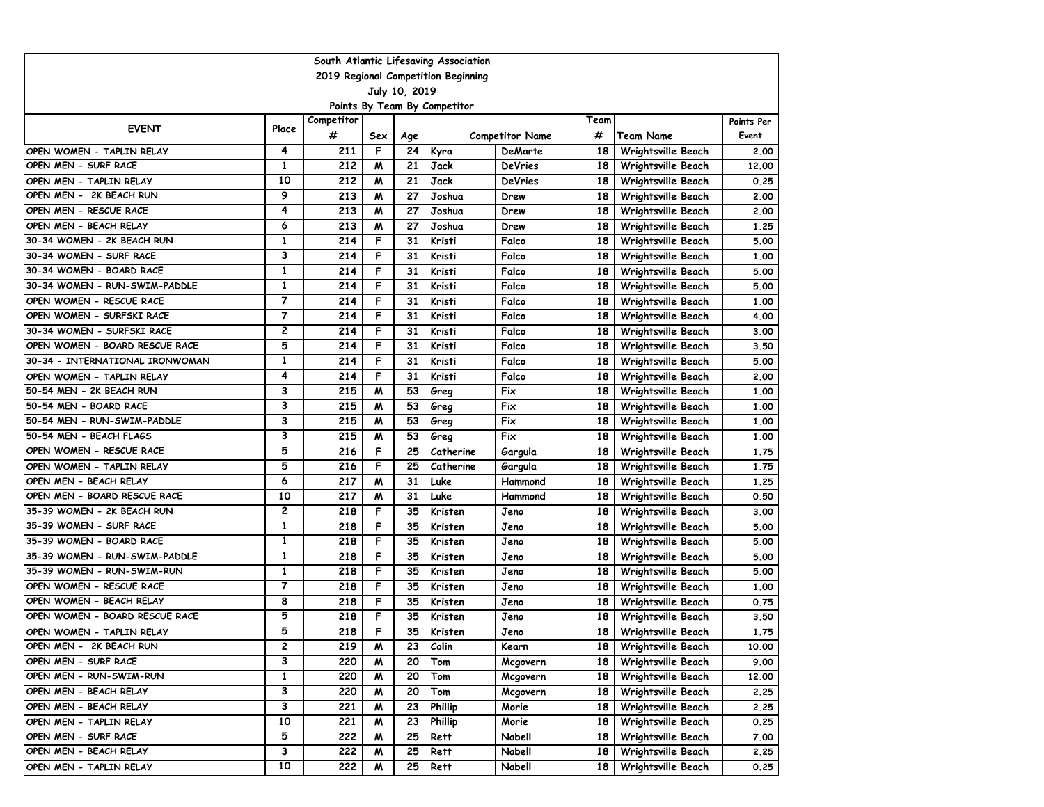| 2019 Regional Competition Beginning<br>July 10, 2019<br>Points By Team By Competitor<br>Competitor<br>Team<br>Points Per<br><b>EVENT</b><br>Place<br>#<br>#<br>Event<br>Sex<br><b>Competitor Name</b><br>Team Name<br>Age<br>4<br>F<br>OPEN WOMEN - TAPLIN RELAY<br>211<br>24<br>Wrightsville Beach<br>Kyra<br>DeMarte<br>18<br>2.00<br>$\mathbf{1}$<br>212<br>OPEN MEN - SURF RACE<br>21<br><b>Jack</b><br><b>DeVries</b><br>12.00<br>M<br>18<br>Wrightsville Beach<br>10<br>212<br>21<br>Jack<br>M<br><b>DeVries</b><br>18<br>Wrightsville Beach<br>0.25<br>OPEN MEN - TAPLIN RELAY<br>9<br>OPEN MEN - 2K BEACH RUN<br>213<br>27<br>2.00<br>M<br>Joshua<br>18<br>Wrightsville Beach<br>Drew<br>OPEN MEN - RESCUE RACE<br>4<br>213<br>27<br>Joshua<br>м<br>18<br>Wrightsville Beach<br>2.00<br>Drew<br>OPEN MEN - BEACH RELAY<br>6<br>213<br>27<br>M<br>Joshua<br>18<br>1.25<br>Drew<br>Wrightsville Beach<br>$\mathbf{1}$<br>$\overline{214}$<br>F<br>31<br>30-34 WOMEN - 2K BEACH RUN<br>Kristi<br>Falco<br>18<br>5.00<br>Wrightsville Beach<br>3<br>F<br>30-34 WOMEN - SURF RACE<br>214<br>31<br>Kristi<br>Falco<br>1.00<br>18<br>Wrightsville Beach<br>1<br>F<br>214<br>31<br>Kristi<br>5.00<br>30-34 WOMEN - BOARD RACE<br>Falco<br>18<br>Wrightsville Beach<br>F<br>30-34 WOMEN - RUN-SWIM-PADDLE<br>1<br>31<br>214<br>Kristi<br>Falco<br>18<br>5.00<br><b>Wrightsville Beach</b><br>OPEN WOMEN - RESCUE RACE<br>$\overline{7}$<br>F<br>214<br>31<br>Kristi<br>Falco<br>18<br>Wrightsville Beach<br>1.00<br>$\overline{7}$<br>F<br>214<br>31<br>4.00<br>OPEN WOMEN - SURFSKI RACE<br>Kristi<br>Falco<br>18<br>Wrightsville Beach<br>$\overline{c}$<br>F<br>30-34 WOMEN - SURFSKI RACE<br>31<br>214<br>Kristi<br>Falco<br>18<br>Wrightsville Beach<br>3.00<br>5<br>214<br>F<br>31<br>Falco<br>OPEN WOMEN - BOARD RESCUE RACE<br>Kristi<br>18<br>Wrightsville Beach<br>3.50<br>30-34 - INTERNATIONAL IRONWOMAN<br>1<br>214<br>F<br>31<br>Kristi<br>Falco<br>18<br>Wrightsville Beach<br>5.00<br>4<br>F<br>214<br>31<br>Kristi<br>Falco<br>18<br>Wrightsville Beach<br>2.00<br>OPEN WOMEN - TAPLIN RELAY<br>3<br>215<br>53<br>M<br>Fix<br>50-54 MEN - 2K BEACH RUN<br>18<br>Wrightsville Beach<br>1.00<br>Greg<br>3<br>50-54 MEN - BOARD RACE<br>215<br>53<br>Fix<br>M<br>Greg<br>Wrightsville Beach<br>1.00<br>18<br>3<br>50-54 MEN - RUN-SWIM-PADDLE<br>215<br>M<br>53<br>Fix<br>1.00<br>18<br>Wrightsville Beach<br>Greg<br>3<br>50-54 MEN - BEACH FLAGS<br>215<br>53<br>Fix<br>M<br>18<br>Wrightsville Beach<br>1,00<br>Greg<br>5<br>F<br>OPEN WOMEN - RESCUE RACE<br>216<br>25<br>Catherine<br>18<br>Wrightsville Beach<br>1.75<br>Gargula<br>5<br>216<br>F<br>25<br>Catherine<br>1.75<br>OPEN WOMEN - TAPLIN RELAY<br>18<br>Wrightsville Beach<br>Gargula<br>6<br>OPEN MEN - BEACH RELAY<br>217<br>31<br>Luke<br>M<br>Hammond<br>18<br>Wrightsville Beach<br>1.25<br>10<br>OPEN MEN - BOARD RESCUE RACE<br>217<br>31<br>Luke<br>0.50<br>M<br>Hammond<br>18<br>Wrightsville Beach<br>$\mathbf{2}$<br>35-39 WOMEN - 2K BEACH RUN<br>218<br>F<br>35<br>Kristen<br>18<br>Wrightsville Beach<br>3.00<br>Jeno<br>F<br>35-39 WOMEN - SURF RACE<br>1<br>218<br>35<br>Kristen<br>18<br>5.00<br>Jeno<br>Wrightsville Beach<br>1<br>218<br>F<br>35<br>5.00<br>35-39 WOMEN - BOARD RACE<br>18<br>Kristen<br>Jeno<br>Wrightsville Beach<br>$\mathbf{1}$<br>F<br>218<br>35-39 WOMEN - RUN-SWIM-PADDLE<br>35<br>Kristen<br>5.00<br>Jeno<br>18<br>Wrightsville Beach<br>F<br>1<br>218<br>35<br>5.00<br>35-39 WOMEN - RUN-SWIM-RUN<br>18<br>Kristen<br>Jeno<br>Wrightsville Beach<br>$\overline{7}$<br>F<br>OPEN WOMEN - RESCUE RACE<br>218<br>35<br>Jeno<br>18<br>1,00<br>Kristen<br>Wrightsville Beach<br>8<br>F<br>OPEN WOMEN - BEACH RELAY<br>218<br>35<br>0.75<br>Kristen<br>Jeno<br>18<br>Wrightsville Beach<br>5<br>F<br>218<br>35<br>OPEN WOMEN - BOARD RESCUE RACE<br>18<br>3.50<br>Kristen<br>Jeno<br>Wrightsville Beach<br>5<br>F<br>218<br>35<br>Kristen<br>18<br>Wrightsville Beach<br>1.75<br>OPEN WOMEN - TAPLIN RELAY<br>Jeno<br>OPEN MEN - 2K BEACH RUN<br>2<br>219<br>23<br>Colin<br>18<br>Wrightsville Beach<br>10.00<br>M<br>Kearn<br>3<br>OPEN MEN - SURF RACE<br>220<br>Wrightsville Beach<br>M<br>20<br>18 I<br>9.00<br>Tom<br>Mcgovern<br>OPEN MEN - RUN-SWIM-RUN<br>1<br>220<br>20<br>M<br>Tom<br>18 I<br>Wrightsville Beach<br>12.00<br>Mcgovern<br>3<br>220<br>OPEN MEN - BEACH RELAY<br>M<br>20<br>Tom<br>18 I<br>Wrightsville Beach<br>2.25<br>Mcgovern<br>3<br>OPEN MEN - BEACH RELAY<br>Phillip<br>221<br>M<br>23<br>Wrightsville Beach<br>2.25<br>Morie<br>18  <br>10<br>221<br>23<br>Phillip<br>0.25<br>M<br>Morie<br>18 I<br>Wrightsville Beach<br>OPEN MEN - TAPLIN RELAY<br>5<br>OPEN MEN - SURF RACE<br>222<br>M<br>25<br>Rett<br>Nabell<br>Wrightsville Beach<br>7.00<br>18  <br>3<br>OPEN MEN - BEACH RELAY<br>222<br>25<br>M<br>Rett<br>Nabell<br>Wrightsville Beach<br>2.25<br>18<br>10<br>OPEN MEN - TAPLIN RELAY<br>222<br>25<br>Wrightsville Beach<br>0.25<br>M<br>Rett<br>Nabell<br>18 | South Atlantic Lifesaving Association |  |  |  |  |  |  |  |  |  |
|------------------------------------------------------------------------------------------------------------------------------------------------------------------------------------------------------------------------------------------------------------------------------------------------------------------------------------------------------------------------------------------------------------------------------------------------------------------------------------------------------------------------------------------------------------------------------------------------------------------------------------------------------------------------------------------------------------------------------------------------------------------------------------------------------------------------------------------------------------------------------------------------------------------------------------------------------------------------------------------------------------------------------------------------------------------------------------------------------------------------------------------------------------------------------------------------------------------------------------------------------------------------------------------------------------------------------------------------------------------------------------------------------------------------------------------------------------------------------------------------------------------------------------------------------------------------------------------------------------------------------------------------------------------------------------------------------------------------------------------------------------------------------------------------------------------------------------------------------------------------------------------------------------------------------------------------------------------------------------------------------------------------------------------------------------------------------------------------------------------------------------------------------------------------------------------------------------------------------------------------------------------------------------------------------------------------------------------------------------------------------------------------------------------------------------------------------------------------------------------------------------------------------------------------------------------------------------------------------------------------------------------------------------------------------------------------------------------------------------------------------------------------------------------------------------------------------------------------------------------------------------------------------------------------------------------------------------------------------------------------------------------------------------------------------------------------------------------------------------------------------------------------------------------------------------------------------------------------------------------------------------------------------------------------------------------------------------------------------------------------------------------------------------------------------------------------------------------------------------------------------------------------------------------------------------------------------------------------------------------------------------------------------------------------------------------------------------------------------------------------------------------------------------------------------------------------------------------------------------------------------------------------------------------------------------------------------------------------------------------------------------------------------------------------------------------------------------------------------------------------------------------------------------------------------------------------------------------------------------------------------------------------------------------------------------------------------------------------------------------------------------------------------------------------------------------------------------------------------------------------------------------------------------------------------------------------------------------------------------------------------------------------------------------------------------------------------------------------------------------------------------------------------------------------------------------------------------------------------------------------------------------------------------------------------------------------------------------------------------------------------------------------------|---------------------------------------|--|--|--|--|--|--|--|--|--|
|                                                                                                                                                                                                                                                                                                                                                                                                                                                                                                                                                                                                                                                                                                                                                                                                                                                                                                                                                                                                                                                                                                                                                                                                                                                                                                                                                                                                                                                                                                                                                                                                                                                                                                                                                                                                                                                                                                                                                                                                                                                                                                                                                                                                                                                                                                                                                                                                                                                                                                                                                                                                                                                                                                                                                                                                                                                                                                                                                                                                                                                                                                                                                                                                                                                                                                                                                                                                                                                                                                                                                                                                                                                                                                                                                                                                                                                                                                                                                                                                                                                                                                                                                                                                                                                                                                                                                                                                                                                                                                                                                                                                                                                                                                                                                                                                                                                                                                                                                                                                                              |                                       |  |  |  |  |  |  |  |  |  |
|                                                                                                                                                                                                                                                                                                                                                                                                                                                                                                                                                                                                                                                                                                                                                                                                                                                                                                                                                                                                                                                                                                                                                                                                                                                                                                                                                                                                                                                                                                                                                                                                                                                                                                                                                                                                                                                                                                                                                                                                                                                                                                                                                                                                                                                                                                                                                                                                                                                                                                                                                                                                                                                                                                                                                                                                                                                                                                                                                                                                                                                                                                                                                                                                                                                                                                                                                                                                                                                                                                                                                                                                                                                                                                                                                                                                                                                                                                                                                                                                                                                                                                                                                                                                                                                                                                                                                                                                                                                                                                                                                                                                                                                                                                                                                                                                                                                                                                                                                                                                                              |                                       |  |  |  |  |  |  |  |  |  |
|                                                                                                                                                                                                                                                                                                                                                                                                                                                                                                                                                                                                                                                                                                                                                                                                                                                                                                                                                                                                                                                                                                                                                                                                                                                                                                                                                                                                                                                                                                                                                                                                                                                                                                                                                                                                                                                                                                                                                                                                                                                                                                                                                                                                                                                                                                                                                                                                                                                                                                                                                                                                                                                                                                                                                                                                                                                                                                                                                                                                                                                                                                                                                                                                                                                                                                                                                                                                                                                                                                                                                                                                                                                                                                                                                                                                                                                                                                                                                                                                                                                                                                                                                                                                                                                                                                                                                                                                                                                                                                                                                                                                                                                                                                                                                                                                                                                                                                                                                                                                                              |                                       |  |  |  |  |  |  |  |  |  |
|                                                                                                                                                                                                                                                                                                                                                                                                                                                                                                                                                                                                                                                                                                                                                                                                                                                                                                                                                                                                                                                                                                                                                                                                                                                                                                                                                                                                                                                                                                                                                                                                                                                                                                                                                                                                                                                                                                                                                                                                                                                                                                                                                                                                                                                                                                                                                                                                                                                                                                                                                                                                                                                                                                                                                                                                                                                                                                                                                                                                                                                                                                                                                                                                                                                                                                                                                                                                                                                                                                                                                                                                                                                                                                                                                                                                                                                                                                                                                                                                                                                                                                                                                                                                                                                                                                                                                                                                                                                                                                                                                                                                                                                                                                                                                                                                                                                                                                                                                                                                                              |                                       |  |  |  |  |  |  |  |  |  |
|                                                                                                                                                                                                                                                                                                                                                                                                                                                                                                                                                                                                                                                                                                                                                                                                                                                                                                                                                                                                                                                                                                                                                                                                                                                                                                                                                                                                                                                                                                                                                                                                                                                                                                                                                                                                                                                                                                                                                                                                                                                                                                                                                                                                                                                                                                                                                                                                                                                                                                                                                                                                                                                                                                                                                                                                                                                                                                                                                                                                                                                                                                                                                                                                                                                                                                                                                                                                                                                                                                                                                                                                                                                                                                                                                                                                                                                                                                                                                                                                                                                                                                                                                                                                                                                                                                                                                                                                                                                                                                                                                                                                                                                                                                                                                                                                                                                                                                                                                                                                                              |                                       |  |  |  |  |  |  |  |  |  |
|                                                                                                                                                                                                                                                                                                                                                                                                                                                                                                                                                                                                                                                                                                                                                                                                                                                                                                                                                                                                                                                                                                                                                                                                                                                                                                                                                                                                                                                                                                                                                                                                                                                                                                                                                                                                                                                                                                                                                                                                                                                                                                                                                                                                                                                                                                                                                                                                                                                                                                                                                                                                                                                                                                                                                                                                                                                                                                                                                                                                                                                                                                                                                                                                                                                                                                                                                                                                                                                                                                                                                                                                                                                                                                                                                                                                                                                                                                                                                                                                                                                                                                                                                                                                                                                                                                                                                                                                                                                                                                                                                                                                                                                                                                                                                                                                                                                                                                                                                                                                                              |                                       |  |  |  |  |  |  |  |  |  |
|                                                                                                                                                                                                                                                                                                                                                                                                                                                                                                                                                                                                                                                                                                                                                                                                                                                                                                                                                                                                                                                                                                                                                                                                                                                                                                                                                                                                                                                                                                                                                                                                                                                                                                                                                                                                                                                                                                                                                                                                                                                                                                                                                                                                                                                                                                                                                                                                                                                                                                                                                                                                                                                                                                                                                                                                                                                                                                                                                                                                                                                                                                                                                                                                                                                                                                                                                                                                                                                                                                                                                                                                                                                                                                                                                                                                                                                                                                                                                                                                                                                                                                                                                                                                                                                                                                                                                                                                                                                                                                                                                                                                                                                                                                                                                                                                                                                                                                                                                                                                                              |                                       |  |  |  |  |  |  |  |  |  |
|                                                                                                                                                                                                                                                                                                                                                                                                                                                                                                                                                                                                                                                                                                                                                                                                                                                                                                                                                                                                                                                                                                                                                                                                                                                                                                                                                                                                                                                                                                                                                                                                                                                                                                                                                                                                                                                                                                                                                                                                                                                                                                                                                                                                                                                                                                                                                                                                                                                                                                                                                                                                                                                                                                                                                                                                                                                                                                                                                                                                                                                                                                                                                                                                                                                                                                                                                                                                                                                                                                                                                                                                                                                                                                                                                                                                                                                                                                                                                                                                                                                                                                                                                                                                                                                                                                                                                                                                                                                                                                                                                                                                                                                                                                                                                                                                                                                                                                                                                                                                                              |                                       |  |  |  |  |  |  |  |  |  |
|                                                                                                                                                                                                                                                                                                                                                                                                                                                                                                                                                                                                                                                                                                                                                                                                                                                                                                                                                                                                                                                                                                                                                                                                                                                                                                                                                                                                                                                                                                                                                                                                                                                                                                                                                                                                                                                                                                                                                                                                                                                                                                                                                                                                                                                                                                                                                                                                                                                                                                                                                                                                                                                                                                                                                                                                                                                                                                                                                                                                                                                                                                                                                                                                                                                                                                                                                                                                                                                                                                                                                                                                                                                                                                                                                                                                                                                                                                                                                                                                                                                                                                                                                                                                                                                                                                                                                                                                                                                                                                                                                                                                                                                                                                                                                                                                                                                                                                                                                                                                                              |                                       |  |  |  |  |  |  |  |  |  |
|                                                                                                                                                                                                                                                                                                                                                                                                                                                                                                                                                                                                                                                                                                                                                                                                                                                                                                                                                                                                                                                                                                                                                                                                                                                                                                                                                                                                                                                                                                                                                                                                                                                                                                                                                                                                                                                                                                                                                                                                                                                                                                                                                                                                                                                                                                                                                                                                                                                                                                                                                                                                                                                                                                                                                                                                                                                                                                                                                                                                                                                                                                                                                                                                                                                                                                                                                                                                                                                                                                                                                                                                                                                                                                                                                                                                                                                                                                                                                                                                                                                                                                                                                                                                                                                                                                                                                                                                                                                                                                                                                                                                                                                                                                                                                                                                                                                                                                                                                                                                                              |                                       |  |  |  |  |  |  |  |  |  |
|                                                                                                                                                                                                                                                                                                                                                                                                                                                                                                                                                                                                                                                                                                                                                                                                                                                                                                                                                                                                                                                                                                                                                                                                                                                                                                                                                                                                                                                                                                                                                                                                                                                                                                                                                                                                                                                                                                                                                                                                                                                                                                                                                                                                                                                                                                                                                                                                                                                                                                                                                                                                                                                                                                                                                                                                                                                                                                                                                                                                                                                                                                                                                                                                                                                                                                                                                                                                                                                                                                                                                                                                                                                                                                                                                                                                                                                                                                                                                                                                                                                                                                                                                                                                                                                                                                                                                                                                                                                                                                                                                                                                                                                                                                                                                                                                                                                                                                                                                                                                                              |                                       |  |  |  |  |  |  |  |  |  |
|                                                                                                                                                                                                                                                                                                                                                                                                                                                                                                                                                                                                                                                                                                                                                                                                                                                                                                                                                                                                                                                                                                                                                                                                                                                                                                                                                                                                                                                                                                                                                                                                                                                                                                                                                                                                                                                                                                                                                                                                                                                                                                                                                                                                                                                                                                                                                                                                                                                                                                                                                                                                                                                                                                                                                                                                                                                                                                                                                                                                                                                                                                                                                                                                                                                                                                                                                                                                                                                                                                                                                                                                                                                                                                                                                                                                                                                                                                                                                                                                                                                                                                                                                                                                                                                                                                                                                                                                                                                                                                                                                                                                                                                                                                                                                                                                                                                                                                                                                                                                                              |                                       |  |  |  |  |  |  |  |  |  |
|                                                                                                                                                                                                                                                                                                                                                                                                                                                                                                                                                                                                                                                                                                                                                                                                                                                                                                                                                                                                                                                                                                                                                                                                                                                                                                                                                                                                                                                                                                                                                                                                                                                                                                                                                                                                                                                                                                                                                                                                                                                                                                                                                                                                                                                                                                                                                                                                                                                                                                                                                                                                                                                                                                                                                                                                                                                                                                                                                                                                                                                                                                                                                                                                                                                                                                                                                                                                                                                                                                                                                                                                                                                                                                                                                                                                                                                                                                                                                                                                                                                                                                                                                                                                                                                                                                                                                                                                                                                                                                                                                                                                                                                                                                                                                                                                                                                                                                                                                                                                                              |                                       |  |  |  |  |  |  |  |  |  |
|                                                                                                                                                                                                                                                                                                                                                                                                                                                                                                                                                                                                                                                                                                                                                                                                                                                                                                                                                                                                                                                                                                                                                                                                                                                                                                                                                                                                                                                                                                                                                                                                                                                                                                                                                                                                                                                                                                                                                                                                                                                                                                                                                                                                                                                                                                                                                                                                                                                                                                                                                                                                                                                                                                                                                                                                                                                                                                                                                                                                                                                                                                                                                                                                                                                                                                                                                                                                                                                                                                                                                                                                                                                                                                                                                                                                                                                                                                                                                                                                                                                                                                                                                                                                                                                                                                                                                                                                                                                                                                                                                                                                                                                                                                                                                                                                                                                                                                                                                                                                                              |                                       |  |  |  |  |  |  |  |  |  |
|                                                                                                                                                                                                                                                                                                                                                                                                                                                                                                                                                                                                                                                                                                                                                                                                                                                                                                                                                                                                                                                                                                                                                                                                                                                                                                                                                                                                                                                                                                                                                                                                                                                                                                                                                                                                                                                                                                                                                                                                                                                                                                                                                                                                                                                                                                                                                                                                                                                                                                                                                                                                                                                                                                                                                                                                                                                                                                                                                                                                                                                                                                                                                                                                                                                                                                                                                                                                                                                                                                                                                                                                                                                                                                                                                                                                                                                                                                                                                                                                                                                                                                                                                                                                                                                                                                                                                                                                                                                                                                                                                                                                                                                                                                                                                                                                                                                                                                                                                                                                                              |                                       |  |  |  |  |  |  |  |  |  |
|                                                                                                                                                                                                                                                                                                                                                                                                                                                                                                                                                                                                                                                                                                                                                                                                                                                                                                                                                                                                                                                                                                                                                                                                                                                                                                                                                                                                                                                                                                                                                                                                                                                                                                                                                                                                                                                                                                                                                                                                                                                                                                                                                                                                                                                                                                                                                                                                                                                                                                                                                                                                                                                                                                                                                                                                                                                                                                                                                                                                                                                                                                                                                                                                                                                                                                                                                                                                                                                                                                                                                                                                                                                                                                                                                                                                                                                                                                                                                                                                                                                                                                                                                                                                                                                                                                                                                                                                                                                                                                                                                                                                                                                                                                                                                                                                                                                                                                                                                                                                                              |                                       |  |  |  |  |  |  |  |  |  |
|                                                                                                                                                                                                                                                                                                                                                                                                                                                                                                                                                                                                                                                                                                                                                                                                                                                                                                                                                                                                                                                                                                                                                                                                                                                                                                                                                                                                                                                                                                                                                                                                                                                                                                                                                                                                                                                                                                                                                                                                                                                                                                                                                                                                                                                                                                                                                                                                                                                                                                                                                                                                                                                                                                                                                                                                                                                                                                                                                                                                                                                                                                                                                                                                                                                                                                                                                                                                                                                                                                                                                                                                                                                                                                                                                                                                                                                                                                                                                                                                                                                                                                                                                                                                                                                                                                                                                                                                                                                                                                                                                                                                                                                                                                                                                                                                                                                                                                                                                                                                                              |                                       |  |  |  |  |  |  |  |  |  |
|                                                                                                                                                                                                                                                                                                                                                                                                                                                                                                                                                                                                                                                                                                                                                                                                                                                                                                                                                                                                                                                                                                                                                                                                                                                                                                                                                                                                                                                                                                                                                                                                                                                                                                                                                                                                                                                                                                                                                                                                                                                                                                                                                                                                                                                                                                                                                                                                                                                                                                                                                                                                                                                                                                                                                                                                                                                                                                                                                                                                                                                                                                                                                                                                                                                                                                                                                                                                                                                                                                                                                                                                                                                                                                                                                                                                                                                                                                                                                                                                                                                                                                                                                                                                                                                                                                                                                                                                                                                                                                                                                                                                                                                                                                                                                                                                                                                                                                                                                                                                                              |                                       |  |  |  |  |  |  |  |  |  |
|                                                                                                                                                                                                                                                                                                                                                                                                                                                                                                                                                                                                                                                                                                                                                                                                                                                                                                                                                                                                                                                                                                                                                                                                                                                                                                                                                                                                                                                                                                                                                                                                                                                                                                                                                                                                                                                                                                                                                                                                                                                                                                                                                                                                                                                                                                                                                                                                                                                                                                                                                                                                                                                                                                                                                                                                                                                                                                                                                                                                                                                                                                                                                                                                                                                                                                                                                                                                                                                                                                                                                                                                                                                                                                                                                                                                                                                                                                                                                                                                                                                                                                                                                                                                                                                                                                                                                                                                                                                                                                                                                                                                                                                                                                                                                                                                                                                                                                                                                                                                                              |                                       |  |  |  |  |  |  |  |  |  |
|                                                                                                                                                                                                                                                                                                                                                                                                                                                                                                                                                                                                                                                                                                                                                                                                                                                                                                                                                                                                                                                                                                                                                                                                                                                                                                                                                                                                                                                                                                                                                                                                                                                                                                                                                                                                                                                                                                                                                                                                                                                                                                                                                                                                                                                                                                                                                                                                                                                                                                                                                                                                                                                                                                                                                                                                                                                                                                                                                                                                                                                                                                                                                                                                                                                                                                                                                                                                                                                                                                                                                                                                                                                                                                                                                                                                                                                                                                                                                                                                                                                                                                                                                                                                                                                                                                                                                                                                                                                                                                                                                                                                                                                                                                                                                                                                                                                                                                                                                                                                                              |                                       |  |  |  |  |  |  |  |  |  |
|                                                                                                                                                                                                                                                                                                                                                                                                                                                                                                                                                                                                                                                                                                                                                                                                                                                                                                                                                                                                                                                                                                                                                                                                                                                                                                                                                                                                                                                                                                                                                                                                                                                                                                                                                                                                                                                                                                                                                                                                                                                                                                                                                                                                                                                                                                                                                                                                                                                                                                                                                                                                                                                                                                                                                                                                                                                                                                                                                                                                                                                                                                                                                                                                                                                                                                                                                                                                                                                                                                                                                                                                                                                                                                                                                                                                                                                                                                                                                                                                                                                                                                                                                                                                                                                                                                                                                                                                                                                                                                                                                                                                                                                                                                                                                                                                                                                                                                                                                                                                                              |                                       |  |  |  |  |  |  |  |  |  |
|                                                                                                                                                                                                                                                                                                                                                                                                                                                                                                                                                                                                                                                                                                                                                                                                                                                                                                                                                                                                                                                                                                                                                                                                                                                                                                                                                                                                                                                                                                                                                                                                                                                                                                                                                                                                                                                                                                                                                                                                                                                                                                                                                                                                                                                                                                                                                                                                                                                                                                                                                                                                                                                                                                                                                                                                                                                                                                                                                                                                                                                                                                                                                                                                                                                                                                                                                                                                                                                                                                                                                                                                                                                                                                                                                                                                                                                                                                                                                                                                                                                                                                                                                                                                                                                                                                                                                                                                                                                                                                                                                                                                                                                                                                                                                                                                                                                                                                                                                                                                                              |                                       |  |  |  |  |  |  |  |  |  |
|                                                                                                                                                                                                                                                                                                                                                                                                                                                                                                                                                                                                                                                                                                                                                                                                                                                                                                                                                                                                                                                                                                                                                                                                                                                                                                                                                                                                                                                                                                                                                                                                                                                                                                                                                                                                                                                                                                                                                                                                                                                                                                                                                                                                                                                                                                                                                                                                                                                                                                                                                                                                                                                                                                                                                                                                                                                                                                                                                                                                                                                                                                                                                                                                                                                                                                                                                                                                                                                                                                                                                                                                                                                                                                                                                                                                                                                                                                                                                                                                                                                                                                                                                                                                                                                                                                                                                                                                                                                                                                                                                                                                                                                                                                                                                                                                                                                                                                                                                                                                                              |                                       |  |  |  |  |  |  |  |  |  |
|                                                                                                                                                                                                                                                                                                                                                                                                                                                                                                                                                                                                                                                                                                                                                                                                                                                                                                                                                                                                                                                                                                                                                                                                                                                                                                                                                                                                                                                                                                                                                                                                                                                                                                                                                                                                                                                                                                                                                                                                                                                                                                                                                                                                                                                                                                                                                                                                                                                                                                                                                                                                                                                                                                                                                                                                                                                                                                                                                                                                                                                                                                                                                                                                                                                                                                                                                                                                                                                                                                                                                                                                                                                                                                                                                                                                                                                                                                                                                                                                                                                                                                                                                                                                                                                                                                                                                                                                                                                                                                                                                                                                                                                                                                                                                                                                                                                                                                                                                                                                                              |                                       |  |  |  |  |  |  |  |  |  |
|                                                                                                                                                                                                                                                                                                                                                                                                                                                                                                                                                                                                                                                                                                                                                                                                                                                                                                                                                                                                                                                                                                                                                                                                                                                                                                                                                                                                                                                                                                                                                                                                                                                                                                                                                                                                                                                                                                                                                                                                                                                                                                                                                                                                                                                                                                                                                                                                                                                                                                                                                                                                                                                                                                                                                                                                                                                                                                                                                                                                                                                                                                                                                                                                                                                                                                                                                                                                                                                                                                                                                                                                                                                                                                                                                                                                                                                                                                                                                                                                                                                                                                                                                                                                                                                                                                                                                                                                                                                                                                                                                                                                                                                                                                                                                                                                                                                                                                                                                                                                                              |                                       |  |  |  |  |  |  |  |  |  |
|                                                                                                                                                                                                                                                                                                                                                                                                                                                                                                                                                                                                                                                                                                                                                                                                                                                                                                                                                                                                                                                                                                                                                                                                                                                                                                                                                                                                                                                                                                                                                                                                                                                                                                                                                                                                                                                                                                                                                                                                                                                                                                                                                                                                                                                                                                                                                                                                                                                                                                                                                                                                                                                                                                                                                                                                                                                                                                                                                                                                                                                                                                                                                                                                                                                                                                                                                                                                                                                                                                                                                                                                                                                                                                                                                                                                                                                                                                                                                                                                                                                                                                                                                                                                                                                                                                                                                                                                                                                                                                                                                                                                                                                                                                                                                                                                                                                                                                                                                                                                                              |                                       |  |  |  |  |  |  |  |  |  |
|                                                                                                                                                                                                                                                                                                                                                                                                                                                                                                                                                                                                                                                                                                                                                                                                                                                                                                                                                                                                                                                                                                                                                                                                                                                                                                                                                                                                                                                                                                                                                                                                                                                                                                                                                                                                                                                                                                                                                                                                                                                                                                                                                                                                                                                                                                                                                                                                                                                                                                                                                                                                                                                                                                                                                                                                                                                                                                                                                                                                                                                                                                                                                                                                                                                                                                                                                                                                                                                                                                                                                                                                                                                                                                                                                                                                                                                                                                                                                                                                                                                                                                                                                                                                                                                                                                                                                                                                                                                                                                                                                                                                                                                                                                                                                                                                                                                                                                                                                                                                                              |                                       |  |  |  |  |  |  |  |  |  |
|                                                                                                                                                                                                                                                                                                                                                                                                                                                                                                                                                                                                                                                                                                                                                                                                                                                                                                                                                                                                                                                                                                                                                                                                                                                                                                                                                                                                                                                                                                                                                                                                                                                                                                                                                                                                                                                                                                                                                                                                                                                                                                                                                                                                                                                                                                                                                                                                                                                                                                                                                                                                                                                                                                                                                                                                                                                                                                                                                                                                                                                                                                                                                                                                                                                                                                                                                                                                                                                                                                                                                                                                                                                                                                                                                                                                                                                                                                                                                                                                                                                                                                                                                                                                                                                                                                                                                                                                                                                                                                                                                                                                                                                                                                                                                                                                                                                                                                                                                                                                                              |                                       |  |  |  |  |  |  |  |  |  |
|                                                                                                                                                                                                                                                                                                                                                                                                                                                                                                                                                                                                                                                                                                                                                                                                                                                                                                                                                                                                                                                                                                                                                                                                                                                                                                                                                                                                                                                                                                                                                                                                                                                                                                                                                                                                                                                                                                                                                                                                                                                                                                                                                                                                                                                                                                                                                                                                                                                                                                                                                                                                                                                                                                                                                                                                                                                                                                                                                                                                                                                                                                                                                                                                                                                                                                                                                                                                                                                                                                                                                                                                                                                                                                                                                                                                                                                                                                                                                                                                                                                                                                                                                                                                                                                                                                                                                                                                                                                                                                                                                                                                                                                                                                                                                                                                                                                                                                                                                                                                                              |                                       |  |  |  |  |  |  |  |  |  |
|                                                                                                                                                                                                                                                                                                                                                                                                                                                                                                                                                                                                                                                                                                                                                                                                                                                                                                                                                                                                                                                                                                                                                                                                                                                                                                                                                                                                                                                                                                                                                                                                                                                                                                                                                                                                                                                                                                                                                                                                                                                                                                                                                                                                                                                                                                                                                                                                                                                                                                                                                                                                                                                                                                                                                                                                                                                                                                                                                                                                                                                                                                                                                                                                                                                                                                                                                                                                                                                                                                                                                                                                                                                                                                                                                                                                                                                                                                                                                                                                                                                                                                                                                                                                                                                                                                                                                                                                                                                                                                                                                                                                                                                                                                                                                                                                                                                                                                                                                                                                                              |                                       |  |  |  |  |  |  |  |  |  |
|                                                                                                                                                                                                                                                                                                                                                                                                                                                                                                                                                                                                                                                                                                                                                                                                                                                                                                                                                                                                                                                                                                                                                                                                                                                                                                                                                                                                                                                                                                                                                                                                                                                                                                                                                                                                                                                                                                                                                                                                                                                                                                                                                                                                                                                                                                                                                                                                                                                                                                                                                                                                                                                                                                                                                                                                                                                                                                                                                                                                                                                                                                                                                                                                                                                                                                                                                                                                                                                                                                                                                                                                                                                                                                                                                                                                                                                                                                                                                                                                                                                                                                                                                                                                                                                                                                                                                                                                                                                                                                                                                                                                                                                                                                                                                                                                                                                                                                                                                                                                                              |                                       |  |  |  |  |  |  |  |  |  |
|                                                                                                                                                                                                                                                                                                                                                                                                                                                                                                                                                                                                                                                                                                                                                                                                                                                                                                                                                                                                                                                                                                                                                                                                                                                                                                                                                                                                                                                                                                                                                                                                                                                                                                                                                                                                                                                                                                                                                                                                                                                                                                                                                                                                                                                                                                                                                                                                                                                                                                                                                                                                                                                                                                                                                                                                                                                                                                                                                                                                                                                                                                                                                                                                                                                                                                                                                                                                                                                                                                                                                                                                                                                                                                                                                                                                                                                                                                                                                                                                                                                                                                                                                                                                                                                                                                                                                                                                                                                                                                                                                                                                                                                                                                                                                                                                                                                                                                                                                                                                                              |                                       |  |  |  |  |  |  |  |  |  |
|                                                                                                                                                                                                                                                                                                                                                                                                                                                                                                                                                                                                                                                                                                                                                                                                                                                                                                                                                                                                                                                                                                                                                                                                                                                                                                                                                                                                                                                                                                                                                                                                                                                                                                                                                                                                                                                                                                                                                                                                                                                                                                                                                                                                                                                                                                                                                                                                                                                                                                                                                                                                                                                                                                                                                                                                                                                                                                                                                                                                                                                                                                                                                                                                                                                                                                                                                                                                                                                                                                                                                                                                                                                                                                                                                                                                                                                                                                                                                                                                                                                                                                                                                                                                                                                                                                                                                                                                                                                                                                                                                                                                                                                                                                                                                                                                                                                                                                                                                                                                                              |                                       |  |  |  |  |  |  |  |  |  |
|                                                                                                                                                                                                                                                                                                                                                                                                                                                                                                                                                                                                                                                                                                                                                                                                                                                                                                                                                                                                                                                                                                                                                                                                                                                                                                                                                                                                                                                                                                                                                                                                                                                                                                                                                                                                                                                                                                                                                                                                                                                                                                                                                                                                                                                                                                                                                                                                                                                                                                                                                                                                                                                                                                                                                                                                                                                                                                                                                                                                                                                                                                                                                                                                                                                                                                                                                                                                                                                                                                                                                                                                                                                                                                                                                                                                                                                                                                                                                                                                                                                                                                                                                                                                                                                                                                                                                                                                                                                                                                                                                                                                                                                                                                                                                                                                                                                                                                                                                                                                                              |                                       |  |  |  |  |  |  |  |  |  |
|                                                                                                                                                                                                                                                                                                                                                                                                                                                                                                                                                                                                                                                                                                                                                                                                                                                                                                                                                                                                                                                                                                                                                                                                                                                                                                                                                                                                                                                                                                                                                                                                                                                                                                                                                                                                                                                                                                                                                                                                                                                                                                                                                                                                                                                                                                                                                                                                                                                                                                                                                                                                                                                                                                                                                                                                                                                                                                                                                                                                                                                                                                                                                                                                                                                                                                                                                                                                                                                                                                                                                                                                                                                                                                                                                                                                                                                                                                                                                                                                                                                                                                                                                                                                                                                                                                                                                                                                                                                                                                                                                                                                                                                                                                                                                                                                                                                                                                                                                                                                                              |                                       |  |  |  |  |  |  |  |  |  |
|                                                                                                                                                                                                                                                                                                                                                                                                                                                                                                                                                                                                                                                                                                                                                                                                                                                                                                                                                                                                                                                                                                                                                                                                                                                                                                                                                                                                                                                                                                                                                                                                                                                                                                                                                                                                                                                                                                                                                                                                                                                                                                                                                                                                                                                                                                                                                                                                                                                                                                                                                                                                                                                                                                                                                                                                                                                                                                                                                                                                                                                                                                                                                                                                                                                                                                                                                                                                                                                                                                                                                                                                                                                                                                                                                                                                                                                                                                                                                                                                                                                                                                                                                                                                                                                                                                                                                                                                                                                                                                                                                                                                                                                                                                                                                                                                                                                                                                                                                                                                                              |                                       |  |  |  |  |  |  |  |  |  |
|                                                                                                                                                                                                                                                                                                                                                                                                                                                                                                                                                                                                                                                                                                                                                                                                                                                                                                                                                                                                                                                                                                                                                                                                                                                                                                                                                                                                                                                                                                                                                                                                                                                                                                                                                                                                                                                                                                                                                                                                                                                                                                                                                                                                                                                                                                                                                                                                                                                                                                                                                                                                                                                                                                                                                                                                                                                                                                                                                                                                                                                                                                                                                                                                                                                                                                                                                                                                                                                                                                                                                                                                                                                                                                                                                                                                                                                                                                                                                                                                                                                                                                                                                                                                                                                                                                                                                                                                                                                                                                                                                                                                                                                                                                                                                                                                                                                                                                                                                                                                                              |                                       |  |  |  |  |  |  |  |  |  |
|                                                                                                                                                                                                                                                                                                                                                                                                                                                                                                                                                                                                                                                                                                                                                                                                                                                                                                                                                                                                                                                                                                                                                                                                                                                                                                                                                                                                                                                                                                                                                                                                                                                                                                                                                                                                                                                                                                                                                                                                                                                                                                                                                                                                                                                                                                                                                                                                                                                                                                                                                                                                                                                                                                                                                                                                                                                                                                                                                                                                                                                                                                                                                                                                                                                                                                                                                                                                                                                                                                                                                                                                                                                                                                                                                                                                                                                                                                                                                                                                                                                                                                                                                                                                                                                                                                                                                                                                                                                                                                                                                                                                                                                                                                                                                                                                                                                                                                                                                                                                                              |                                       |  |  |  |  |  |  |  |  |  |
|                                                                                                                                                                                                                                                                                                                                                                                                                                                                                                                                                                                                                                                                                                                                                                                                                                                                                                                                                                                                                                                                                                                                                                                                                                                                                                                                                                                                                                                                                                                                                                                                                                                                                                                                                                                                                                                                                                                                                                                                                                                                                                                                                                                                                                                                                                                                                                                                                                                                                                                                                                                                                                                                                                                                                                                                                                                                                                                                                                                                                                                                                                                                                                                                                                                                                                                                                                                                                                                                                                                                                                                                                                                                                                                                                                                                                                                                                                                                                                                                                                                                                                                                                                                                                                                                                                                                                                                                                                                                                                                                                                                                                                                                                                                                                                                                                                                                                                                                                                                                                              |                                       |  |  |  |  |  |  |  |  |  |
|                                                                                                                                                                                                                                                                                                                                                                                                                                                                                                                                                                                                                                                                                                                                                                                                                                                                                                                                                                                                                                                                                                                                                                                                                                                                                                                                                                                                                                                                                                                                                                                                                                                                                                                                                                                                                                                                                                                                                                                                                                                                                                                                                                                                                                                                                                                                                                                                                                                                                                                                                                                                                                                                                                                                                                                                                                                                                                                                                                                                                                                                                                                                                                                                                                                                                                                                                                                                                                                                                                                                                                                                                                                                                                                                                                                                                                                                                                                                                                                                                                                                                                                                                                                                                                                                                                                                                                                                                                                                                                                                                                                                                                                                                                                                                                                                                                                                                                                                                                                                                              |                                       |  |  |  |  |  |  |  |  |  |
|                                                                                                                                                                                                                                                                                                                                                                                                                                                                                                                                                                                                                                                                                                                                                                                                                                                                                                                                                                                                                                                                                                                                                                                                                                                                                                                                                                                                                                                                                                                                                                                                                                                                                                                                                                                                                                                                                                                                                                                                                                                                                                                                                                                                                                                                                                                                                                                                                                                                                                                                                                                                                                                                                                                                                                                                                                                                                                                                                                                                                                                                                                                                                                                                                                                                                                                                                                                                                                                                                                                                                                                                                                                                                                                                                                                                                                                                                                                                                                                                                                                                                                                                                                                                                                                                                                                                                                                                                                                                                                                                                                                                                                                                                                                                                                                                                                                                                                                                                                                                                              |                                       |  |  |  |  |  |  |  |  |  |
|                                                                                                                                                                                                                                                                                                                                                                                                                                                                                                                                                                                                                                                                                                                                                                                                                                                                                                                                                                                                                                                                                                                                                                                                                                                                                                                                                                                                                                                                                                                                                                                                                                                                                                                                                                                                                                                                                                                                                                                                                                                                                                                                                                                                                                                                                                                                                                                                                                                                                                                                                                                                                                                                                                                                                                                                                                                                                                                                                                                                                                                                                                                                                                                                                                                                                                                                                                                                                                                                                                                                                                                                                                                                                                                                                                                                                                                                                                                                                                                                                                                                                                                                                                                                                                                                                                                                                                                                                                                                                                                                                                                                                                                                                                                                                                                                                                                                                                                                                                                                                              |                                       |  |  |  |  |  |  |  |  |  |
|                                                                                                                                                                                                                                                                                                                                                                                                                                                                                                                                                                                                                                                                                                                                                                                                                                                                                                                                                                                                                                                                                                                                                                                                                                                                                                                                                                                                                                                                                                                                                                                                                                                                                                                                                                                                                                                                                                                                                                                                                                                                                                                                                                                                                                                                                                                                                                                                                                                                                                                                                                                                                                                                                                                                                                                                                                                                                                                                                                                                                                                                                                                                                                                                                                                                                                                                                                                                                                                                                                                                                                                                                                                                                                                                                                                                                                                                                                                                                                                                                                                                                                                                                                                                                                                                                                                                                                                                                                                                                                                                                                                                                                                                                                                                                                                                                                                                                                                                                                                                                              |                                       |  |  |  |  |  |  |  |  |  |
|                                                                                                                                                                                                                                                                                                                                                                                                                                                                                                                                                                                                                                                                                                                                                                                                                                                                                                                                                                                                                                                                                                                                                                                                                                                                                                                                                                                                                                                                                                                                                                                                                                                                                                                                                                                                                                                                                                                                                                                                                                                                                                                                                                                                                                                                                                                                                                                                                                                                                                                                                                                                                                                                                                                                                                                                                                                                                                                                                                                                                                                                                                                                                                                                                                                                                                                                                                                                                                                                                                                                                                                                                                                                                                                                                                                                                                                                                                                                                                                                                                                                                                                                                                                                                                                                                                                                                                                                                                                                                                                                                                                                                                                                                                                                                                                                                                                                                                                                                                                                                              |                                       |  |  |  |  |  |  |  |  |  |
|                                                                                                                                                                                                                                                                                                                                                                                                                                                                                                                                                                                                                                                                                                                                                                                                                                                                                                                                                                                                                                                                                                                                                                                                                                                                                                                                                                                                                                                                                                                                                                                                                                                                                                                                                                                                                                                                                                                                                                                                                                                                                                                                                                                                                                                                                                                                                                                                                                                                                                                                                                                                                                                                                                                                                                                                                                                                                                                                                                                                                                                                                                                                                                                                                                                                                                                                                                                                                                                                                                                                                                                                                                                                                                                                                                                                                                                                                                                                                                                                                                                                                                                                                                                                                                                                                                                                                                                                                                                                                                                                                                                                                                                                                                                                                                                                                                                                                                                                                                                                                              |                                       |  |  |  |  |  |  |  |  |  |
|                                                                                                                                                                                                                                                                                                                                                                                                                                                                                                                                                                                                                                                                                                                                                                                                                                                                                                                                                                                                                                                                                                                                                                                                                                                                                                                                                                                                                                                                                                                                                                                                                                                                                                                                                                                                                                                                                                                                                                                                                                                                                                                                                                                                                                                                                                                                                                                                                                                                                                                                                                                                                                                                                                                                                                                                                                                                                                                                                                                                                                                                                                                                                                                                                                                                                                                                                                                                                                                                                                                                                                                                                                                                                                                                                                                                                                                                                                                                                                                                                                                                                                                                                                                                                                                                                                                                                                                                                                                                                                                                                                                                                                                                                                                                                                                                                                                                                                                                                                                                                              |                                       |  |  |  |  |  |  |  |  |  |
|                                                                                                                                                                                                                                                                                                                                                                                                                                                                                                                                                                                                                                                                                                                                                                                                                                                                                                                                                                                                                                                                                                                                                                                                                                                                                                                                                                                                                                                                                                                                                                                                                                                                                                                                                                                                                                                                                                                                                                                                                                                                                                                                                                                                                                                                                                                                                                                                                                                                                                                                                                                                                                                                                                                                                                                                                                                                                                                                                                                                                                                                                                                                                                                                                                                                                                                                                                                                                                                                                                                                                                                                                                                                                                                                                                                                                                                                                                                                                                                                                                                                                                                                                                                                                                                                                                                                                                                                                                                                                                                                                                                                                                                                                                                                                                                                                                                                                                                                                                                                                              |                                       |  |  |  |  |  |  |  |  |  |